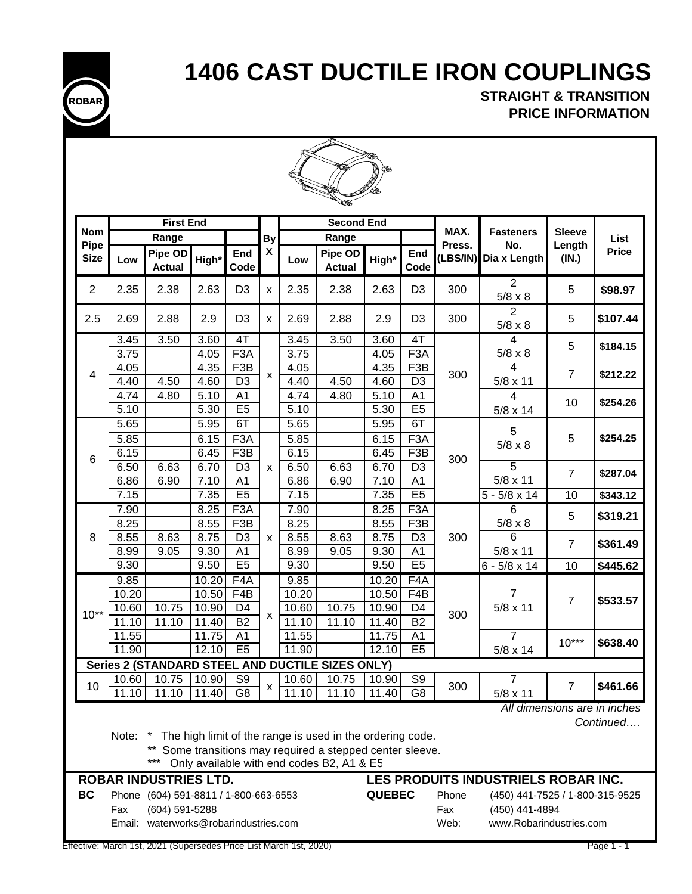**ROBAR**

# **1406 CAST DUCTILE IRON COUPLINGS**

 **STRAIGHT & TRANSITION PRICE INFORMATION** 



|                     | <b>ANTER</b><br><b>First End</b><br><b>Second End</b> |                                       |                |                       |                |                   |                                                           |                |                        |                |                                     |                 |                                           |  |
|---------------------|-------------------------------------------------------|---------------------------------------|----------------|-----------------------|----------------|-------------------|-----------------------------------------------------------|----------------|------------------------|----------------|-------------------------------------|-----------------|-------------------------------------------|--|
|                     |                                                       |                                       |                |                       |                |                   |                                                           |                |                        |                |                                     |                 |                                           |  |
| <b>Nom</b>          |                                                       | Range                                 |                |                       | <b>By</b>      |                   | Range                                                     |                |                        | MAX.<br>Press. | <b>Fasteners</b>                    | <b>Sleeve</b>   | List                                      |  |
| Pipe<br><b>Size</b> | Low                                                   | Pipe OD<br><b>Actual</b>              | High*          | End<br>Code           | X              | Low               | Pipe OD<br><b>Actual</b>                                  | High*          | End<br>Code            | (LBS/IN)       | No.<br>Dia x Length                 | Length<br>(IN.) | <b>Price</b>                              |  |
| 2                   | 2.35                                                  | 2.38                                  | 2.63           | D <sub>3</sub>        | $\pmb{\times}$ | 2.35              | 2.38                                                      | 2.63           | D <sub>3</sub>         | 300            | $\overline{2}$<br>$5/8 \times 8$    | 5               | \$98.97                                   |  |
| 2.5                 | 2.69                                                  | 2.88                                  | 2.9            | D <sub>3</sub>        | x              | 2.69              | 2.88                                                      | 2.9            | D <sub>3</sub>         | 300            | 2<br>$5/8 \times 8$                 | 5               | \$107.44                                  |  |
|                     | 3.45<br>3.75                                          | 3.50                                  | 3.60<br>4.05   | 4T<br>F3A             |                | 3.45<br>3.75      | 3.50                                                      | 3.60<br>4.05   | 4T<br>F <sub>3</sub> A |                | 4<br>$5/8 \times 8$                 | 5               | \$184.15                                  |  |
|                     | 4.05                                                  |                                       | 4.35           | F <sub>3</sub> B      |                | 4.05              |                                                           | 4.35           | F <sub>3</sub> B       |                | 4                                   |                 |                                           |  |
| 4                   | 4.40                                                  | 4.50                                  | 4.60           | D <sub>3</sub>        | X              | 4.40              | 4.50                                                      | 4.60           | D <sub>3</sub>         | 300            | 5/8 x 11                            | $\overline{7}$  | \$212.22                                  |  |
|                     | 4.74                                                  | 4.80                                  | 5.10           | A <sub>1</sub>        |                | 4.74              | 4.80                                                      | 5.10           | A <sub>1</sub>         |                | 4                                   |                 |                                           |  |
|                     | 5.10                                                  |                                       | 5.30           | E5                    |                | 5.10              |                                                           | 5.30           | E5                     |                | $5/8 \times 14$                     | 10              | \$254.26                                  |  |
|                     | 5.65                                                  |                                       | 5.95           | 6T                    |                | 5.65              |                                                           | 5.95           | 6T                     |                | 5                                   |                 |                                           |  |
|                     | 5.85                                                  |                                       | 6.15           | F3A                   |                | 5.85              |                                                           | 6.15           | F <sub>3</sub> A       |                | $5/8 \times 8$                      | 5               | \$254.25                                  |  |
| 6                   | 6.15                                                  |                                       | 6.45           | F3B                   |                | 6.15              |                                                           | 6.45           | F3B                    | 300            |                                     |                 |                                           |  |
|                     | 6.50                                                  | 6.63                                  | 6.70           | D <sub>3</sub>        | x              | 6.50              | 6.63                                                      | 6.70           | $\overline{D3}$        |                | $\overline{5}$                      | $\overline{7}$  | \$287.04                                  |  |
|                     | 6.86                                                  | 6.90                                  | 7.10           | A <sub>1</sub>        |                | 6.86              | 6.90                                                      | 7.10           | A <sub>1</sub>         |                | $5/8 \times 11$                     |                 |                                           |  |
|                     | 7.15                                                  |                                       | 7.35           | E5                    |                | $\overline{7.15}$ |                                                           | 7.35           | E5                     |                | $5 - 5/8 \times 14$                 | 10              | \$343.12                                  |  |
|                     | 7.90                                                  |                                       | 8.25           | F3A                   |                | 7.90              |                                                           | 8.25           | F3A                    |                | 6                                   | 5               | \$319.21                                  |  |
|                     | 8.25                                                  |                                       | 8.55           | F <sub>3</sub> B      |                | 8.25              |                                                           | 8.55           | F <sub>3</sub> B       |                | $5/8 \times 8$                      |                 |                                           |  |
| 8                   | 8.55                                                  | 8.63                                  | 8.75           | D <sub>3</sub>        | x              | 8.55              | 8.63                                                      | 8.75           | D <sub>3</sub>         | 300            | 6                                   | $\overline{7}$  | \$361.49                                  |  |
|                     | 8.99                                                  | 9.05                                  | 9.30           | A <sub>1</sub>        |                | 8.99              | 9.05                                                      | 9.30           | A <sub>1</sub>         |                | $5/8 \times 11$                     |                 |                                           |  |
|                     | 9.30                                                  |                                       | 9.50           | E5                    |                | 9.30              |                                                           | 9.50           | E5                     |                | $6 - 5/8 \times 14$                 | 10              | \$445.62                                  |  |
|                     | 9.85                                                  |                                       | 10.20          | F <sub>4</sub> A      |                | 9.85              |                                                           | 10.20          | F <sub>4</sub> A       |                | 7                                   |                 |                                           |  |
|                     | 10.20<br>10.60                                        | 10.75                                 | 10.50<br>10.90 | F4B<br>D <sub>4</sub> |                | 10.20<br>10.60    | 10.75                                                     | 10.50<br>10.90 | F4B<br>D <sub>4</sub>  |                | $5/8 \times 11$                     | $\overline{7}$  | \$533.57                                  |  |
| $10**$              | 11.10                                                 | 11.10                                 | 11.40          | <b>B2</b>             | X              | 11.10             | 11.10                                                     | 11.40          | <b>B2</b>              | 300            |                                     |                 |                                           |  |
|                     | 11.55                                                 |                                       | 11.75          | A <sub>1</sub>        |                | 11.55             |                                                           | 11.75          | A1                     |                | 7                                   |                 |                                           |  |
|                     | 11.90                                                 |                                       | 12.10          | E5                    |                | 11.90             |                                                           | 12.10          | E5                     |                | 5/8 x 14                            | $10***$         | \$638.40                                  |  |
|                     |                                                       |                                       |                |                       |                |                   | Series 2 (STANDARD STEEL AND DUCTILE SIZES ONLY)          |                |                        |                |                                     |                 |                                           |  |
|                     | 10.60                                                 | 10.75                                 | 10.90          | $\overline{S9}$       |                | 10.60             | 10.75                                                     | 10.90          | S9                     |                | 7                                   |                 |                                           |  |
| 10                  | 11.10                                                 | 11.10                                 | 11.40          | $\overline{G8}$       | x              | 11.10             | 11.10                                                     | 11.40          | $\overline{G8}$        | 300            | $5/8 \times 11$                     | $\overline{7}$  | \$461.66                                  |  |
|                     |                                                       |                                       |                |                       |                |                   |                                                           |                |                        |                |                                     |                 | All dimensions are in inches<br>Continued |  |
|                     | Note: *                                               |                                       |                |                       |                |                   | The high limit of the range is used in the ordering code. |                |                        |                |                                     |                 |                                           |  |
|                     |                                                       |                                       |                |                       |                |                   | ** Some transitions may required a stepped center sleeve. |                |                        |                |                                     |                 |                                           |  |
|                     |                                                       | $***$                                 |                |                       |                |                   | Only available with end codes B2, A1 & E5                 |                |                        |                |                                     |                 |                                           |  |
|                     |                                                       | <b>ROBAR INDUSTRIES LTD.</b>          |                |                       |                |                   |                                                           |                |                        |                | LES PRODUITS INDUSTRIELS ROBAR INC. |                 |                                           |  |
| <b>BC</b>           |                                                       | Phone (604) 591-8811 / 1-800-663-6553 |                |                       |                |                   |                                                           | <b>QUEBEC</b>  |                        | Phone          | (450) 441-7525 / 1-800-315-9525     |                 |                                           |  |
|                     | Fax                                                   | (604) 591-5288                        |                |                       |                |                   |                                                           |                |                        | Fax            | (450) 441-4894                      |                 |                                           |  |

Email: waterworks@robarindustries.com Web: www.Robarindustries.com

Effective: March 1st, 2021 (Supersedes Price List March 1st, 2020) Page 1 - 1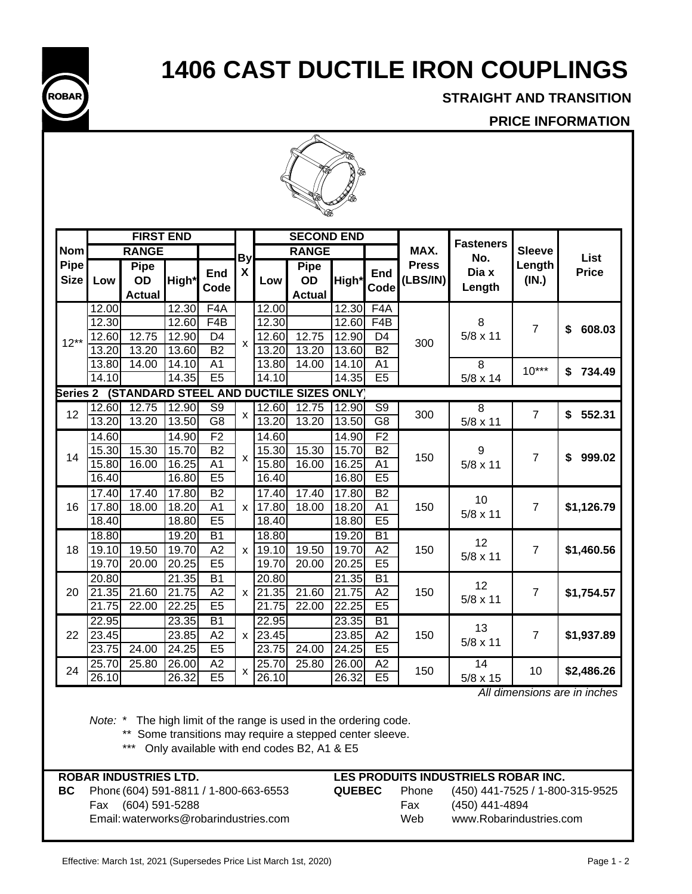

 **STRAIGHT AND TRANSITION**

## **PRICE INFORMATION**



|                     |       | <b>FIRST END</b>                          |                    |                          |              |       | <b>SECOND END</b>                       |       |                  |                          | <b>Fasteners</b> |                 |              |
|---------------------|-------|-------------------------------------------|--------------------|--------------------------|--------------|-------|-----------------------------------------|-------|------------------|--------------------------|------------------|-----------------|--------------|
| <b>Nom</b>          |       | <b>RANGE</b>                              |                    |                          | <b>By</b>    |       | <b>RANGE</b>                            |       |                  | MAX.                     | No.              | <b>Sleeve</b>   | List         |
| Pipe<br><b>Size</b> | Low   | <b>Pipe</b><br><b>OD</b><br><b>Actual</b> | High*              | End<br>Code              | X            | Low   | <b>Pipe</b><br>OD<br><b>Actual</b>      | High* | End<br>Code      | <b>Press</b><br>(LBS/IN) | Dia x<br>Length  | Length<br>(IN.) | <b>Price</b> |
|                     | 12.00 |                                           | 12.30              | F <sub>4</sub> A         |              | 12.00 |                                         | 12.30 | F <sub>4</sub> A |                          |                  |                 |              |
|                     | 12.30 |                                           | 12.60              | F4B                      |              | 12.30 |                                         | 12.60 | F4B              |                          | 8                | $\overline{7}$  | \$<br>608.03 |
| $12**$              | 12.60 | 12.75                                     | 12.90              | D <sub>4</sub>           | $\mathsf{x}$ | 12.60 | $\overline{12.75}$                      | 12.90 | D <sub>4</sub>   | 300                      | $5/8 \times 11$  |                 |              |
|                     | 13.20 | 13.20                                     | 13.60              | <b>B2</b>                |              | 13.20 | 13.20                                   | 13.60 | <b>B2</b>        |                          |                  |                 |              |
|                     | 13.80 | 14.00                                     | 14.10              | A <sub>1</sub>           |              | 13.80 | 14.00                                   | 14.10 | A <sub>1</sub>   |                          | 8                | $10***$         | \$<br>734.49 |
|                     | 14.10 |                                           | 14.35              | E5                       |              | 14.10 |                                         | 14.35 | E5               |                          | $5/8 \times 14$  |                 |              |
| <b>Series 2</b>     |       |                                           |                    |                          |              |       | (STANDARD STEEL AND DUCTILE SIZES ONLY) |       |                  |                          |                  |                 |              |
| 12                  | 12.60 | 12.75                                     | 12.90              | $\overline{\mathsf{S9}}$ | X            | 12.60 | 12.75                                   | 12.90 | $\overline{S9}$  | 300                      | $\overline{8}$   | $\overline{7}$  | 552.31<br>\$ |
|                     | 13.20 | 13.20                                     | 13.50              | $\overline{\mathsf{G8}}$ |              | 13.20 | 13.20                                   | 13.50 | $\overline{G8}$  |                          | $5/8 \times 11$  |                 |              |
|                     | 14.60 |                                           | 14.90              | F <sub>2</sub>           |              | 14.60 |                                         | 14.90 | F <sub>2</sub>   |                          |                  |                 |              |
| 14                  | 15.30 | 15.30                                     | $\overline{15.70}$ | <b>B2</b>                | $\mathsf{x}$ | 15.30 | 15.30                                   | 15.70 | B <sub>2</sub>   | 150                      | 9                | $\overline{7}$  | \$<br>999.02 |
|                     | 15.80 | 16.00                                     | 16.25              | A1                       |              | 15.80 | 16.00                                   | 16.25 | A <sub>1</sub>   |                          | $5/8 \times 11$  |                 |              |
|                     | 16.40 |                                           | 16.80              | E5                       |              | 16.40 |                                         | 16.80 | E5               |                          |                  |                 |              |
|                     | 17.40 | 17.40                                     | 17.80              | $\overline{B2}$          |              | 17.40 | 17.40                                   | 17.80 | $\overline{B2}$  |                          | 10               |                 |              |
| 16                  | 17.80 | 18.00                                     | 18.20              | A <sub>1</sub>           | $\mathsf{x}$ | 17.80 | 18.00                                   | 18.20 | A <sub>1</sub>   | 150                      | $5/8 \times 11$  | $\overline{7}$  | \$1,126.79   |
|                     | 18.40 |                                           | 18.80              | E5                       |              | 18.40 |                                         | 18.80 | E5               |                          |                  |                 |              |
|                     | 18.80 |                                           | 19.20              | $\overline{B1}$          |              | 18.80 |                                         | 19.20 | $\overline{B}$   |                          | 12               |                 |              |
| 18                  | 19.10 | 19.50                                     | 19.70              | A2                       | $\mathsf{x}$ | 19.10 | 19.50                                   | 19.70 | A2               | 150                      | $5/8 \times 11$  | $\overline{7}$  | \$1,460.56   |
|                     | 19.70 | 20.00                                     | 20.25              | E5                       |              | 19.70 | 20.00                                   | 20.25 | E5               |                          |                  |                 |              |
|                     | 20.80 |                                           | 21.35              | $\overline{B1}$          |              | 20.80 |                                         | 21.35 | $\overline{B1}$  |                          | 12               |                 |              |
| 20                  | 21.35 | 21.60                                     | 21.75              | A2                       | X            | 21.35 | 21.60                                   | 21.75 | A2               | 150                      | $5/8 \times 11$  | 7               | \$1,754.57   |
|                     | 21.75 | 22.00                                     | 22.25              | E <sub>5</sub>           |              | 21.75 | 22.00                                   | 22.25 | E5               |                          |                  |                 |              |
|                     | 22.95 |                                           | 23.35              | <b>B1</b>                |              | 22.95 |                                         | 23.35 | <b>B1</b>        |                          | 13               |                 |              |
| 22                  | 23.45 |                                           | 23.85              | A2                       | X            | 23.45 |                                         | 23.85 | A2               | 150                      | $5/8 \times 11$  | 7               | \$1,937.89   |
|                     | 23.75 | 24.00                                     | 24.25              | E5                       |              | 23.75 | 24.00                                   | 24.25 | E5               |                          |                  |                 |              |
| 24                  | 25.70 | 25.80                                     | 26.00              | A <sub>2</sub>           |              | 25.70 | 25.80                                   | 26.00 | A2               | 150                      | 14               | 10              | \$2,486.26   |
|                     | 26.10 |                                           | 26.32              | E5                       | X            | 26.10 |                                         | 26.32 | E5               |                          | 5/8 x 15         |                 |              |

 *All dimensions are in inches*

*Note:* \* The high limit of the range is used in the ordering code.

\*\* Some transitions may require a stepped center sleeve.

\*\*\* Only available with end codes B2, A1 & E5

|    | <b>ROBAR INDUSTRIES LTD.</b>          |               |       | LES PRODUITS INDUSTRIELS ROBAR INC. |
|----|---------------------------------------|---------------|-------|-------------------------------------|
| BC | Phone (604) 591-8811 / 1-800-663-6553 | <b>QUEBEC</b> | Phone | (450) 441-7525 / 1-800-315-9525     |
|    | Fax (604) 591-5288                    |               | Fax   | (450) 441-4894                      |
|    | Email: waterworks@robarindustries.com |               | Web   | www.Robarindustries.com             |
|    |                                       |               |       |                                     |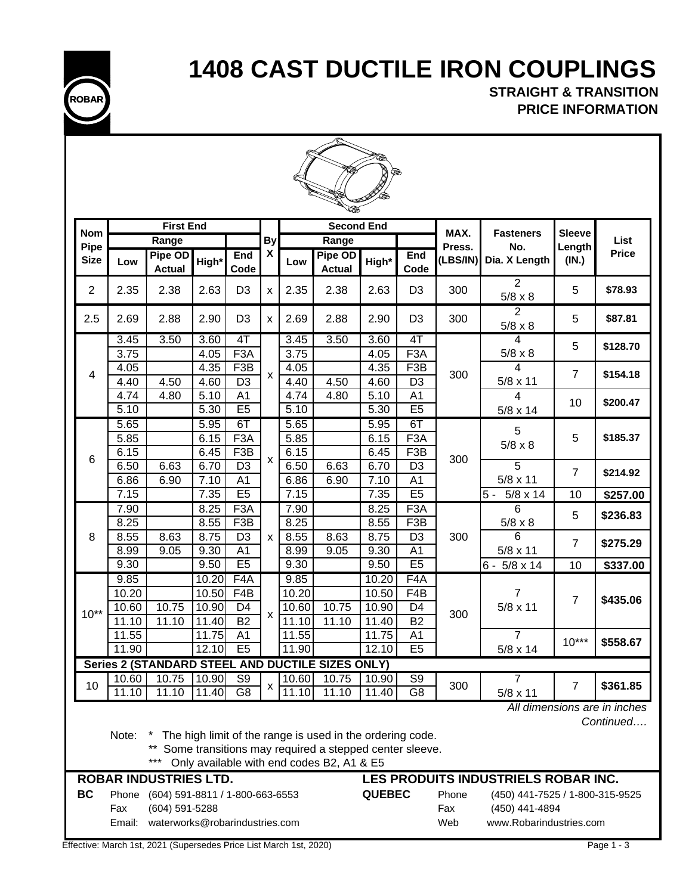

**STRAIGHT & TRANSITION PRICE INFORMATION**

|                    |                |                                 |                           |                                   |                           |                |                                                                                                                                                                     | ⋘              |                                  |                |                                     |                         |                                           |
|--------------------|----------------|---------------------------------|---------------------------|-----------------------------------|---------------------------|----------------|---------------------------------------------------------------------------------------------------------------------------------------------------------------------|----------------|----------------------------------|----------------|-------------------------------------|-------------------------|-------------------------------------------|
|                    |                | <b>First End</b>                |                           |                                   |                           |                | <b>Second End</b>                                                                                                                                                   |                |                                  |                |                                     |                         |                                           |
| <b>Nom</b><br>Pipe |                | Range                           |                           |                                   | By                        |                | Range                                                                                                                                                               |                |                                  | MAX.<br>Press. | <b>Fasteners</b><br>No.             | <b>Sleeve</b><br>Length | List                                      |
| <b>Size</b>        | Low            | Pipe OD<br><b>Actual</b>        | High*                     | End<br>Code                       | X                         | Low            | Pipe OD<br><b>Actual</b>                                                                                                                                            | High*          | End<br>Code                      | (LBS/IN)       | Dia. X Length                       | (IN.)                   | <b>Price</b>                              |
| $\overline{2}$     | 2.35           | 2.38                            | 2.63                      | D <sub>3</sub>                    | X                         | 2.35           | 2.38                                                                                                                                                                | 2.63           | D <sub>3</sub>                   | 300            | $\overline{2}$<br>$5/8 \times 8$    | 5                       | \$78.93                                   |
| 2.5                | 2.69           | 2.88                            | 2.90                      | D <sub>3</sub>                    | $\pmb{\mathsf{x}}$        | 2.69           | 2.88                                                                                                                                                                | 2.90           | D <sub>3</sub>                   | 300            | $\overline{2}$<br>$5/8 \times 8$    | 5                       | \$87.81                                   |
|                    | 3.45           | 3.50                            | 3.60                      | 4T                                |                           | 3.45           | 3.50                                                                                                                                                                | 3.60           | 4T                               |                | $\overline{4}$                      | 5                       | \$128.70                                  |
|                    | 3.75           |                                 | 4.05                      | F <sub>3</sub> A                  |                           | 3.75           |                                                                                                                                                                     | 4.05           | F3A                              |                | $5/8 \times 8$                      |                         |                                           |
| 4                  | 4.05           |                                 | 4.35                      | F3B                               | $\boldsymbol{\mathsf{x}}$ | 4.05           |                                                                                                                                                                     | 4.35           | F <sub>3</sub> B                 | 300            | 4                                   | $\overline{7}$          | \$154.18                                  |
|                    | 4.40           | 4.50                            | 4.60                      | D <sub>3</sub>                    |                           | 4.40           | 4.50                                                                                                                                                                | 4.60           | D <sub>3</sub>                   |                | $5/8 \times 11$                     |                         |                                           |
|                    | 4.74<br>5.10   | 4.80                            | 5.10<br>$\overline{5.30}$ | A1<br>E5                          |                           | 4.74           | 4.80                                                                                                                                                                | 5.10<br>5.30   | A <sub>1</sub><br>E <sub>5</sub> |                | $\overline{4}$                      | 10                      | \$200.47                                  |
|                    | 5.65           |                                 | 5.95                      | 6T                                |                           | 5.10<br>5.65   |                                                                                                                                                                     | 5.95           | 6T                               |                | 5/8 x 14                            |                         |                                           |
|                    | 5.85           |                                 | 6.15                      | F <sub>3</sub> A                  |                           | 5.85           |                                                                                                                                                                     | 6.15           | F <sub>3</sub> A                 |                | 5                                   | 5                       | \$185.37                                  |
|                    | 6.15           |                                 | 6.45                      | F <sub>3</sub> B                  |                           | 6.15           |                                                                                                                                                                     | 6.45           | F <sub>3</sub> B                 |                | $5/8 \times 8$                      |                         |                                           |
| 6                  | 6.50           | 6.63                            | 6.70                      | D <sub>3</sub>                    | X                         | 6.50           | 6.63                                                                                                                                                                | 6.70           | D <sub>3</sub>                   | 300            | 5                                   |                         |                                           |
|                    | 6.86           | 6.90                            | 7.10                      | A1                                |                           | 6.86           | 6.90                                                                                                                                                                | 7.10           | A <sub>1</sub>                   |                | $5/8 \times 11$                     | $\overline{7}$          | \$214.92                                  |
|                    | 7.15           |                                 | 7.35                      | E5                                |                           | 7.15           |                                                                                                                                                                     | 7.35           | E5                               |                | $5/8 \times 14$<br>$5 -$            | 10                      | \$257.00                                  |
|                    | 7.90           |                                 | 8.25                      | F <sub>3</sub> A                  |                           | 7.90           |                                                                                                                                                                     | 8.25           | F <sub>3</sub> A                 |                | 6                                   |                         |                                           |
|                    | 8.25           |                                 | 8.55                      | F3B                               |                           | 8.25           |                                                                                                                                                                     | 8.55           | F3B                              |                | $5/8 \times 8$                      | 5                       | \$236.83                                  |
| 8                  | 8.55           | 8.63                            | 8.75                      | $\overline{D3}$                   | X                         | 8.55           | 8.63                                                                                                                                                                | 8.75           | D <sub>3</sub>                   | 300            | $\overline{6}$                      |                         |                                           |
|                    | 8.99           | 9.05                            | 9.30                      | A <sub>1</sub>                    |                           | 8.99           | 9.05                                                                                                                                                                | 9.30           | A <sub>1</sub>                   |                | $5/8 \times 11$                     | $\overline{7}$          | \$275.29                                  |
|                    | 9.30           |                                 | 9.50                      | E5                                |                           | 9.30           |                                                                                                                                                                     | 9.50           | E5                               |                | $5/8 \times 14$<br>$6 -$            | 10                      | \$337.00                                  |
|                    | 9.85           |                                 | 10.20                     | F4A                               |                           | 9.85           |                                                                                                                                                                     | 10.20          | F <sub>4</sub> A                 |                |                                     |                         |                                           |
|                    | 10.20          |                                 | 10.50                     | F4B                               |                           | 10.20          |                                                                                                                                                                     | 10.50          | F4B                              |                | 7                                   | $\overline{7}$          | \$435.06                                  |
| $10**$             | 10.60          | 10.75                           | 10.90                     | D <sub>4</sub>                    |                           | 10.60          | 10.75                                                                                                                                                               | 10.90          | D <sub>4</sub>                   | 300            | $5/8 \times 11$                     |                         |                                           |
|                    | 11.10          | 11.10                           | 11.40                     | <b>B2</b>                         | $\pmb{\times}$            | 11.10          | 11.10                                                                                                                                                               | 11.40          | <b>B2</b>                        |                |                                     |                         |                                           |
|                    | 11.55          |                                 | 11.75                     | A1                                |                           | 11.55          |                                                                                                                                                                     | 11.75          | A1                               |                | $\overline{7}$                      | $10***$                 | \$558.67                                  |
|                    | 11.90          |                                 | 12.10                     | E5                                |                           | 11.90          |                                                                                                                                                                     | 12.10          | E <sub>5</sub>                   |                | $5/8 \times 14$                     |                         |                                           |
|                    |                |                                 |                           |                                   |                           |                | Series 2 (STANDARD STEEL AND DUCTILE SIZES ONLY)                                                                                                                    |                |                                  |                |                                     |                         |                                           |
| 10                 | 10.60<br>11.10 | 10.75<br>11.10                  | 10.90<br>11.40            | S <sub>9</sub><br>$\overline{G8}$ | x                         | 10.60<br>11.10 | 10.75<br>11.10                                                                                                                                                      | 10.90<br>11.40 | S <sub>9</sub><br>G <sub>8</sub> | 300            | $\overline{7}$<br>$5/8 \times 11$   | $\overline{7}$          | \$361.85                                  |
|                    | Note:          | ×<br>$***$                      |                           |                                   |                           |                | The high limit of the range is used in the ordering code.<br>** Some transitions may required a stepped center sleeve.<br>Only available with end codes B2, A1 & E5 |                |                                  |                |                                     |                         | All dimensions are in inches<br>Continued |
|                    |                | <b>ROBAR INDUSTRIES LTD.</b>    |                           |                                   |                           |                |                                                                                                                                                                     |                |                                  |                | LES PRODUITS INDUSTRIELS ROBAR INC. |                         |                                           |
| <b>BC</b>          | Phone          | (604) 591-8811 / 1-800-663-6553 |                           |                                   |                           |                |                                                                                                                                                                     | <b>QUEBEC</b>  |                                  | Phone          | (450) 441-7525 / 1-800-315-9525     |                         |                                           |
|                    | Fax            | (604) 591-5288                  |                           |                                   |                           |                |                                                                                                                                                                     |                |                                  | Fax            | (450) 441-4894                      |                         |                                           |
|                    | Email:         | waterworks@robarindustries.com  |                           |                                   |                           |                |                                                                                                                                                                     |                |                                  | Web            | www.Robarindustries.com             |                         |                                           |

Effective: March 1st, 2021 (Supersedes Price List March 1st, 2020) Page 1 - 3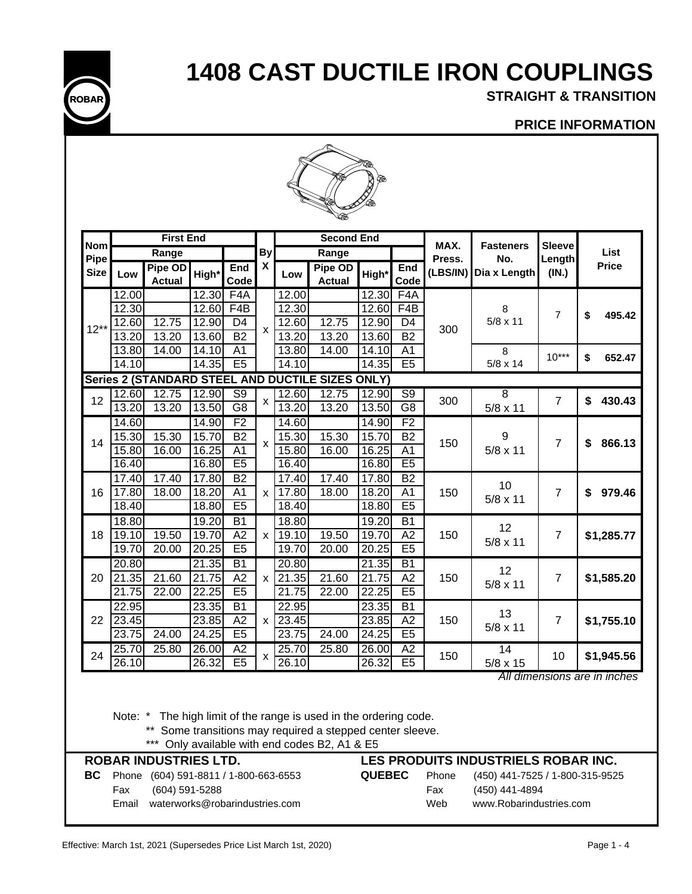

**STRAIGHT & TRANSITION**

## **PRICE INFORMATION**



|                           |                    | <b>First End</b>         |       |                          |                |       | <b>Second End</b>                                |                    |                 | MAX.     | <b>Fasteners</b> | <b>Sleeve</b>  |                              |
|---------------------------|--------------------|--------------------------|-------|--------------------------|----------------|-------|--------------------------------------------------|--------------------|-----------------|----------|------------------|----------------|------------------------------|
| <b>Nom</b><br><b>Pipe</b> |                    | Range                    |       |                          | By             |       | Range                                            |                    |                 | Press.   | No.              | Length         | List                         |
| <b>Size</b>               | Low                | Pipe OD<br><b>Actual</b> | High* | End<br>Code              | X              | Low   | Pipe OD<br><b>Actual</b>                         | High*              | End<br>Code     | (LBS/IN) | Dia x Length     | (IN.)          | <b>Price</b>                 |
|                           | 12.00              |                          | 12.30 | F <sub>4</sub> A         |                | 12.00 |                                                  | 12.30              | F4A             |          |                  |                |                              |
|                           | 12.30              |                          | 12.60 | F <sub>4</sub> B         |                | 12.30 |                                                  | 12.60              | F4B             |          | 8                | 7              | \$<br>495.42                 |
| $12**$                    | 12.60              | 12.75                    | 12.90 | D <sub>4</sub>           | X              | 12.60 | $\overline{12.75}$                               | 12.90              | D <sub>4</sub>  | 300      | $5/8 \times 11$  |                |                              |
|                           | 13.20              | 13.20                    | 13.60 | $\overline{B2}$          |                | 13.20 | 13.20                                            | 13.60              | $\overline{B2}$ |          |                  |                |                              |
|                           | 13.80              | 14.00                    | 14.10 | A <sub>1</sub>           |                | 13.80 | 14.00                                            | 14.10              | A <sub>1</sub>  |          | 8                | $10***$        | 652.47<br>\$                 |
|                           | 14.10              |                          | 14.35 | E5                       |                | 14.10 |                                                  | 14.35              | E <sub>5</sub>  |          | $5/8 \times 14$  |                |                              |
|                           |                    |                          |       |                          |                |       | Series 2 (STANDARD STEEL AND DUCTILE SIZES ONLY) |                    |                 |          |                  |                |                              |
| 12                        | 12.60              | 12.75                    | 12.90 | $\overline{\mathsf{S9}}$ |                | 12.60 | 12.75                                            | 12.90              | $\overline{S9}$ | 300      | 8                | $\overline{7}$ | \$<br>430.43                 |
|                           | 13.20              | 13.20                    | 13.50 | $\overline{G8}$          | x              | 13.20 | 13.20                                            | 13.50              | $\overline{G8}$ |          | $5/8 \times 11$  |                |                              |
|                           | 14.60              |                          | 14.90 | F2                       |                | 14.60 |                                                  | 14.90              | F2              |          |                  |                |                              |
| 14                        | 15.30              | 15.30                    | 15.70 | <b>B2</b>                |                | 15.30 | 15.30                                            | 15.70              | <b>B2</b>       | 150      | 9                | 7              | 866.13<br>\$                 |
|                           | 15.80              | 16.00                    | 16.25 | A <sub>1</sub>           | X              | 15.80 | 16.00                                            | 16.25              | A <sub>1</sub>  |          | $5/8 \times 11$  |                |                              |
|                           | 16.40              |                          | 16.80 | E5                       |                | 16.40 |                                                  | 16.80              | E <sub>5</sub>  |          |                  |                |                              |
|                           | 17.40              | 17.40                    | 17.80 | B2                       |                | 17.40 | 17.40                                            | 17.80              | B2              |          | 10               |                |                              |
| 16                        | 17.80              | 18.00                    | 18.20 | A <sub>1</sub>           | X              | 17.80 | 18.00                                            | $\overline{18.20}$ | A <sub>1</sub>  | 150      | $5/8 \times 11$  | 7              | 979.46<br>\$                 |
|                           | 18.40              |                          | 18.80 | E <sub>5</sub>           |                | 18.40 |                                                  | 18.80              | E5              |          |                  |                |                              |
|                           | 18.80              |                          | 19.20 | <b>B1</b>                |                | 18.80 |                                                  | 19.20              | <b>B1</b>       |          | 12               |                |                              |
| 18                        | 19.10              | 19.50                    | 19.70 | A2                       | <b>X</b>       | 19.10 | 19.50                                            | 19.70              | A2              | 150      | $5/8 \times 11$  | 7              | \$1,285.77                   |
|                           | 19.70              | 20.00                    | 20.25 | E5                       |                | 19.70 | 20.00                                            | 20.25              | E5              |          |                  |                |                              |
|                           | 20.80              |                          | 21.35 | $\overline{B1}$          |                | 20.80 |                                                  | 21.35              | $\overline{B1}$ |          | 12               |                |                              |
| 20                        | 21.35              | 21.60                    | 21.75 | $\overline{A2}$          | $\times$       | 21.35 | 21.60                                            | $\overline{21.75}$ | A2              | 150      | $5/8 \times 11$  | 7              | \$1,585.20                   |
|                           | 21.75              | 22.00                    | 22.25 | E5                       |                | 21.75 | 22.00                                            | 22.25              | E5              |          |                  |                |                              |
|                           | 22.95              |                          | 23.35 | <b>B1</b>                |                | 22.95 |                                                  | 23.35              | <b>B1</b>       |          |                  |                |                              |
| 22                        | 23.45              |                          | 23.85 | A2                       | x <sub>1</sub> | 23.45 |                                                  | 23.85              | A2              | 150      | 13               | 7              | \$1,755.10                   |
|                           | 23.75              | 24.00                    | 24.25 | E5                       |                | 23.75 | 24.00                                            | 24.25              | E <sub>5</sub>  |          | $5/8 \times 11$  |                |                              |
|                           | $25.\overline{70}$ | 25.80                    | 26.00 | $\overline{A2}$          |                | 25.70 | 25.80                                            | 26.00              | $\overline{A2}$ |          | 14               |                |                              |
| 24                        | 26.10              |                          | 26.32 | E5                       | x              | 26.10 |                                                  | 26.32              | E5              | 150      | $5/8 \times 15$  | 10             | \$1,945.56                   |
|                           |                    |                          |       |                          |                |       |                                                  |                    |                 |          |                  |                | All dimensions are in inches |

Note: \* The high limit of the range is used in the ordering code.

\*\* Some transitions may required a stepped center sleeve.

\*\*\* Only available with end codes B2, A1 & E5

|       | <b>ROBAR INDUSTRIES LTD.</b>          |               |       | LES PRODUITS INDUSTRIELS ROBAR INC. |
|-------|---------------------------------------|---------------|-------|-------------------------------------|
| BC    | Phone (604) 591-8811 / 1-800-663-6553 | <b>QUEBEC</b> | Phone | (450) 441-7525 / 1-800-315-9525     |
| Fax   | (604) 591-5288                        |               | Fax   | (450) 441-4894                      |
| Email | waterworks@robarindustries.com        |               | Web   | www.Robarindustries.com             |
|       |                                       |               |       |                                     |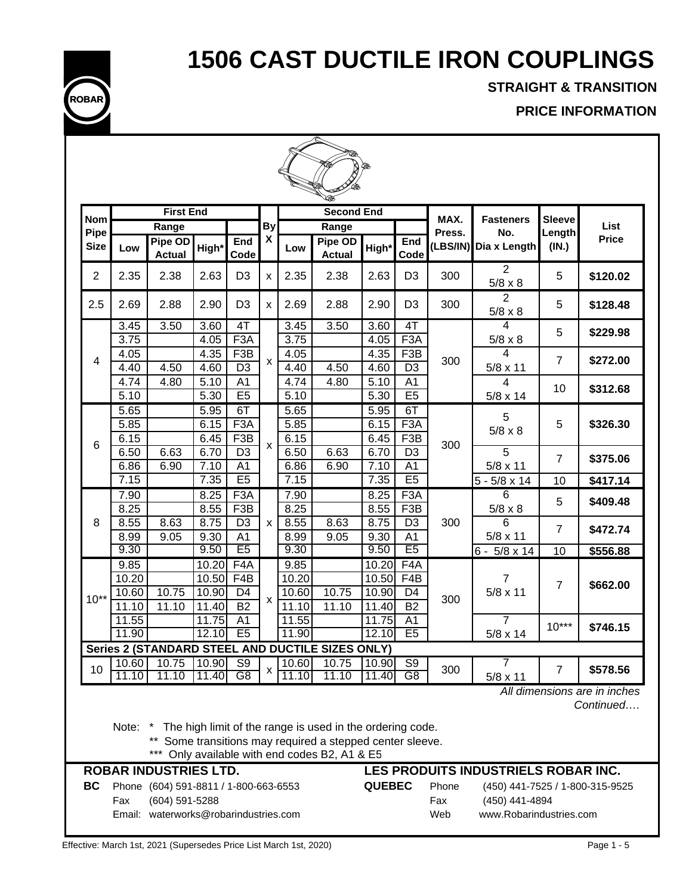

**STRAIGHT & TRANSITION**

**PRICE INFORMATION**

|                     | <b>Second End</b>       |                                                                                                  |                              |                                            |                           |                         |                                                                                                                                                                         |                         |                                                      |                     |                                                                              |                 |                                           |  |
|---------------------|-------------------------|--------------------------------------------------------------------------------------------------|------------------------------|--------------------------------------------|---------------------------|-------------------------|-------------------------------------------------------------------------------------------------------------------------------------------------------------------------|-------------------------|------------------------------------------------------|---------------------|------------------------------------------------------------------------------|-----------------|-------------------------------------------|--|
|                     |                         | <b>First End</b>                                                                                 |                              |                                            |                           |                         |                                                                                                                                                                         |                         |                                                      |                     |                                                                              |                 |                                           |  |
| Nom                 |                         | Range                                                                                            |                              |                                            | By                        |                         | Range                                                                                                                                                                   |                         |                                                      | MAX.<br>Press.      | <b>Fasteners</b><br>No.                                                      | <b>Sleeve</b>   | List                                      |  |
| Pipe<br><b>Size</b> | Low                     | Pipe OD<br><b>Actual</b>                                                                         | High*                        | End<br>Code                                | $\boldsymbol{\mathsf{x}}$ | Low                     | Pipe OD<br><b>Actual</b>                                                                                                                                                | High*                   | End<br>Code                                          | (LBS/IN)            | Dia x Length                                                                 | Length<br>(IN.) | <b>Price</b>                              |  |
| $\overline{2}$      | 2.35                    | 2.38                                                                                             | 2.63                         | D <sub>3</sub>                             | X                         | 2.35                    | 2.38                                                                                                                                                                    | 2.63                    | D <sub>3</sub>                                       | 300                 | $\overline{2}$<br>$5/8 \times 8$                                             | 5               | \$120.02                                  |  |
| 2.5                 | 2.69                    | 2.88                                                                                             | 2.90                         | D <sub>3</sub>                             | X                         | 2.69                    | 2.88                                                                                                                                                                    | 2.90                    | D <sub>3</sub>                                       | 300                 | 2<br>$5/8 \times 8$                                                          | 5               | \$128.48                                  |  |
|                     | 3.45<br>3.75            | 3.50                                                                                             | 3.60<br>4.05                 | $4$ T<br>F <sub>3</sub> A                  |                           | 3.45<br>3.75            | 3.50                                                                                                                                                                    | 3.60<br>4.05            | 4T<br>F <sub>3</sub> A                               |                     | 4<br>$5/8 \times 8$                                                          | 5               | \$229.98                                  |  |
| 4                   | 4.05<br>4.40            | 4.50                                                                                             | 4.35<br>4.60                 | F <sub>3</sub> B<br>D <sub>3</sub>         | X                         | 4.05<br>4.40            | 4.50                                                                                                                                                                    | 4.35<br>4.60            | F <sub>3</sub> B<br>D <sub>3</sub>                   | 300                 | 4<br>$5/8 \times 11$                                                         | $\overline{7}$  | \$272.00                                  |  |
|                     | 4.74<br>5.10            | 4.80                                                                                             | 5.10<br>5.30                 | A <sub>1</sub><br>E5                       |                           | 4.74<br>5.10            | 4.80                                                                                                                                                                    | 5.10<br>5.30            | A <sub>1</sub><br>E5                                 |                     | 4<br>5/8 x 14                                                                | 10              | \$312.68                                  |  |
|                     | 5.65<br>5.85<br>6.15    |                                                                                                  | 5.95<br>6.15<br>6.45         | 6T<br>F <sub>3</sub> A<br>F <sub>3</sub> B |                           | 5.65<br>5.85<br>6.15    |                                                                                                                                                                         | 5.95<br>6.15<br>6.45    | 6T<br>F <sub>3</sub> A<br>F <sub>3</sub> B           |                     | 5<br>$5/8 \times 8$                                                          | 5               | \$326.30                                  |  |
| 6                   | 6.50<br>6.86            | 6.63<br>6.90                                                                                     | 6.70<br>7.10                 | D <sub>3</sub><br>A1                       | $\pmb{\chi}$              | 6.50<br>6.86            | 6.63<br>6.90                                                                                                                                                            | 6.70<br>7.10            | D <sub>3</sub><br>A <sub>1</sub>                     | 300                 | 5<br>$5/8 \times 11$                                                         | $\overline{7}$  | \$375.06                                  |  |
|                     | 7.15<br>7.90            |                                                                                                  | 7.35<br>8.25                 | E5<br>F3A                                  |                           | 7.15<br>7.90            |                                                                                                                                                                         | 7.35<br>8.25            | E5<br>F3A                                            |                     | $5 - 5/8 \times 14$<br>6                                                     | 10<br>5         | \$417.14<br>\$409.48                      |  |
| 8                   | 8.25<br>8.55<br>8.99    | 8.63<br>9.05                                                                                     | 8.55<br>8.75<br>9.30         | F <sub>3</sub> B<br>D <sub>3</sub><br>A1   | X                         | 8.25<br>8.55<br>8.99    | 8.63<br>9.05                                                                                                                                                            | 8.55<br>8.75<br>9.30    | F <sub>3</sub> B<br>D <sub>3</sub><br>A <sub>1</sub> | 300                 | $5/8 \times 8$<br>6<br>$5/8 \times 11$                                       | $\overline{7}$  | \$472.74                                  |  |
|                     | 9.30<br>9.85            |                                                                                                  | 9.50<br>10.20                | E <sub>5</sub><br>F4A                      |                           | 9.30<br>9.85            |                                                                                                                                                                         | 9.50<br>10.20           | E <sub>5</sub><br>F <sub>4</sub> A                   |                     | $6 - 5/8 \times 14$                                                          | 10              | \$556.88                                  |  |
| $10**$              | 10.20<br>10.60<br>11.10 | 10.75<br>11.10                                                                                   | 10.50<br>10.90<br>11.40      | F4B<br>D <sub>4</sub><br><b>B2</b>         | $\boldsymbol{\mathsf{x}}$ | 10.20<br>10.60<br>11.10 | 10.75<br>11.10                                                                                                                                                          | 10.50<br>10.90<br>11.40 | F4B<br>D4<br>$\overline{B2}$                         | 300                 | $\overline{7}$<br>$5/8 \times 11$                                            | $\overline{7}$  | \$662.00                                  |  |
|                     | 11.55<br>11.90          |                                                                                                  | $\overline{1}$ 1.75<br>12.10 | A <sub>1</sub><br>E5                       |                           | 11.55<br>11.90          |                                                                                                                                                                         | 11.75<br>12.10          | A <sub>1</sub><br>E5                                 |                     | $\overline{7}$<br>5/8 x 14                                                   | $10***$         | \$746.15                                  |  |
|                     |                         |                                                                                                  |                              |                                            |                           |                         | Series 2 (STANDARD STEEL AND DUCTILE SIZES ONLY)                                                                                                                        |                         |                                                      |                     |                                                                              |                 |                                           |  |
| 10                  | 10.60<br>11.10          | 10.75<br>11.10                                                                                   | 10.90<br>11.40               | S <sub>9</sub><br>G8                       | $\pmb{\mathsf{X}}$        | 10.60<br>11.10          | 10.75<br>11.10                                                                                                                                                          | 10.90<br>11.40          | $\overline{S9}$<br>G8                                | 300                 | $5/8 \times 11$                                                              | $\overline{7}$  | \$578.56                                  |  |
|                     | Note:                   | <b>ROBAR INDUSTRIES LTD.</b>                                                                     |                              |                                            |                           |                         | The high limit of the range is used in the ordering code.<br>** Some transitions may required a stepped center sleeve.<br>*** Only available with end codes B2, A1 & E5 |                         |                                                      |                     | LES PRODUITS INDUSTRIELS ROBAR INC.                                          |                 | All dimensions are in inches<br>Continued |  |
| BC                  | Fax                     | Phone (604) 591-8811 / 1-800-663-6553<br>(604) 591-5288<br>Email: waterworks@robarindustries.com |                              |                                            |                           |                         |                                                                                                                                                                         | <b>QUEBEC</b>           |                                                      | Phone<br>Fax<br>Web | (450) 441-7525 / 1-800-315-9525<br>(450) 441-4894<br>www.Robarindustries.com |                 |                                           |  |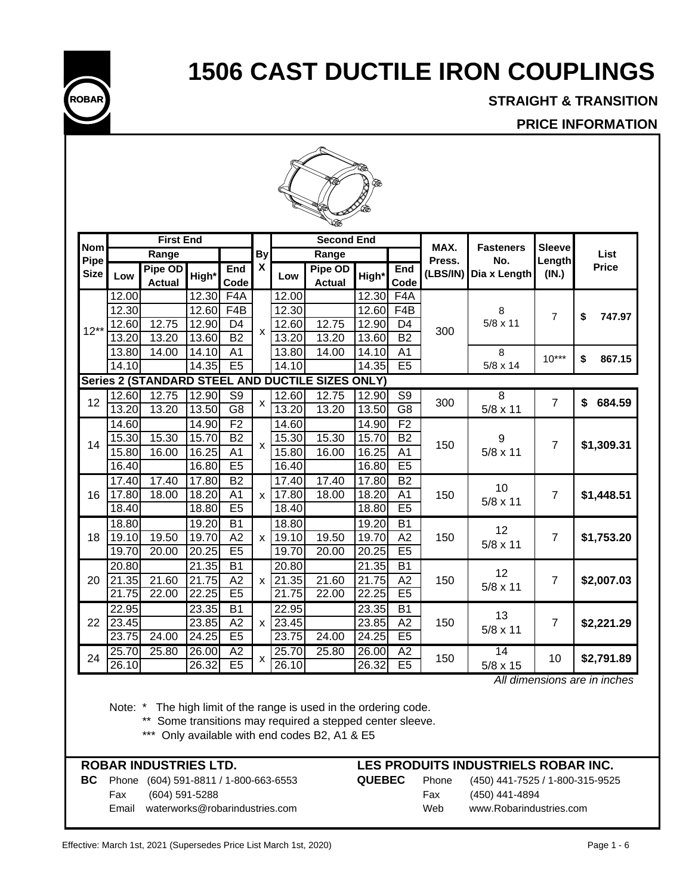

**STRAIGHT & TRANSITION**

## **PRICE INFORMATION**

| <b>Nom</b>                                       |       | <b>First End</b>         |                    |                 |                           |       | <b>Second End</b>        |       |                  | MAX.     | <b>Fasteners</b> | <b>Sleeve</b>  |              |  |
|--------------------------------------------------|-------|--------------------------|--------------------|-----------------|---------------------------|-------|--------------------------|-------|------------------|----------|------------------|----------------|--------------|--|
| Pipe                                             |       | Range                    |                    |                 | <b>By</b>                 |       | Range                    |       |                  | Press.   | No.              | Length         | List         |  |
| <b>Size</b>                                      | Low   | Pipe OD<br><b>Actual</b> | High*              | End<br>Code     | $\pmb{\mathsf{X}}$        | Low   | Pipe OD<br><b>Actual</b> | High* | End<br>Code      | (LBS/IN) | Dia x Length     | (IN.)          | <b>Price</b> |  |
|                                                  | 12.00 |                          | 12.30              | F4A             |                           | 12.00 |                          | 12.30 | F <sub>4</sub> A |          |                  |                |              |  |
|                                                  | 12.30 |                          | $\overline{12.60}$ | F4B             |                           | 12.30 |                          | 12.60 | F <sub>4</sub> B |          | 8                | $\overline{7}$ | \$<br>747.97 |  |
| $12**$                                           | 12.60 | 12.75                    | 12.90              | D <sub>4</sub>  |                           | 12.60 | 12.75                    | 12.90 | D <sub>4</sub>   | 300      | $5/8 \times 11$  |                |              |  |
|                                                  | 13.20 | 13.20                    | 13.60              | <b>B2</b>       | $\boldsymbol{\mathsf{x}}$ | 13.20 | 13.20                    | 13.60 | <b>B2</b>        |          |                  |                |              |  |
|                                                  | 13.80 | 14.00                    | 14.10              | A <sub>1</sub>  |                           | 13.80 | 14.00                    | 14.10 | A <sub>1</sub>   |          | 8                | $10***$        | \$<br>867.15 |  |
|                                                  | 14.10 |                          | 14.35              | E5              |                           | 14.10 |                          | 14.35 | E5               |          | 5/8 x 14         |                |              |  |
| Series 2 (STANDARD STEEL AND DUCTILE SIZES ONLY) |       |                          |                    |                 |                           |       |                          |       |                  |          |                  |                |              |  |
| 12                                               | 12.60 | 12.75                    | 12.90              | $\overline{S9}$ | $\pmb{\times}$            | 12.60 | 12.75                    | 12.90 | S <sub>9</sub>   | 300      | 8                | $\overline{7}$ | 684.59<br>\$ |  |
|                                                  | 13.20 | 13.20                    | 13.50              | $\overline{G8}$ |                           | 13.20 | 13.20                    | 13.50 | $\overline{G8}$  |          | $5/8 \times 11$  |                |              |  |
|                                                  | 14.60 |                          | 14.90              | F <sub>2</sub>  |                           | 14.60 |                          | 14.90 | F <sub>2</sub>   |          |                  |                |              |  |
| 14                                               | 15.30 | 15.30                    | 15.70              | B2              | $\boldsymbol{\mathsf{x}}$ | 15.30 | 15.30                    | 15.70 | $\overline{B2}$  | 150      | 9                | $\overline{7}$ | \$1,309.31   |  |
|                                                  | 15.80 | 16.00                    | 16.25              | $\overline{A1}$ |                           | 15.80 | 16.00                    | 16.25 | $\overline{A1}$  |          | $5/8 \times 11$  |                |              |  |
|                                                  | 16.40 |                          | 16.80              | E5              |                           | 16.40 |                          | 16.80 | E5               |          |                  |                |              |  |
|                                                  | 17.40 | 17.40                    | 17.80              | B2              |                           | 17.40 | 17.40                    | 17.80 | B2               |          | 10               |                |              |  |
| 16                                               | 17.80 | 18.00                    | 18.20              | A <sub>1</sub>  | X                         | 17.80 | 18.00                    | 18.20 | A <sub>1</sub>   | 150      | $5/8 \times 11$  | $\overline{7}$ | \$1,448.51   |  |
|                                                  | 18.40 |                          | 18.80              | E <sub>5</sub>  |                           | 18.40 |                          | 18.80 | E <sub>5</sub>   |          |                  |                |              |  |
|                                                  | 18.80 |                          | 19.20              | B1              |                           | 18.80 |                          | 19.20 | B1               |          | 12               |                |              |  |
| 18                                               | 19.10 | 19.50                    | 19.70              | A2              | X                         | 19.10 | 19.50                    | 19.70 | A2               | 150      | $5/8 \times 11$  | $\overline{7}$ | \$1,753.20   |  |
|                                                  | 19.70 | 20.00                    | 20.25              | E5              |                           | 19.70 | 20.00                    | 20.25 | E5               |          |                  |                |              |  |
|                                                  | 20.80 |                          | 21.35              | $\overline{B1}$ |                           | 20.80 |                          | 21.35 | B1               |          | 12               |                |              |  |
| 20                                               | 21.35 | 21.60                    | 21.75              | A2              | $\pmb{\mathsf{x}}$        | 21.35 | 21.60                    | 21.75 | A2               | 150      | $5/8 \times 11$  | $\overline{7}$ | \$2,007.03   |  |
|                                                  | 21.75 | 22.00                    | 22.25              | E <sub>5</sub>  |                           | 21.75 | 22.00                    | 22.25 | E <sub>5</sub>   |          |                  |                |              |  |
|                                                  | 22.95 |                          | 23.35              | B <sub>1</sub>  |                           | 22.95 |                          | 23.35 | <b>B1</b>        |          | 13               |                |              |  |
| 22                                               | 23.45 |                          | 23.85              | A2              | x                         | 23.45 |                          | 23.85 | A <sub>2</sub>   | 150      | 5/8 x 11         | $\overline{7}$ | \$2,221.29   |  |
|                                                  | 23.75 | 24.00                    | 24.25              | E <sub>5</sub>  |                           | 23.75 | 24.00                    | 24.25 | E5               |          |                  |                |              |  |
| 24                                               | 25.70 | 25.80                    | 26.00              | A2              |                           | 25.70 | 25.80                    | 26.00 | A2               | 150      | 14               | 10             | \$2,791.89   |  |
|                                                  | 26.10 |                          | 26.32              | E5              | х                         | 26.10 |                          | 26.32 | E <sub>5</sub>   |          | 5/8 x 15         |                |              |  |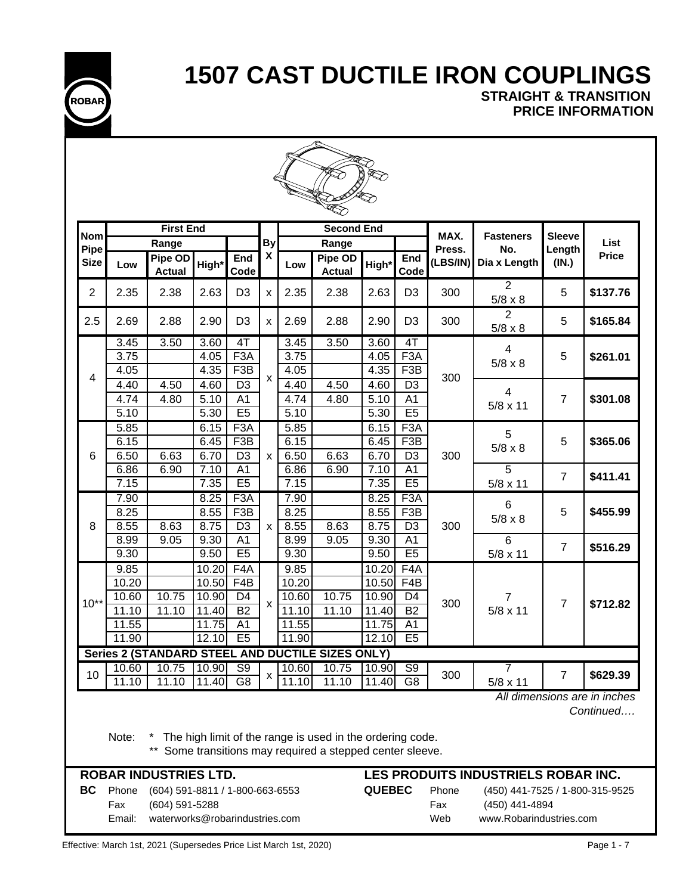

**STRAIGHT & TRANSITION PRICE INFORMATION**

| <b>Nom</b>     |                        | <b>First End</b>                                                                    |              |                         |                           |              | <b>Second End</b>                                                                                                   |               |                       | MAX.                | <b>Fasteners</b>                                                             | <b>Sleeve</b>  |                                           |
|----------------|------------------------|-------------------------------------------------------------------------------------|--------------|-------------------------|---------------------------|--------------|---------------------------------------------------------------------------------------------------------------------|---------------|-----------------------|---------------------|------------------------------------------------------------------------------|----------------|-------------------------------------------|
| Pipe           |                        | Range                                                                               |              |                         | <b>By</b>                 |              | Range                                                                                                               |               |                       | Press.              | No.                                                                          | Length         | List                                      |
| <b>Size</b>    | Low                    | Pipe OD<br><b>Actual</b>                                                            | High*        | End<br>Code             | $\boldsymbol{\mathsf{X}}$ | Low          | Pipe OD<br><b>Actual</b>                                                                                            | High*         | End<br>Code           | (LBS/IN)            | Dia x Length                                                                 | (IN.)          | <b>Price</b>                              |
| $\overline{2}$ | 2.35                   | 2.38                                                                                | 2.63         | D <sub>3</sub>          | $\boldsymbol{\mathsf{x}}$ | 2.35         | 2.38                                                                                                                | 2.63          | D <sub>3</sub>        | 300                 | $\overline{2}$<br>$5/8 \times 8$                                             | 5              | \$137.76                                  |
| 2.5            | 2.69                   | 2.88                                                                                | 2.90         | D <sub>3</sub>          | $\pmb{\chi}$              | 2.69         | 2.88                                                                                                                | 2.90          | D <sub>3</sub>        | 300                 | $\overline{2}$<br>$5/8 \times 8$                                             | 5              | \$165.84                                  |
|                | 3.45                   | 3.50                                                                                | 3.60         | 4T                      |                           | 3.45         | 3.50                                                                                                                | 3.60          | $\overline{4}$        |                     |                                                                              |                |                                           |
|                | 3.75                   |                                                                                     | 4.05         | F <sub>3</sub> A        |                           | 3.75         |                                                                                                                     | 4.05          | F <sub>3</sub> A      |                     | 4<br>$5/8 \times 8$                                                          | 5              | \$261.01                                  |
| 4              | 4.05                   |                                                                                     | 4.35         | F <sub>3</sub> B        | $\mathsf{x}$              | 4.05         |                                                                                                                     | 4.35          | F <sub>3</sub> B      | 300                 |                                                                              |                |                                           |
|                | 4.40                   | 4.50                                                                                | 4.60         | D <sub>3</sub>          |                           | 4.40         | 4.50                                                                                                                | 4.60          | D <sub>3</sub>        |                     | 4                                                                            |                |                                           |
|                | 4.74                   | 4.80                                                                                | 5.10         | A <sub>1</sub>          |                           | 4.74         | 4.80                                                                                                                | 5.10          | A <sub>1</sub>        |                     | $5/8 \times 11$                                                              | $\overline{7}$ | \$301.08                                  |
|                | 5.10                   |                                                                                     | 5.30         | E5                      |                           | 5.10         |                                                                                                                     | 5.30          | E5                    |                     |                                                                              |                |                                           |
|                | 5.85                   |                                                                                     | 6.15         | F <sub>3</sub> A        |                           | 5.85         |                                                                                                                     | 6.15          | F <sub>3</sub> A      |                     | 5                                                                            |                |                                           |
|                | 6.15                   |                                                                                     | 6.45         | F <sub>3</sub> B        |                           | 6.15         |                                                                                                                     | 6.45          | F <sub>3</sub> B      |                     | $5/8 \times 8$                                                               | 5              | \$365.06                                  |
| 6              | 6.50                   | 6.63                                                                                | 6.70         | D <sub>3</sub>          | X                         | 6.50         | 6.63                                                                                                                | 6.70          | D <sub>3</sub>        | 300                 |                                                                              |                |                                           |
|                | 6.86                   | 6.90                                                                                | 7.10         | A <sub>1</sub><br>E5    |                           | 6.86         | 6.90                                                                                                                | 7.10          | A <sub>1</sub><br>E5  |                     | $\overline{5}$                                                               | $\overline{7}$ | \$411.41                                  |
|                | 7.15                   |                                                                                     | 7.35         |                         |                           | 7.15         |                                                                                                                     | 7.35          |                       |                     | $5/8 \times 11$                                                              |                |                                           |
|                | 7.90<br>8.25           |                                                                                     | 8.25         | F3A<br>F <sub>3</sub> B |                           | 7.90<br>8.25 |                                                                                                                     | 8.25          | F3A                   |                     | 6                                                                            | 5              | \$455.99                                  |
| 8              | 8.55                   | 8.63                                                                                | 8.55<br>8.75 | $\overline{D3}$         | $\mathsf{x}$              | 8.55         | 8.63                                                                                                                | 8.55<br>8.75  | F3B<br>D <sub>3</sub> | 300                 | $5/8 \times 8$                                                               |                |                                           |
|                | 8.99                   | 9.05                                                                                | 9.30         | A <sub>1</sub>          |                           | 8.99         | 9.05                                                                                                                | 9.30          | A <sub>1</sub>        |                     | $6\phantom{1}$                                                               |                |                                           |
|                | 9.30                   |                                                                                     | 9.50         | E5                      |                           | 9.30         |                                                                                                                     | 9.50          | E5                    |                     | $5/8 \times 11$                                                              | $\overline{7}$ | \$516.29                                  |
|                | 9.85                   |                                                                                     | 10.20        | F <sub>4</sub> A        |                           | 9.85         |                                                                                                                     | 10.20         | F <sub>4</sub> A      |                     |                                                                              |                |                                           |
|                | 10.20                  |                                                                                     | 10.50        | F4B                     |                           | 10.20        |                                                                                                                     | 10.50         | F4B                   |                     |                                                                              |                |                                           |
|                | 10.60                  | 10.75                                                                               | 10.90        | D <sub>4</sub>          |                           | 10.60        | 10.75                                                                                                               | 10.90         | D <sub>4</sub>        |                     | $\overline{7}$                                                               |                |                                           |
| $10**$         | 11.10                  | 11.10                                                                               | 11.40        | <b>B2</b>               | X                         | 11.10        | 11.10                                                                                                               | 11.40         | <b>B2</b>             | 300                 | $5/8 \times 11$                                                              | $\overline{7}$ | \$712.82                                  |
|                | $\overline{11.55}$     |                                                                                     | 11.75        | A <sub>1</sub>          |                           | 11.55        |                                                                                                                     | 11.75         | A1                    |                     |                                                                              |                |                                           |
|                | 11.90                  |                                                                                     | 12.10        | E <sub>5</sub>          |                           | 11.90        |                                                                                                                     | 12.10         | E5                    |                     |                                                                              |                |                                           |
|                |                        |                                                                                     |              |                         |                           |              | Series 2 (STANDARD STEEL AND DUCTILE SIZES ONLY)                                                                    |               |                       |                     |                                                                              |                |                                           |
| 10             | 10.60                  | 10.75                                                                               | 10.90        | S <sub>9</sub>          | х                         | 10.60        | 10.75                                                                                                               | 10.90         | S <sub>9</sub>        | 300                 | 7                                                                            | $\overline{7}$ | \$629.39                                  |
|                | 11.10                  | 11.10                                                                               | 11.40        | G <sub>8</sub>          |                           | 11.10        | 11.10                                                                                                               | 11.40         | G <sub>8</sub>        |                     | $5/8 \times 11$                                                              |                |                                           |
|                | Note:                  | $***$                                                                               |              |                         |                           |              | The high limit of the range is used in the ordering code.<br>Some transitions may required a stepped center sleeve. |               |                       |                     |                                                                              |                | All dimensions are in inches<br>Continued |
|                |                        | <b>ROBAR INDUSTRIES LTD.</b>                                                        |              |                         |                           |              |                                                                                                                     |               |                       |                     | LES PRODUITS INDUSTRIELS ROBAR INC.                                          |                |                                           |
| BC             | Phone<br>Fax<br>Email: | (604) 591-8811 / 1-800-663-6553<br>(604) 591-5288<br>waterworks@robarindustries.com |              |                         |                           |              |                                                                                                                     | <b>QUEBEC</b> |                       | Phone<br>Fax<br>Web | (450) 441-7525 / 1-800-315-9525<br>(450) 441-4894<br>www.Robarindustries.com |                |                                           |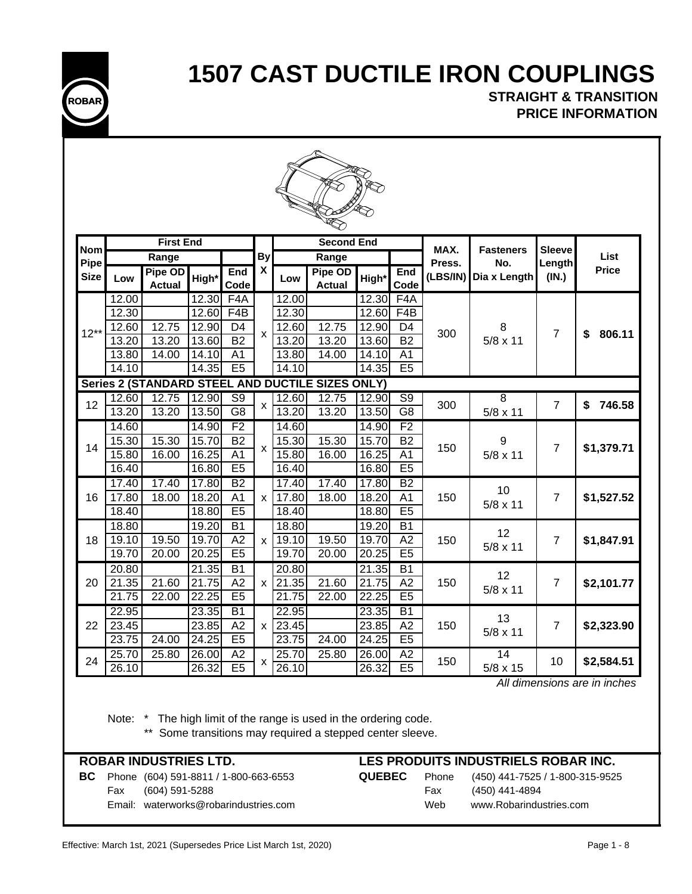

## **STRAIGHT & TRANSITION PRICE INFORMATION**

| Nom         |                | <b>First End</b>         |                |                             |                    |                    | <b>Second End</b>                                |                |                             | MAX.     | <b>Fasteners</b>     | <b>Sleeve</b>  |              |
|-------------|----------------|--------------------------|----------------|-----------------------------|--------------------|--------------------|--------------------------------------------------|----------------|-----------------------------|----------|----------------------|----------------|--------------|
| Pipe        |                | Range                    |                |                             | <b>By</b>          |                    | Range                                            |                |                             | Press.   | No.                  | Length         | List         |
| <b>Size</b> | Low            | Pipe OD<br><b>Actual</b> | High*          | <b>End</b><br>Code          | X                  | Low                | Pipe OD<br><b>Actual</b>                         | High*          | End<br>Code                 | (LBS/IN) | Dia x Length         | (IN.)          | <b>Price</b> |
|             | 12.00          |                          | 12.30          | F4A                         |                    | 12.00              |                                                  | 12.30          | F <sub>4</sub> A            |          |                      |                |              |
|             | 12.30          |                          | 12.60          | F4B                         |                    | 12.30              |                                                  | 12.60          | F4B                         |          |                      |                |              |
| $12**$      | 12.60          | 12.75                    | 12.90          | D <sub>4</sub>              | $\pmb{\mathsf{x}}$ | 12.60              | 12.75                                            | 12.90          | D <sub>4</sub>              | 300      | 8                    | $\overline{7}$ | \$<br>806.11 |
|             | 13.20          | 13.20                    | 13.60          | B2                          |                    | 13.20              | 13.20                                            | 13.60          | $\overline{B2}$             |          | $5/8 \times 11$      |                |              |
|             | 13.80          | 14.00                    | 14.10          | A <sub>1</sub>              |                    | 13.80              | 14.00                                            | 14.10          | A <sub>1</sub>              |          |                      |                |              |
|             | 14.10          |                          | 14.35          | E5                          |                    | 14.10              |                                                  | 14.35          | E5                          |          |                      |                |              |
|             |                |                          |                |                             |                    |                    | Series 2 (STANDARD STEEL AND DUCTILE SIZES ONLY) |                |                             |          |                      |                |              |
| 12          | 12.60          | 12.75                    | 12.90          | $\overline{\mathsf{S9}}$    | x                  | 12.60              | 12.75                                            | 12.90          | $\overline{S9}$             | 300      | $\overline{8}$       | $\overline{7}$ | 746.58<br>\$ |
|             | 13.20          | 13.20                    | 13.50          | $\overline{G8}$             |                    | 13.20              | 13.20                                            | 13.50          | $\overline{G8}$             |          | $5/8 \times 11$      |                |              |
|             | 14.60          |                          | 14.90          | F <sub>2</sub>              |                    | 14.60              |                                                  | 14.90          | F <sub>2</sub>              |          |                      |                |              |
| 14          | 15.30<br>15.80 | 15.30                    | 15.70<br>16.25 | <b>B2</b><br>A <sub>1</sub> | $\pmb{\times}$     | 15.30<br>15.80     | 15.30<br>16.00                                   | 15.70<br>16.25 | <b>B2</b><br>A <sub>1</sub> | 150      | 9<br>$5/8 \times 11$ | $\overline{7}$ | \$1,379.71   |
|             | 16.40          | 16.00                    | 16.80          | E5                          |                    | 16.40              |                                                  | 16.80          | E5                          |          |                      |                |              |
|             | 17.40          | 17.40                    | 17.80          | $\overline{B2}$             |                    | 17.40              | 17.40                                            | 17.80          | <b>B2</b>                   |          |                      |                |              |
| 16          | 17.80          | 18.00                    | 18.20          | A <sub>1</sub>              | X.                 | 17.80              | 18.00                                            | 18.20          | A <sub>1</sub>              | 150      | 10                   | $\overline{7}$ | \$1,527.52   |
|             | 18.40          |                          | 18.80          | E <sub>5</sub>              |                    | 18.40              |                                                  | 18.80          | E5                          |          | 5/8 x 11             |                |              |
|             | 18.80          |                          | 19.20          | $\overline{B1}$             |                    | 18.80              |                                                  | 19.20          | B1                          |          |                      |                |              |
| 18          | 19.10          | 19.50                    | 19.70          | A2                          | $\times$           | 19.10              | 19.50                                            | 19.70          | $\overline{A2}$             | 150      | 12                   | $\overline{7}$ | \$1,847.91   |
|             | 19.70          | 20.00                    | 20.25          | E5                          |                    | 19.70              | 20.00                                            | 20.25          | E5                          |          | 5/8 x 11             |                |              |
|             | 20.80          |                          | 21.35          | $\overline{B1}$             |                    | 20.80              |                                                  | 21.35          | $\overline{B1}$             |          | 12                   |                |              |
| 20          | 21.35          | 21.60                    | 21.75          | A2                          | $\times$           | 21.35              | 21.60                                            | 21.75          | A2                          | 150      | 5/8 x 11             | $\overline{7}$ | \$2,101.77   |
|             | 21.75          | 22.00                    | 22.25          | E <sub>5</sub>              |                    | 21.75              | 22.00                                            | 22.25          | E <sub>5</sub>              |          |                      |                |              |
|             | 22.95          |                          | 23.35          | $\overline{B1}$             |                    | 22.95              |                                                  | 23.35          | $\overline{B1}$             |          | 13                   |                |              |
| 22          | 23.45          |                          | 23.85          | A2                          | $\times$           | $\overline{2}3.45$ |                                                  | 23.85          | A2                          | 150      | 5/8 x 11             | $\overline{7}$ | \$2,323.90   |
|             | 23.75          | 24.00                    | 24.25          | E <sub>5</sub>              |                    | 23.75              | $\overline{2}4.00$                               | 24.25          | E5                          |          |                      |                |              |
| 24          | 25.70          | 25.80                    | 26.00          | A2                          | X                  | 25.70              | 25.80                                            | 26.00          | A2                          | 150      | 14                   | 10             | \$2,584.51   |
|             | 26.10          |                          | 26.32          | E <sub>5</sub>              |                    | 26.10              |                                                  | 26.32          | E5                          |          | 5/8 x 15             |                |              |

 *All dimensions are in inches*

Note: \* The high limit of the range is used in the ordering code.

\*\* Some transitions may required a stepped center sleeve.

## **BC** Phone (604) 591-8811 / 1-800-663-6553 **QUEBEC** Phone (450) 441-7525 / 1-800-315-9525

## Fax (604) 591-5288 Fax (450) 441-4894 Email: waterworks@robarindustries.com Web www.Robarindustries.com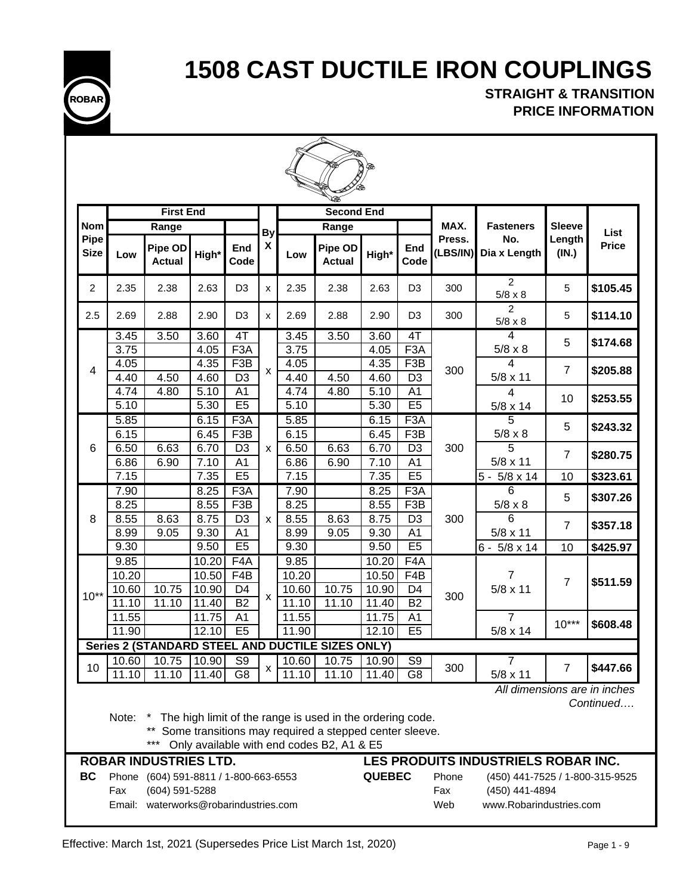

**STRAIGHT & TRANSITION PRICE INFORMATION**

|                     |                | <b>First End</b>                                                                           |                |                                      |                           |                | <b>Second End</b>                                                                                                                                                |                |                                      |                     |                                                                              |                 |              |
|---------------------|----------------|--------------------------------------------------------------------------------------------|----------------|--------------------------------------|---------------------------|----------------|------------------------------------------------------------------------------------------------------------------------------------------------------------------|----------------|--------------------------------------|---------------------|------------------------------------------------------------------------------|-----------------|--------------|
| <b>Nom</b>          |                | Range                                                                                      |                |                                      | By                        |                | Range                                                                                                                                                            |                |                                      | MAX.                | <b>Fasteners</b>                                                             | <b>Sleeve</b>   | List         |
| Pipe<br><b>Size</b> | Low            | Pipe OD<br><b>Actual</b>                                                                   | High*          | End<br>Code                          | $\pmb{\chi}$              | Low            | Pipe OD<br><b>Actual</b>                                                                                                                                         | High*          | End<br>Code                          | Press.<br>(LBS/IN)  | No.<br>Dia x Length                                                          | Length<br>(IN.) | <b>Price</b> |
| $\overline{2}$      | 2.35           | 2.38                                                                                       | 2.63           | D <sub>3</sub>                       | x                         | 2.35           | 2.38                                                                                                                                                             | 2.63           | D <sub>3</sub>                       | 300                 | $\overline{2}$<br>$5/8 \times 8$                                             | 5               | \$105.45     |
| 2.5                 | 2.69           | 2.88                                                                                       | 2.90           | D <sub>3</sub>                       | x                         | 2.69           | 2.88                                                                                                                                                             | 2.90           | D <sub>3</sub>                       | 300                 | $\overline{2}$<br>$5/8 \times 8$                                             | 5               | \$114.10     |
|                     | 3.45           | 3.50                                                                                       | 3.60           | 4T                                   |                           | 3.45           | 3.50                                                                                                                                                             | 3.60           | 4T                                   |                     | 4                                                                            | 5               | \$174.68     |
|                     | 3.75           |                                                                                            | 4.05           | F <sub>3</sub> A                     |                           | 3.75           |                                                                                                                                                                  | 4.05           | F <sub>3</sub> A                     |                     | $5/8 \times 8$                                                               |                 |              |
| 4                   | 4.05           |                                                                                            | 4.35           | F3B                                  | X                         | 4.05           |                                                                                                                                                                  | 4.35           | F3B                                  | 300                 | 4                                                                            | $\overline{7}$  | \$205.88     |
|                     | 4.40           | 4.50                                                                                       | 4.60           | $\overline{D3}$                      |                           | 4.40           | 4.50                                                                                                                                                             | 4.60           | D <sub>3</sub>                       |                     | $5/8 \times 11$                                                              |                 |              |
|                     | 4.74           | 4.80                                                                                       | 5.10           | A <sub>1</sub>                       |                           | 4.74           | 4.80                                                                                                                                                             | 5.10           | A <sub>1</sub>                       |                     | 4                                                                            | 10              | \$253.55     |
|                     | 5.10           |                                                                                            | 5.30           | E5                                   |                           | 5.10           |                                                                                                                                                                  | 5.30           | E <sub>5</sub>                       |                     | 5/8 x 14                                                                     |                 |              |
|                     | 5.85<br>6.15   |                                                                                            | 6.15<br>6.45   | F <sub>3</sub> A<br>F <sub>3</sub> B |                           | 5.85<br>6.15   |                                                                                                                                                                  | 6.15<br>6.45   | F <sub>3</sub> A<br>F <sub>3</sub> B |                     | 5                                                                            | 5               | \$243.32     |
| 6                   | 6.50           | 6.63                                                                                       | 6.70           | D <sub>3</sub>                       | X                         | 6.50           | 6.63                                                                                                                                                             | 6.70           | D <sub>3</sub>                       | 300                 | $5/8 \times 8$<br>5                                                          |                 |              |
|                     | 6.86           | 6.90                                                                                       | 7.10           | $\overline{A1}$                      |                           | 6.86           | 6.90                                                                                                                                                             | 7.10           | $\overline{A1}$                      |                     | $5/8 \times 11$                                                              | $\overline{7}$  | \$280.75     |
|                     | 7.15           |                                                                                            | 7.35           | E5                                   |                           | 7.15           |                                                                                                                                                                  | 7.35           | E5                                   |                     | $5 -$<br>$5/8 \times 14$                                                     | 10              | \$323.61     |
|                     | 7.90           |                                                                                            | 8.25           | F <sub>3</sub> A                     |                           | 7.90           |                                                                                                                                                                  | 8.25           | F3A                                  |                     | 6                                                                            |                 |              |
|                     | 8.25           |                                                                                            | 8.55           | F <sub>3</sub> B                     |                           | 8.25           |                                                                                                                                                                  | 8.55           | F <sub>3</sub> B                     |                     | $5/8 \times 8$                                                               | 5               | \$307.26     |
| 8                   | 8.55           | 8.63                                                                                       | 8.75           | D <sub>3</sub>                       | X                         | 8.55           | 8.63                                                                                                                                                             | 8.75           | D <sub>3</sub>                       | 300                 | 6                                                                            |                 |              |
|                     | 8.99           | 9.05                                                                                       | 9.30           | A <sub>1</sub>                       |                           | 8.99           | 9.05                                                                                                                                                             | 9.30           | A <sub>1</sub>                       |                     | 5/8 x 11                                                                     | $\overline{7}$  | \$357.18     |
|                     | 9.30           |                                                                                            | 9.50           | E5                                   |                           | 9.30           |                                                                                                                                                                  | 9.50           | E <sub>5</sub>                       |                     | $6 - 5/8 \times 14$                                                          | 10              | \$425.97     |
|                     | 9.85           |                                                                                            | 10.20          | F4A                                  |                           | 9.85           |                                                                                                                                                                  | 10.20          | F4A                                  |                     |                                                                              |                 |              |
|                     | 10.20          |                                                                                            | 10.50          | F4B                                  |                           | 10.20          |                                                                                                                                                                  | 10.50          | F <sub>4</sub> B                     |                     | 7                                                                            | $\overline{7}$  | \$511.59     |
| $10**$              | 10.60          | 10.75                                                                                      | 10.90          | D <sub>4</sub>                       | $\boldsymbol{\mathsf{x}}$ | 10.60          | 10.75                                                                                                                                                            | 10.90          | D4                                   | 300                 | $5/8 \times 11$                                                              |                 |              |
|                     | 11.10          | 11.10                                                                                      | 11.40          | <b>B2</b>                            |                           | 11.10          | 11.10                                                                                                                                                            | 11.40          | <b>B2</b>                            |                     |                                                                              |                 |              |
|                     | 11.55          |                                                                                            | 11.75          | A <sub>1</sub>                       |                           | 11.55          |                                                                                                                                                                  | 11.75          | A <sub>1</sub>                       |                     | 7                                                                            | $10***$         | \$608.48     |
|                     | 11.90          |                                                                                            | 12.10          | E5                                   |                           | 11.90          |                                                                                                                                                                  | 12.10          | E5                                   |                     | $5/8 \times 14$                                                              |                 |              |
|                     |                |                                                                                            |                |                                      |                           |                | Series 2 (STANDARD STEEL AND DUCTILE SIZES ONLY)                                                                                                                 |                |                                      |                     |                                                                              |                 |              |
| 10                  | 10.60<br>11.10 | 10.75<br>11.10                                                                             | 10.90<br>11.40 | S <sub>9</sub><br>G <sub>8</sub>     | х                         | 10.60<br>11.10 | 10.75<br>11.10                                                                                                                                                   | 10.90<br>11.40 | S <sub>9</sub><br>G <sub>8</sub>     | 300                 | 7                                                                            | 7               | \$447.66     |
|                     |                |                                                                                            |                |                                      |                           |                |                                                                                                                                                                  |                |                                      |                     | $5/8 \times 11$<br>All dimensions are in inches                              |                 |              |
|                     | Note:          | $***$<br><b>ROBAR INDUSTRIES LTD.</b>                                                      |                |                                      |                           |                | The high limit of the range is used in the ordering code.<br>Some transitions may required a stepped center sleeve.<br>Only available with end codes B2, A1 & E5 |                |                                      |                     | LES PRODUITS INDUSTRIELS ROBAR INC.                                          |                 | Continued    |
| BC                  | Phone<br>Fax   | (604) 591-8811 / 1-800-663-6553<br>(604) 591-5288<br>Email: waterworks@robarindustries.com |                |                                      |                           |                |                                                                                                                                                                  | <b>QUEBEC</b>  |                                      | Phone<br>Fax<br>Web | (450) 441-7525 / 1-800-315-9525<br>(450) 441-4894<br>www.Robarindustries.com |                 |              |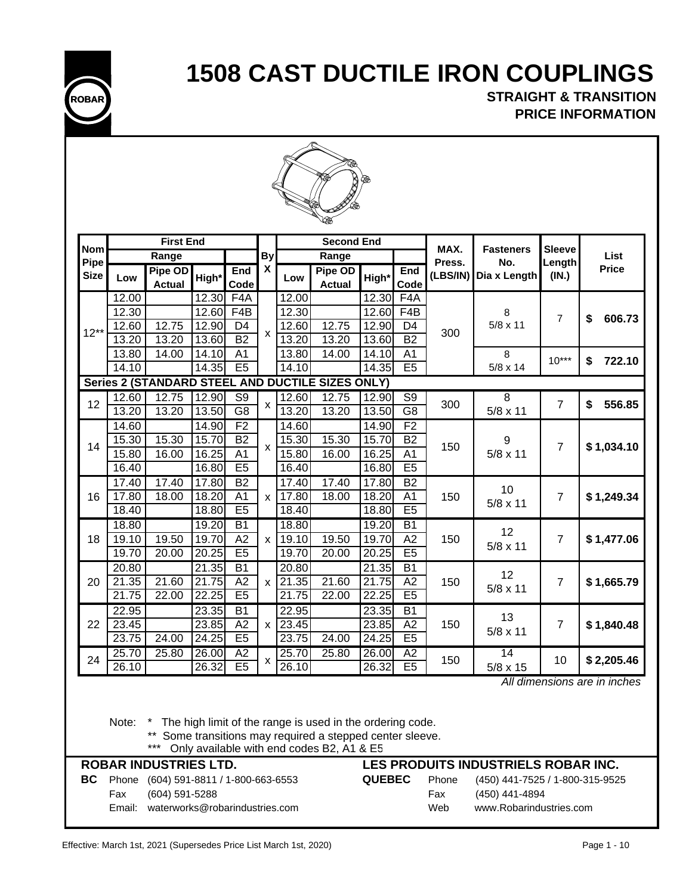

**STRAIGHT & TRANSITION PRICE INFORMATION**



| <b>Nom</b><br>Pipe<br><b>Size</b><br>12.00 | Low   | <b>First End</b><br>Range<br>Pipe OD |       |                          |                           |       | <b>Second End</b>                                |       |                 |          |                  |                |              |
|--------------------------------------------|-------|--------------------------------------|-------|--------------------------|---------------------------|-------|--------------------------------------------------|-------|-----------------|----------|------------------|----------------|--------------|
|                                            |       |                                      |       |                          |                           |       |                                                  |       |                 | MAX.     | <b>Fasteners</b> | <b>Sleeve</b>  |              |
|                                            |       |                                      |       |                          | <b>By</b>                 |       | Range                                            |       |                 | Press.   | No.              | Length         | List         |
|                                            |       | <b>Actual</b>                        | High* | End<br>Code              | $\boldsymbol{\mathsf{x}}$ | Low   | Pipe OD<br><b>Actual</b>                         | High* | End<br>Code     | (LBS/IN) | Dia x Length     | (IN.)          | <b>Price</b> |
|                                            |       |                                      | 12.30 | F4A                      |                           | 12.00 |                                                  | 12.30 | F4A             |          |                  |                |              |
|                                            | 12.30 |                                      | 12.60 | F4B                      |                           | 12.30 |                                                  | 12.60 | F4B             |          | 8                | $\overline{7}$ | \$<br>606.73 |
| $12**$                                     | 12.60 | 12.75                                | 12.90 | D <sub>4</sub>           | $\mathsf{x}$              | 12.60 | 12.75                                            | 12.90 | D <sub>4</sub>  | 300      | $5/8 \times 11$  |                |              |
|                                            | 13.20 | 13.20                                | 13.60 | <b>B2</b>                |                           | 13.20 | 13.20                                            | 13.60 | <b>B2</b>       |          |                  |                |              |
|                                            | 13.80 | 14.00                                | 14.10 | A <sub>1</sub>           |                           | 13.80 | 14.00                                            | 14.10 | A <sub>1</sub>  |          | 8                | $10***$        | \$<br>722.10 |
|                                            | 14.10 |                                      | 14.35 | E5                       |                           | 14.10 |                                                  | 14.35 | E5              |          | $5/8 \times 14$  |                |              |
|                                            |       |                                      |       |                          |                           |       | Series 2 (STANDARD STEEL AND DUCTILE SIZES ONLY) |       |                 |          |                  |                |              |
| 12                                         | 12.60 | 12.75                                | 12.90 | $\overline{\mathsf{S9}}$ |                           | 12.60 | 12.75                                            | 12.90 | $\overline{S9}$ | 300      | $\overline{8}$   | $\overline{7}$ | \$<br>556.85 |
|                                            | 13.20 | 13.20                                | 13.50 | G8                       | X                         | 13.20 | 13.20                                            | 13.50 | $\overline{G8}$ |          | $5/8 \times 11$  |                |              |
|                                            | 14.60 |                                      | 14.90 | F <sub>2</sub>           |                           | 14.60 |                                                  | 14.90 | F <sub>2</sub>  |          |                  |                |              |
| 14                                         | 15.30 | 15.30                                | 15.70 | <b>B2</b>                | $\mathsf{x}$              | 15.30 | 15.30                                            | 15.70 | <b>B2</b>       | 150      | 9                | $\overline{7}$ |              |
|                                            | 15.80 | 16.00                                | 16.25 | A <sub>1</sub>           |                           | 15.80 | 16.00                                            | 16.25 | A <sub>1</sub>  |          | $5/8 \times 11$  |                | \$1,034.10   |
|                                            | 16.40 |                                      | 16.80 | E5                       |                           | 16.40 |                                                  | 16.80 | E5              |          |                  |                |              |
|                                            | 17.40 | 17.40                                | 17.80 | B2                       |                           | 17.40 | 17.40                                            | 17.80 | B2              |          | 10               |                |              |
| 16                                         | 17.80 | 18.00                                | 18.20 | A <sub>1</sub>           | $\mathsf{x}$              | 17.80 | 18.00                                            | 18.20 | A <sub>1</sub>  | 150      |                  | $\overline{7}$ | \$1,249.34   |
|                                            | 18.40 |                                      | 18.80 | E5                       |                           | 18.40 |                                                  | 18.80 | E5              |          | $5/8 \times 11$  |                |              |
|                                            | 18.80 |                                      | 19.20 | $\overline{B1}$          |                           | 18.80 |                                                  | 19.20 | $\overline{B1}$ |          |                  |                |              |
| 18                                         | 19.10 | 19.50                                | 19.70 | A2                       | $\mathsf{x}$              | 19.10 | 19.50                                            | 19.70 | A2              | 150      | 12               | $\overline{7}$ | \$1,477.06   |
|                                            | 19.70 | 20.00                                | 20.25 | E <sub>5</sub>           |                           | 19.70 | 20.00                                            | 20.25 | E <sub>5</sub>  |          | 5/8 x 11         |                |              |
|                                            | 20.80 |                                      | 21.35 | $\overline{B1}$          |                           | 20.80 |                                                  | 21.35 | $\overline{B1}$ |          |                  |                |              |
| 20                                         | 21.35 | 21.60                                | 21.75 | A2                       | X                         | 21.35 | $\overline{2}1.60$                               | 21.75 | A2              | 150      | 12               | $\overline{7}$ | \$1,665.79   |
|                                            | 21.75 | 22.00                                | 22.25 | E5                       |                           | 21.75 | 22.00                                            | 22.25 | E5              |          | $5/8 \times 11$  |                |              |
|                                            | 22.95 |                                      | 23.35 | <b>B1</b>                |                           | 22.95 |                                                  | 23.35 | $\overline{B1}$ |          |                  |                |              |
| 23.45<br>22                                |       |                                      | 23.85 | A2                       | X                         | 23.45 |                                                  | 23.85 | A2              | 150      | 13               | $\overline{7}$ | \$1,840.48   |
|                                            | 23.75 | 24.00                                | 24.25 | E5                       |                           | 23.75 | 24.00                                            | 24.25 | E5              |          | 5/8 x 11         |                |              |
|                                            | 25.70 | 25.80                                | 26.00 | A2                       |                           | 25.70 | 25.80                                            | 26.00 | A2              |          | 14               |                |              |
| 24                                         | 26.10 |                                      | 26.32 | E5                       | X                         | 26.10 |                                                  | 26.32 | E5              | 150      | 5/8 x 15         | 10             | \$2,205.46   |

 *All dimensions are in inches*

Note: \* The high limit of the range is used in the ordering code.

\*\* Some transitions may required a stepped center sleeve.

\*\*\* Only available with end codes B2, A1 & E5

|    |        | <b>ROBAR INDUSTRIES LTD.</b>          |               |       | LES PRODUITS INDUSTRIELS ROBAR INC. |
|----|--------|---------------------------------------|---------------|-------|-------------------------------------|
| BC |        | Phone (604) 591-8811 / 1-800-663-6553 | <b>QUEBEC</b> | Phone | (450) 441-7525 / 1-800-315-9525     |
|    | Fax    | (604) 591-5288                        |               | Fax   | (450) 441-4894                      |
|    | Email: | waterworks@robarindustries.com        |               | Web   | www.Robarindustries.com             |
|    |        |                                       |               |       |                                     |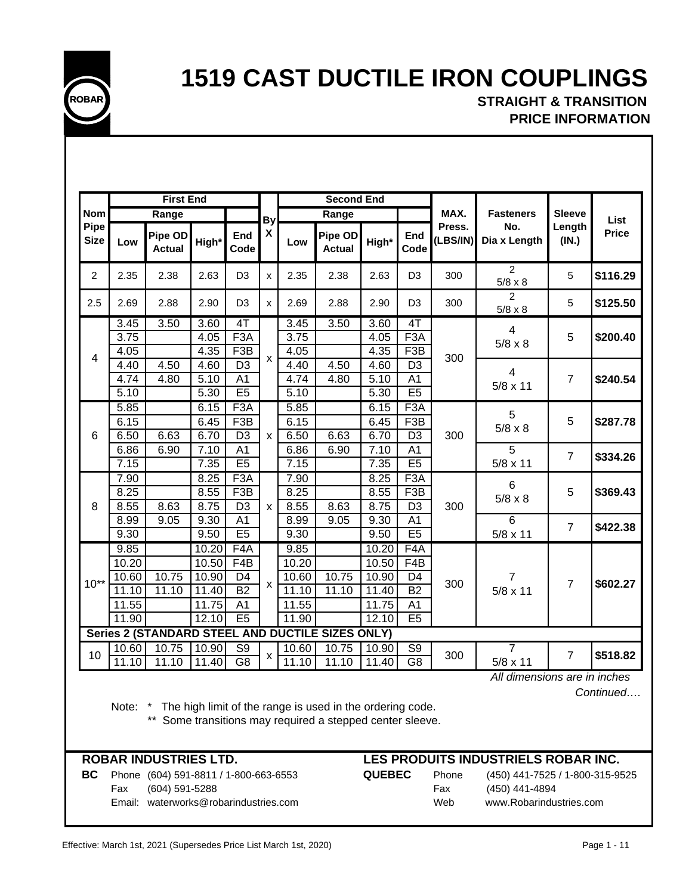

## **STRAIGHT & TRANSITION PRICE INFORMATION**

|                     |               | <b>First End</b>                                 |                |                      |                    |                   | <b>Second End</b>        |                |                      |                    |                                  |                 |              |
|---------------------|---------------|--------------------------------------------------|----------------|----------------------|--------------------|-------------------|--------------------------|----------------|----------------------|--------------------|----------------------------------|-----------------|--------------|
| <b>Nom</b>          |               | Range                                            |                |                      | <b>By</b>          |                   | Range                    |                |                      | MAX.               | <b>Fasteners</b>                 | <b>Sleeve</b>   | List         |
| Pipe<br><b>Size</b> | Low           | Pipe OD<br><b>Actual</b>                         | High*          | End<br>Code          | $\pmb{\mathsf{X}}$ | Low               | Pipe OD<br><b>Actual</b> | High*          | End<br>Code          | Press.<br>(LBS/IN) | No.<br>Dia x Length              | Length<br>(IN.) | <b>Price</b> |
| $\overline{c}$      | 2.35          | 2.38                                             | 2.63           | D <sub>3</sub>       | x                  | 2.35              | 2.38                     | 2.63           | D <sub>3</sub>       | 300                | 2<br>$5/8 \times 8$              | 5               | \$116.29     |
| 2.5                 | 2.69          | 2.88                                             | 2.90           | D <sub>3</sub>       | x                  | 2.69              | 2.88                     | 2.90           | D <sub>3</sub>       | 300                | $\overline{2}$<br>$5/8 \times 8$ | 5               | \$125.50     |
|                     | 3.45          | 3.50                                             | 3.60           | 4T                   |                    | 3.45              | 3.50                     | 3.60           | 4T                   |                    | $\overline{4}$                   |                 |              |
|                     | 3.75          |                                                  | 4.05           | F <sub>3</sub> A     |                    | $\overline{3.75}$ |                          | 4.05           | F <sub>3</sub> A     |                    | $5/8 \times 8$                   | 5               | \$200.40     |
| 4                   | 4.05          |                                                  | 4.35           | F <sub>3</sub> B     | X                  | 4.05              |                          | 4.35           | F <sub>3</sub> B     | 300                |                                  |                 |              |
|                     | 4.40          | 4.50                                             | 4.60           | D <sub>3</sub>       |                    | 4.40              | 4.50                     | 4.60           | D <sub>3</sub>       |                    | 4                                |                 |              |
|                     | 4.74          | 4.80                                             | 5.10           | A <sub>1</sub>       |                    | 4.74              | 4.80                     | 5.10           | A <sub>1</sub>       |                    | $5/8 \times 11$                  | $\overline{7}$  | \$240.54     |
|                     | 5.10          |                                                  | 5.30           | E5                   |                    | 5.10              |                          | 5.30           | E5                   |                    |                                  |                 |              |
|                     | 5.85          |                                                  | 6.15           | F <sub>3</sub> A     |                    | 5.85              |                          | 6.15           | F <sub>3</sub> A     |                    | 5                                |                 |              |
|                     | 6.15          |                                                  | 6.45           | F <sub>3</sub> B     |                    | 6.15              |                          | 6.45           | F <sub>3</sub> B     |                    | $5/8 \times 8$                   | 5               | \$287.78     |
| 6                   | 6.50          | 6.63                                             | 6.70           | D <sub>3</sub>       | $\mathsf{x}$       | 6.50              | 6.63                     | 6.70           | D <sub>3</sub>       | 300                |                                  |                 |              |
|                     | 6.86          | 6.90                                             | 7.10           | A <sub>1</sub>       |                    | 6.86              | 6.90                     | 7.10           | A <sub>1</sub>       |                    | 5                                | $\overline{7}$  | \$334.26     |
|                     | 7.15          |                                                  | 7.35           | E5                   |                    | 7.15              |                          | 7.35           | E5                   |                    | $5/8 \times 11$                  |                 |              |
|                     | 7.90          |                                                  | 8.25           | F3A                  |                    | 7.90              |                          | 8.25           | F3A                  |                    | 6                                |                 |              |
|                     | 8.25          |                                                  | 8.55           | F3B                  |                    | 8.25              |                          | 8.55           | F3B                  |                    | $5/8 \times 8$                   | 5               | \$369.43     |
| 8                   | 8.55          | 8.63                                             | 8.75           | $\overline{D3}$      | X                  | 8.55              | 8.63                     | 8.75           | D <sub>3</sub>       | 300                |                                  |                 |              |
|                     | 8.99<br>9.30  | 9.05                                             | 9.30<br>9.50   | A <sub>1</sub><br>E5 |                    | 8.99<br>9.30      | 9.05                     | 9.30<br>9.50   | A <sub>1</sub><br>E5 |                    | 6                                | $\overline{7}$  | \$422.38     |
|                     |               |                                                  |                | F <sub>4</sub> A     |                    |                   |                          |                | F <sub>4</sub> A     |                    | $5/8 \times 11$                  |                 |              |
|                     | 9.85<br>10.20 |                                                  | 10.20<br>10.50 | $\overline{F4B}$     |                    | 9.85<br>10.20     |                          | 10.20<br>10.50 | F4B                  |                    |                                  |                 |              |
|                     | 10.60         | 10.75                                            | 10.90          | D <sub>4</sub>       |                    | 10.60             | 10.75                    | 10.90          | D <sub>4</sub>       |                    | $\overline{7}$                   |                 |              |
| $10^{**}$           | 11.10         | 11.10                                            | 11.40          | <b>B2</b>            | X                  | 11.10             | 11.10                    | 11.40          | <b>B2</b>            | 300                | $5/8 \times 11$                  | 7               | \$602.27     |
|                     | 11.55         |                                                  | 11.75          | A <sub>1</sub>       |                    | 11.55             |                          | 11.75          | A <sub>1</sub>       |                    |                                  |                 |              |
|                     | 11.90         |                                                  | 12.10          | E5                   |                    | 11.90             |                          | 12.10          | E5                   |                    |                                  |                 |              |
|                     |               | Series 2 (STANDARD STEEL AND DUCTILE SIZES ONLY) |                |                      |                    |                   |                          |                |                      |                    |                                  |                 |              |
|                     | 10.60         | 10.75                                            | 10.90          | $\overline{S9}$      |                    | 10.60             | 10.75                    | 10.90          | S <sub>9</sub>       |                    | $\overline{7}$                   |                 |              |
| 10                  | 11.10         | 11.10                                            | 11.40          | $\overline{G8}$      | х                  | 11.10             | 11.10                    | 11.40          | $\overline{G8}$      | 300                | $5/8 \times 11$                  | $\overline{7}$  | \$518.82     |
|                     |               |                                                  |                |                      |                    |                   |                          |                |                      |                    | $\overline{AB}$                  |                 |              |

 *All dimensions are in inches*

 *Continued….*

Note: \* The high limit of the range is used in the ordering code.

\*\* Some transitions may required a stepped center sleeve.

**BC** Phone (604) 591-8811 / 1-800-663-6553 **QUEBEC** Phone (450) 441-7525 / 1-800-315-9525 Fax (604) 591-5288 Fax (450) 441-4894 Email: waterworks@robarindustries.com Web www.Robarindustries.com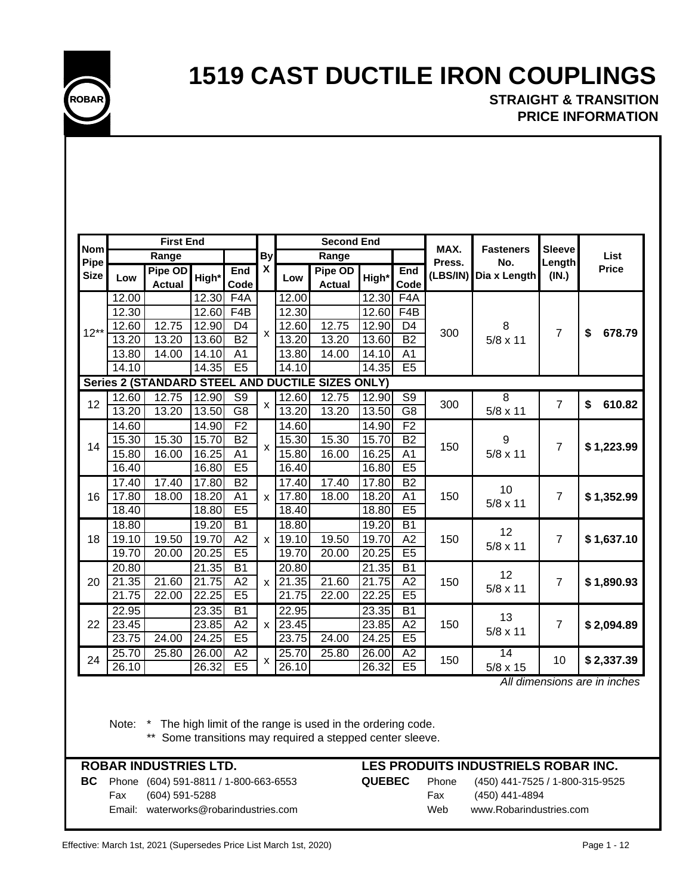**STRAIGHT & TRANSITION PRICE INFORMATION**

|                    |       | <b>First End</b>         |       |                  |              |                    | <b>Second End</b>                                |       |                 | MAX.     |                         | <b>Sleeve</b>  |              |
|--------------------|-------|--------------------------|-------|------------------|--------------|--------------------|--------------------------------------------------|-------|-----------------|----------|-------------------------|----------------|--------------|
| <b>Nom</b><br>Pipe |       | Range                    |       |                  | <b>By</b>    |                    | Range                                            |       |                 | Press.   | <b>Fasteners</b><br>No. | Length         | <b>List</b>  |
| <b>Size</b>        | Low   | Pipe OD<br><b>Actual</b> | High* | End<br>Code      | X            | Low                | Pipe OD<br><b>Actual</b>                         | High* | End<br>Code     | (LBS/IN) | Dia x Length            | (IN.)          | <b>Price</b> |
|                    | 12.00 |                          | 12.30 | F4A              |              | 12.00              |                                                  | 12.30 | F4A             |          |                         |                |              |
|                    | 12.30 |                          | 12.60 | F <sub>4</sub> B |              | 12.30              |                                                  | 12.60 | F4B             |          |                         |                |              |
| $12**$             | 12.60 | 12.75                    | 12.90 | D <sub>4</sub>   | $\mathsf{x}$ | 12.60              | 12.75                                            | 12.90 | D <sub>4</sub>  | 300      | 8                       | $\overline{7}$ | \$<br>678.79 |
|                    | 13.20 | 13.20                    | 13.60 | $\overline{B2}$  |              | 13.20              | 13.20                                            | 13.60 | <b>B2</b>       |          | $5/8 \times 11$         |                |              |
|                    | 13.80 | 14.00                    | 14.10 | A <sub>1</sub>   |              | 13.80              | 14.00                                            | 14.10 | A <sub>1</sub>  |          |                         |                |              |
|                    | 14.10 |                          | 14.35 | E5               |              | 14.10              |                                                  | 14.35 | E5              |          |                         |                |              |
|                    |       |                          |       |                  |              |                    | Series 2 (STANDARD STEEL AND DUCTILE SIZES ONLY) |       |                 |          |                         |                |              |
| 12                 | 12.60 | 12.75                    | 12.90 | $\overline{S9}$  | X            | 12.60              | 12.75                                            | 12.90 | $\overline{S9}$ | 300      | $\overline{8}$          | $\overline{7}$ | 610.82<br>\$ |
|                    | 13.20 | 13.20                    | 13.50 | $\overline{G8}$  |              | 13.20              | 13.20                                            | 13.50 | $\overline{G8}$ |          | $5/8 \times 11$         |                |              |
|                    | 14.60 |                          | 14.90 | F <sub>2</sub>   |              | 14.60              |                                                  | 14.90 | F <sub>2</sub>  |          |                         |                |              |
| 14                 | 15.30 | 15.30                    | 15.70 | <b>B2</b>        | $\mathsf{x}$ | 15.30              | 15.30                                            | 15.70 | <b>B2</b>       | 150      | 9                       | $\overline{7}$ | \$1,223.99   |
|                    | 15.80 | 16.00                    | 16.25 | A <sub>1</sub>   |              | 15.80              | 16.00                                            | 16.25 | A <sub>1</sub>  |          | $5/8 \times 11$         |                |              |
|                    | 16.40 |                          | 16.80 | E5               |              | 16.40              |                                                  | 16.80 | E5              |          |                         |                |              |
|                    | 17.40 | 17.40                    | 17.80 | $\overline{B2}$  |              | 17.40              | 17.40                                            | 17.80 | B2              |          | 10                      |                |              |
| 16                 | 17.80 | 18.00                    | 18.20 | $\overline{A1}$  | X            | 17.80              | 18.00                                            | 18.20 | A <sub>1</sub>  | 150      | $5/8 \times 11$         | $\overline{7}$ | \$1,352.99   |
|                    | 18.40 |                          | 18.80 | E5               |              | 18.40              |                                                  | 18.80 | E5              |          |                         |                |              |
|                    | 18.80 |                          | 19.20 | $\overline{B1}$  |              | 18.80              |                                                  | 19.20 | $\overline{B1}$ |          | 12                      |                |              |
| 18                 | 19.10 | 19.50                    | 19.70 | A2               | $\mathsf{x}$ | 19.10              | 19.50                                            | 19.70 | A2              | 150      | $5/8 \times 11$         | $\overline{7}$ | \$1,637.10   |
|                    | 19.70 | 20.00                    | 20.25 | E <sub>5</sub>   |              | 19.70              | 20.00                                            | 20.25 | E <sub>5</sub>  |          |                         |                |              |
|                    | 20.80 |                          | 21.35 | $\overline{B1}$  |              | 20.80              |                                                  | 21.35 | $\overline{B1}$ |          | 12                      |                |              |
| 20                 | 21.35 | 21.60                    | 21.75 | A2               | $\mathsf{x}$ | 21.35              | 21.60                                            | 21.75 | A2              | 150      | $5/8 \times 11$         | $\overline{7}$ | \$1,890.93   |
|                    | 21.75 | 22.00                    | 22.25 | E5               |              | 21.75              | 22.00                                            | 22.25 | E5              |          |                         |                |              |
|                    | 22.95 |                          | 23.35 | $\overline{B1}$  |              | 22.95              |                                                  | 23.35 | $\overline{B1}$ |          | 13                      |                |              |
| 22                 | 23.45 |                          | 23.85 | A2               | $\mathsf{x}$ | 23.45              |                                                  | 23.85 | A2              | 150      | $5/8 \times 11$         | $\overline{7}$ | \$2,094.89   |
|                    | 23.75 | 24.00                    | 24.25 | E5               |              | 23.75              | 24.00                                            | 24.25 | E5              |          |                         |                |              |
| 24                 | 25.70 | 25.80                    | 26.00 | A2               | χ            | 25.70              | 25.80                                            | 26.00 | A2              | 150      | 14                      | 10             | \$2,337.39   |
|                    | 26.10 |                          | 26.32 | E5               |              | $\overline{26.10}$ |                                                  | 26.32 | E5              |          | 5/8 x 15                |                |              |

 *All dimensions are in inches*

Note: \* The high limit of the range is used in the ordering code.

\*\* Some transitions may required a stepped center sleeve.

## **ROBAR INDUSTRIES LTD.**

**BC** Phone (604) 591-8811 / 1-800-663-6553 **QUEBEC** Phone (450) 441-7525 / 1-800-315-9525 Fax (604) 591-5288 Fax (450) 441-4894 Email: waterworks@robarindustries.com Web www.Robarindustries.com

## **LES PRODUITS INDUSTRIELS ROBAR INC.**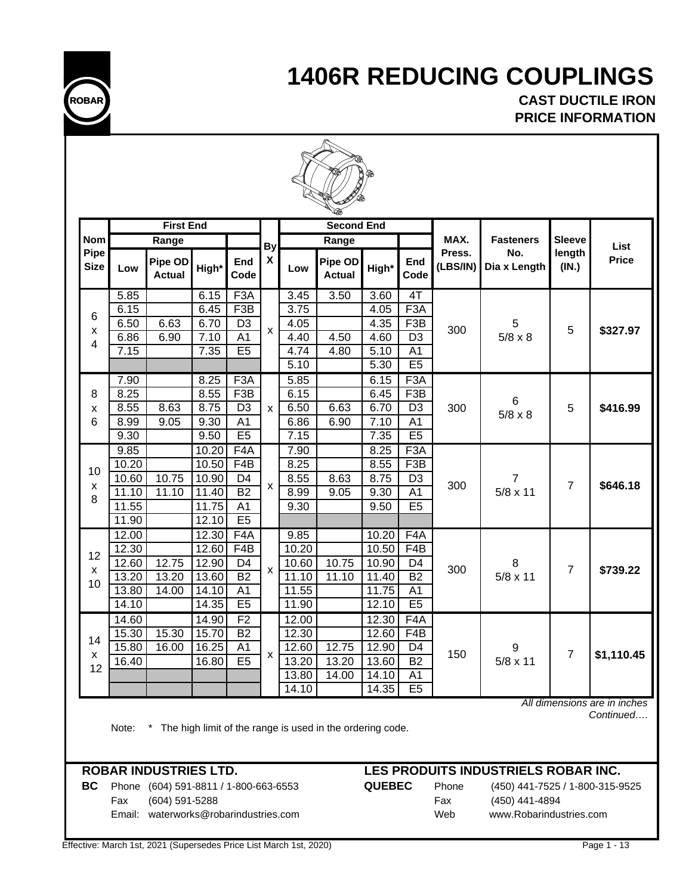

**CAST DUCTILE IRON PRICE INFORMATION**

|                     |                | <b>First End</b>         |                |                                  |                    |                | <b>Second End</b>        |                |                                   |                    |                      |                 |                                           |
|---------------------|----------------|--------------------------|----------------|----------------------------------|--------------------|----------------|--------------------------|----------------|-----------------------------------|--------------------|----------------------|-----------------|-------------------------------------------|
| <b>Nom</b>          |                | Range                    |                |                                  | By                 |                | Range                    |                |                                   | MAX.               | <b>Fasteners</b>     | <b>Sleeve</b>   | List                                      |
| Pipe<br><b>Size</b> | Low            | Pipe OD<br><b>Actual</b> | High*          | End<br>Code                      | X                  | Low            | Pipe OD<br><b>Actual</b> | High*          | End<br>Code                       | Press.<br>(LBS/IN) | No.<br>Dia x Length  | length<br>(IN.) | <b>Price</b>                              |
|                     | 5.85           |                          | 6.15           | F <sub>3</sub> A                 |                    | 3.45           | 3.50                     | 3.60           | 4T                                |                    |                      |                 |                                           |
| 6                   | 6.15           |                          | 6.45           | F <sub>3</sub> B                 |                    | 3.75           |                          | 4.05           | F <sub>3</sub> A                  |                    |                      |                 |                                           |
| X                   | 6.50           | 6.63                     | 6.70           | D <sub>3</sub>                   | $\pmb{\mathsf{x}}$ | 4.05           |                          | 4.35           | F <sub>3</sub> B                  | 300                | 5                    | 5               | \$327.97                                  |
| 4                   | 6.86<br>7.15   | 6.90                     | 7.10<br>7.35   | $\overline{A1}$<br>E5            |                    | 4.40<br>4.74   | 4.50<br>4.80             | 4.60<br>5.10   | D <sub>3</sub><br>$\overline{A1}$ |                    | $5/8 \times 8$       |                 |                                           |
|                     |                |                          |                |                                  |                    | 5.10           |                          | 5.30           | E5                                |                    |                      |                 |                                           |
|                     | 7.90           |                          | 8.25           | F <sub>3</sub> A                 |                    | 5.85           |                          | 6.15           | F <sub>3</sub> A                  |                    |                      |                 |                                           |
| 8                   | 8.25           |                          | 8.55           | F3B                              |                    | 6.15           |                          | 6.45           | F3B                               |                    |                      |                 |                                           |
| X                   | 8.55           | 8.63                     | 8.75           | D <sub>3</sub>                   | X                  | 6.50           | 6.63                     | 6.70           | D <sub>3</sub>                    | 300                | 6                    | 5               | \$416.99                                  |
| 6                   | 8.99           | 9.05                     | 9.30           | A <sub>1</sub>                   |                    | 6.86           | 6.90                     | 7.10           | A <sub>1</sub>                    |                    | $5/8 \times 8$       |                 |                                           |
|                     | 9.30           |                          | 9.50           | E5                               |                    | 7.15           |                          | 7.35           | E5                                |                    |                      |                 |                                           |
|                     | 9.85           |                          | 10.20          | F <sub>4</sub> A                 |                    | 7.90           |                          | 8.25           | F <sub>3</sub> A                  |                    |                      |                 |                                           |
| 10                  | 10.20          |                          | 10.50          | F4B                              |                    | 8.25           |                          | 8.55           | F3B                               |                    |                      |                 |                                           |
| X                   | 10.60          | 10.75                    | 10.90          | D <sub>4</sub>                   | X                  | 8.55           | 8.63                     | 8.75           | D <sub>3</sub>                    | 300                | 7                    | $\overline{7}$  | \$646.18                                  |
| 8                   | 11.10          | 11.10                    | 11.40          | $\overline{B2}$                  |                    | 8.99           | 9.05                     | 9.30           | A <sub>1</sub>                    |                    | $5/8 \times 11$      |                 |                                           |
|                     | 11.55          |                          | 11.75          | $\overline{A1}$                  |                    | 9.30           |                          | 9.50           | E5                                |                    |                      |                 |                                           |
|                     | 11.90          |                          | 12.10          | E5                               |                    |                |                          |                |                                   |                    |                      |                 |                                           |
|                     | 12.00          |                          | 12.30          | F <sub>4</sub> A                 |                    | 9.85           |                          | 10.20          | F <sub>4</sub> A                  |                    |                      |                 |                                           |
| 12                  | 12.30          |                          | 12.60          | F4B                              |                    | 10.20          |                          | 10.50          | F4B                               |                    |                      |                 |                                           |
| X                   | 12.60<br>13.20 | 12.75<br>13.20           | 12.90<br>13.60 | D <sub>4</sub><br>B <sub>2</sub> | X                  | 10.60<br>11.10 | 10.75<br>11.10           | 10.90<br>11.40 | D4<br>$\overline{B2}$             | 300                | 8<br>$5/8 \times 11$ | $\overline{7}$  | \$739.22                                  |
| 10                  | 13.80          | 14.00                    | 14.10          | A <sub>1</sub>                   |                    | 11.55          |                          | 11.75          | A <sub>1</sub>                    |                    |                      |                 |                                           |
|                     | 14.10          |                          | 14.35          | E5                               |                    | 11.90          |                          | 12.10          | E5                                |                    |                      |                 |                                           |
|                     | 14.60          |                          | 14.90          | F <sub>2</sub>                   |                    | 12.00          |                          | 12.30          | F <sub>4</sub> A                  |                    |                      |                 |                                           |
|                     | 15.30          | 15.30                    | 15.70          | B <sub>2</sub>                   |                    | 12.30          |                          | 12.60          | F4B                               |                    |                      |                 |                                           |
| 14                  | 15.80          | 16.00                    | 16.25          | A <sub>1</sub>                   |                    | 12.60          | 12.75                    | 12.90          | D4                                |                    | 9                    |                 |                                           |
| X<br>12             | 16.40          |                          | 16.80          | E5                               | X                  | 13.20          | 13.20                    | 13.60          | $\overline{B2}$                   | 150                | $5/8 \times 11$      | $\overline{7}$  | \$1,110.45                                |
|                     |                |                          |                |                                  |                    | 13.80          | 14.00                    | 14.10          | A1                                |                    |                      |                 |                                           |
|                     |                |                          |                |                                  |                    | 14.10          |                          | 14.35          | E5                                |                    |                      |                 |                                           |
|                     |                |                          |                |                                  |                    |                |                          |                |                                   |                    |                      |                 | All dimensions are in inches<br>Continued |

Note: \* The high limit of the range is used in the ordering code.

**BC** Phone (604) 591-8811 / 1-800-663-6553 **QUEBEC** Phone (450) 441-7525 / 1-800-315-9525 Fax (604) 591-5288 Fax (450) 441-4894 Email: waterworks@robarindustries.com Web www.Robarindustries.com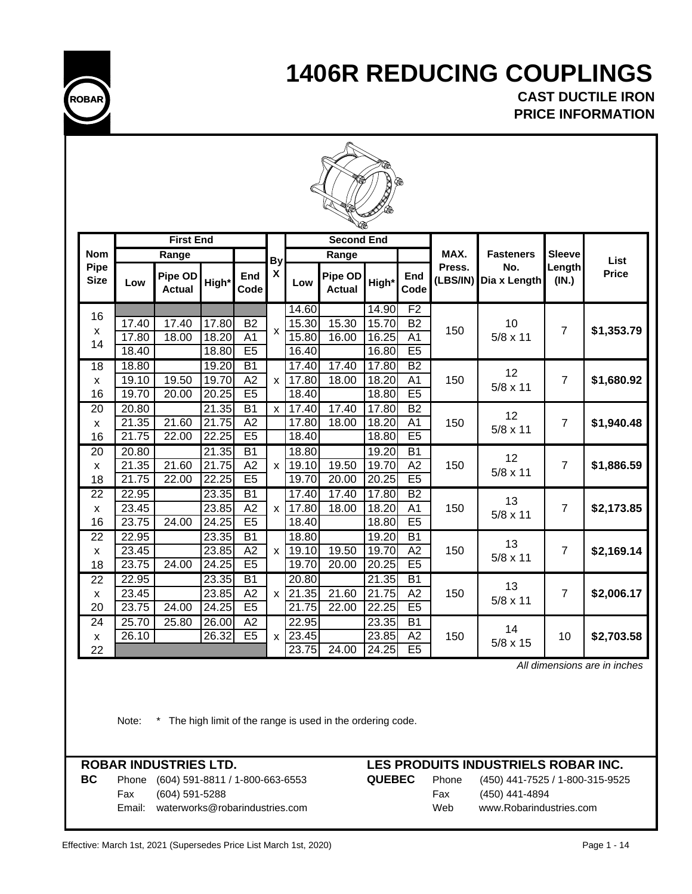

**CAST DUCTILE IRON PRICE INFORMATION**



|                            |       |                          |       |                 |              |                    |                          | <b>SALAR</b> |                 |                    |                     |                 |              |
|----------------------------|-------|--------------------------|-------|-----------------|--------------|--------------------|--------------------------|--------------|-----------------|--------------------|---------------------|-----------------|--------------|
|                            |       | <b>First End</b>         |       |                 |              |                    | <b>Second End</b>        |              |                 |                    |                     |                 |              |
| <b>Nom</b>                 |       | Range                    |       |                 | <b>By</b>    |                    | Range                    |              |                 | MAX.               | <b>Fasteners</b>    | <b>Sleeve</b>   | List         |
| <b>Pipe</b><br><b>Size</b> | Low   | Pipe OD<br><b>Actual</b> | High* | End<br>Code     | X            | Low                | Pipe OD<br><b>Actual</b> | High*        | End<br>Code     | Press.<br>(LBS/IN) | No.<br>Dia x Length | Length<br>(IN.) | <b>Price</b> |
| 16                         |       |                          |       |                 |              | 14.60              |                          | 14.90        | F2              |                    |                     |                 |              |
| X                          | 17.40 | 17.40                    | 17.80 | $\overline{B2}$ | $\mathsf{x}$ | 15.30              | 15.30                    | 15.70        | <b>B2</b>       | 150                | 10                  | $\overline{7}$  | \$1,353.79   |
| 14                         | 17.80 | 18.00                    | 18.20 | $\overline{A1}$ |              | 15.80              | 16.00                    | 16.25        | $\overline{A1}$ |                    | $5/8 \times 11$     |                 |              |
|                            | 18.40 |                          | 18.80 | E5              |              | 16.40              |                          | 16.80        | E5              |                    |                     |                 |              |
| 18                         | 18.80 |                          | 19.20 | $\overline{B1}$ |              | 17.40              | 17.40                    | 17.80        | $\overline{B2}$ |                    | 12                  |                 |              |
| $\mathsf{x}$               | 19.10 | 19.50                    | 19.70 | A2              | X            | 17.80              | 18.00                    | 18.20        | A <sub>1</sub>  | 150                | $5/8 \times 11$     | $\overline{7}$  | \$1,680.92   |
| 16                         | 19.70 | 20.00                    | 20.25 | E5              |              | 18.40              |                          | 18.80        | E <sub>5</sub>  |                    |                     |                 |              |
| 20                         | 20.80 |                          | 21.35 | $\overline{B1}$ | X            | 17.40              | 17.40                    | 17.80        | $\overline{B2}$ |                    | 12                  |                 |              |
| X                          | 21.35 | 21.60                    | 21.75 | A2              |              | 17.80              | 18.00                    | 18.20        | A <sub>1</sub>  | 150                | $5/8 \times 11$     | $\overline{7}$  | \$1,940.48   |
| 16                         | 21.75 | 22.00                    | 22.25 | E5              |              | 18.40              |                          | 18.80        | E5              |                    |                     |                 |              |
| $\overline{20}$            | 20.80 |                          | 21.35 | $\overline{B1}$ |              | 18.80              |                          | 19.20        | $\overline{B1}$ |                    | 12                  |                 |              |
| $\mathsf{x}$               | 21.35 | 21.60                    | 21.75 | $\overline{A2}$ | X            | 19.10              | 19.50                    | 19.70        | $\overline{A2}$ | 150                | $5/8 \times 11$     | $\overline{7}$  | \$1,886.59   |
| 18                         | 21.75 | 22.00                    | 22.25 | E5              |              | 19.70              | 20.00                    | 20.25        | E5              |                    |                     |                 |              |
| 22                         | 22.95 |                          | 23.35 | $\overline{B1}$ |              | $17.\overline{40}$ | 17.40                    | 17.80        | $\overline{B2}$ |                    | 13                  |                 |              |
| X                          | 23.45 |                          | 23.85 | A2              | X            | 17.80              | 18.00                    | 18.20        | A <sub>1</sub>  | 150                | $5/8 \times 11$     | $\overline{7}$  | \$2,173.85   |
| 16                         | 23.75 | 24.00                    | 24.25 | E5              |              | 18.40              |                          | 18.80        | E5              |                    |                     |                 |              |
| 22                         | 22.95 |                          | 23.35 | $\overline{B1}$ |              | 18.80              |                          | 19.20        | $\overline{B1}$ |                    | 13                  |                 |              |
| X                          | 23.45 |                          | 23.85 | A2              | $\mathsf{x}$ | 19.10              | 19.50                    | 19.70        | A2              | 150                | $5/8 \times 11$     | $\overline{7}$  | \$2,169.14   |
| 18                         | 23.75 | 24.00                    | 24.25 | E5              |              | 19.70              | 20.00                    | 20.25        | E5              |                    |                     |                 |              |
| 22                         | 22.95 |                          | 23.35 | $\overline{B1}$ |              | 20.80              |                          | 21.35        | $\overline{B1}$ |                    | 13                  |                 |              |
| X                          | 23.45 |                          | 23.85 | A2              | $\mathsf{x}$ | .35<br>21          | 21.60                    | 21.75        | A2              | 150                | $5/8 \times 11$     | $\overline{7}$  | \$2,006.17   |
| 20                         | 23.75 | 24.00                    | 24.25 | E5              |              | 21.75              | 22.00                    | 22.25        | E5              |                    |                     |                 |              |
| 24                         | 25.70 | 25.80                    | 26.00 | $\overline{A2}$ |              | 22.95              |                          | 23.35        | <b>B1</b>       |                    | 14                  |                 |              |
| X                          | 26.10 |                          | 26.32 | E <sub>5</sub>  | X            | 23.45              |                          | 23.85        | A2              | 150                | $5/8 \times 15$     | 10              | \$2,703.58   |
| 22                         |       |                          |       |                 |              | 23.75              | 24.00                    | 24.25        | E <sub>5</sub>  |                    |                     |                 |              |

 *All dimensions are in inches*

Note: \* The high limit of the range is used in the ordering code.

Fax (604) 591-5288 Fax (450) 441-4894

## **ROBAR INDUSTRIES LTD. LES PRODUITS INDUSTRIELS ROBAR INC.**

**BC** Phone (604) 591-8811 / 1-800-663-6553 **QUEBEC** Phone (450) 441-7525 / 1-800-315-9525 Email: waterworks@robarindustries.com Web www.Robarindustries.com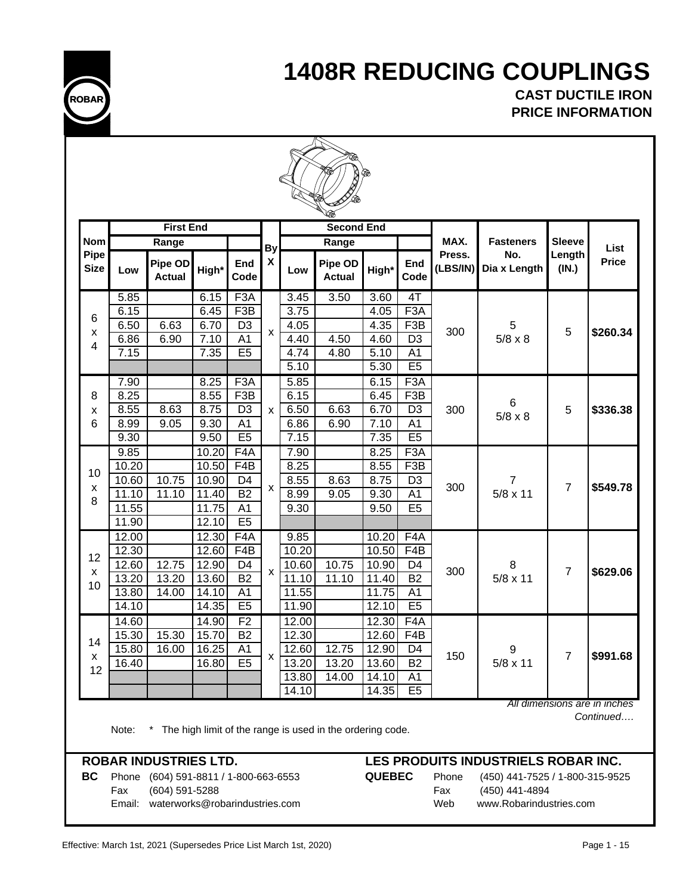

**CAST DUCTILE IRON PRICE INFORMATION**

|                     |       | <b>First End</b>         |       |                  |             |       | $\mathscr{C}$<br><b>Second End</b> |       |                  |                    |                     |                 |              |
|---------------------|-------|--------------------------|-------|------------------|-------------|-------|------------------------------------|-------|------------------|--------------------|---------------------|-----------------|--------------|
| <b>Nom</b>          |       | Range                    |       |                  | By          |       | Range                              |       |                  | MAX.               | <b>Fasteners</b>    | <b>Sleeve</b>   | <b>List</b>  |
| Pipe<br><b>Size</b> | Low   | Pipe OD<br><b>Actual</b> | High* | End<br>Code      | X           | Low   | Pipe OD<br><b>Actual</b>           | High* | End<br>Code      | Press.<br>(LBS/IN) | No.<br>Dia x Length | Length<br>(IN.) | <b>Price</b> |
|                     | 5.85  |                          | 6.15  | F <sub>3</sub> A |             | 3.45  | 3.50                               | 3.60  | 4 <sub>1</sub>   |                    |                     |                 |              |
| 6                   | 6.15  |                          | 6.45  | F3B              |             | 3.75  |                                    | 4.05  | F3A              |                    |                     |                 |              |
| x                   | 6.50  | 6.63                     | 6.70  | D <sub>3</sub>   | X           | 4.05  |                                    | 4.35  | F <sub>3</sub> B | 300                | 5                   | 5               | \$260.34     |
| 4                   | 6.86  | 6.90                     | 7.10  | A <sub>1</sub>   |             | 4.40  | 4.50                               | 4.60  | D <sub>3</sub>   |                    | $5/8 \times 8$      |                 |              |
|                     | 7.15  |                          | 7.35  | E <sub>5</sub>   |             | 4.74  | 4.80                               | 5.10  | A1               |                    |                     |                 |              |
|                     |       |                          |       |                  |             | 5.10  |                                    | 5.30  | E5               |                    |                     |                 |              |
|                     | 7.90  |                          | 8.25  | F <sub>3</sub> A |             | 5.85  |                                    | 6.15  | F <sub>3</sub> A |                    |                     |                 |              |
| 8                   | 8.25  |                          | 8.55  | F <sub>3</sub> B |             | 6.15  |                                    | 6.45  | F <sub>3</sub> B |                    | 6                   |                 |              |
| x                   | 8.55  | 8.63                     | 8.75  | D <sub>3</sub>   | X           | 6.50  | 6.63                               | 6.70  | D <sub>3</sub>   | 300                | $5/8 \times 8$      | 5               | \$336.38     |
| 6                   | 8.99  | 9.05                     | 9.30  | A1               |             | 6.86  | 6.90                               | 7.10  | A1               |                    |                     |                 |              |
|                     | 9.30  |                          | 9.50  | E5               |             | 7.15  |                                    | 7.35  | E5               |                    |                     |                 |              |
|                     | 9.85  |                          | 10.20 | F4A              |             | 7.90  |                                    | 8.25  | F3A              |                    |                     |                 |              |
| 10                  | 10.20 |                          | 10.50 | F4B              |             | 8.25  |                                    | 8.55  | F <sub>3</sub> B |                    |                     |                 |              |
| X                   | 10.60 | 10.75                    | 10.90 | D <sub>4</sub>   | X           | 8.55  | 8.63                               | 8.75  | D <sub>3</sub>   | 300                | 7                   | $\overline{7}$  | \$549.78     |
| 8                   | 11.10 | 11.10                    | 11.40 | B <sub>2</sub>   |             | 8.99  | 9.05                               | 9.30  | A <sub>1</sub>   |                    | $5/8 \times 11$     |                 |              |
|                     | 11.55 |                          | 11.75 | A <sub>1</sub>   |             | 9.30  |                                    | 9.50  | E <sub>5</sub>   |                    |                     |                 |              |
|                     | 11.90 |                          | 12.10 | E5               |             |       |                                    |       |                  |                    |                     |                 |              |
|                     | 12.00 |                          | 12.30 | F <sub>4</sub> A |             | 9.85  |                                    | 10.20 | F4A              |                    |                     |                 |              |
| 12                  | 12.30 |                          | 12.60 | F4B              |             | 10.20 |                                    | 10.50 | F4B              |                    |                     |                 |              |
| X                   | 12.60 | 12.75                    | 12.90 | D <sub>4</sub>   | $\mathsf X$ | 10.60 | 10.75                              | 10.90 | D <sub>4</sub>   | 300                | 8                   | $\overline{7}$  | \$629.06     |
| 10                  | 13.20 | 13.20                    | 13.60 | B2               |             | 11.10 | 11.10                              | 11.40 | $\overline{B2}$  |                    | $5/8 \times 11$     |                 |              |
|                     | 13.80 | 14.00                    | 14.10 | A1               |             | 11.55 |                                    | 11.75 | A <sub>1</sub>   |                    |                     |                 |              |
|                     | 14.10 |                          | 14.35 | E <sub>5</sub>   |             | 11.90 |                                    | 12.10 | E5               |                    |                     |                 |              |
|                     | 14.60 |                          | 14.90 | F <sub>2</sub>   |             | 12.00 |                                    | 12.30 | F4A              |                    |                     |                 |              |
| 14                  | 15.30 | 15.30                    | 15.70 | <b>B2</b>        |             | 12.30 |                                    | 12.60 | F4B              |                    |                     |                 |              |
| x                   | 15.80 | 16.00                    | 16.25 | A1               | x           | 12.60 | 12.75                              | 12.90 | D4               | 150                | 9                   | $\overline{7}$  | \$991.68     |
| 12                  | 16.40 |                          | 16.80 | E <sub>5</sub>   |             | 13.20 | 13.20                              | 13.60 | B <sub>2</sub>   |                    | $5/8 \times 11$     |                 |              |
|                     |       |                          |       |                  |             | 13.80 | 14.00                              | 14.10 | A1               |                    |                     |                 |              |
|                     |       |                          |       |                  |             | 14.10 |                                    | 14.35 | E <sub>5</sub>   |                    |                     |                 |              |

**BC** Phone (604) 591-8811 / 1-800-663-6553 **QUEBEC** Phone (450) 441-7525 / 1-800-315-9525 Fax (604) 591-5288 Fax (450) 441-4894 Email: waterworks@robarindustries.com Web www.Robarindustries.com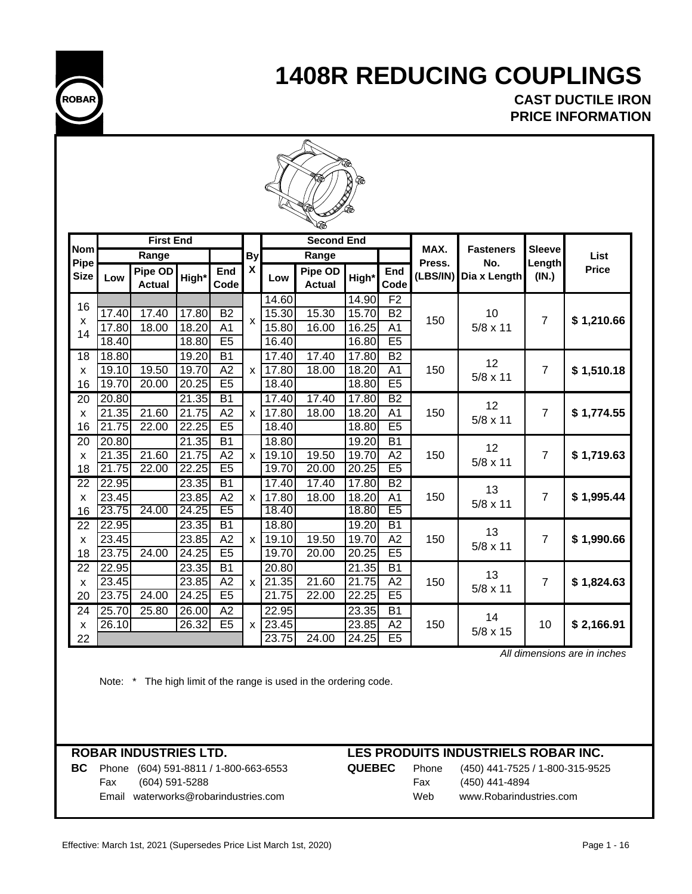

**CAST DUCTILE IRON PRICE INFORMATION**

|                           | ⋘              |                          |                |                                    |                |                             |                          |                |                                   |          |                       |                |              |  |
|---------------------------|----------------|--------------------------|----------------|------------------------------------|----------------|-----------------------------|--------------------------|----------------|-----------------------------------|----------|-----------------------|----------------|--------------|--|
| <b>Nom</b>                |                | <b>First End</b>         |                |                                    |                |                             | <b>Second End</b>        |                |                                   | MAX.     | <b>Fasteners</b>      | <b>Sleeve</b>  |              |  |
| Pipe                      |                | Range                    |                |                                    | <b>By</b>      |                             | Range                    |                |                                   | Press.   | No.                   | Length         | List         |  |
| <b>Size</b>               | Low            | Pipe OD<br><b>Actual</b> | High*          | End<br>Code                        | X              | Low                         | Pipe OD<br><b>Actual</b> | High*          | End<br>Code                       | (LBS/IN) | Dia x Length          | (IN.)          | <b>Price</b> |  |
| 16                        |                |                          |                |                                    |                | 14.60                       |                          | 14.90          | F <sub>2</sub>                    |          |                       |                |              |  |
| $\pmb{\times}$            | 17.40          | 17.40                    | 17.80          | <b>B2</b>                          | $\pmb{\times}$ | 15.30                       | 15.30                    | 15.70          | <b>B2</b>                         | 150      | 10                    | $\overline{7}$ | \$1,210.66   |  |
| 14                        | 17.80<br>18.40 | 18.00                    | 18.20<br>18.80 | A <sub>1</sub><br>E5               |                | 15.80<br>16.40              | 16.00                    | 16.25<br>16.80 | $\overline{A1}$<br>E <sub>5</sub> |          | $5/8 \times 11$       |                |              |  |
| $\overline{18}$           | 18.80          |                          | 19.20          | $\overline{B1}$                    |                | 17.40                       | 17.40                    | 17.80          | $\overline{B2}$                   |          |                       |                |              |  |
| $\pmb{\times}$            | 19.10          | 19.50                    | 19.70          | A2                                 | $\pmb{\times}$ | 17.80                       | 18.00                    | 18.20          | A <sub>1</sub>                    | 150      | 12                    | $\overline{7}$ | \$1,510.18   |  |
| 16                        | 19.70          | 20.00                    | 20.25          | E <sub>5</sub>                     |                | 18.40                       |                          | 18.80          | E5                                |          | $5/8 \times 11$       |                |              |  |
| 20                        | 20.80          |                          | 21.35          | $\overline{B1}$                    |                | 17.40                       | 17.40                    | 17.80          | $\overline{B2}$                   |          |                       |                |              |  |
| X                         | 21.35          | 21.60                    | 21.75          | $\overline{A2}$                    | X              | 17.80                       | 18.00                    | 18.20          | A <sub>1</sub>                    | 150      | 12<br>$5/8 \times 11$ | $\overline{7}$ | \$1,774.55   |  |
| 16                        | 21.75          | 22.00                    | 22.25          | E5                                 |                | 18.40                       |                          | 18.80          | E5                                |          |                       |                |              |  |
| $\overline{20}$           | 20.80          |                          | 21.35          | $\overline{B1}$                    |                | 18.80                       |                          | 19.20          | $\overline{B1}$                   |          | 12                    |                |              |  |
| $\boldsymbol{\mathsf{x}}$ | 21.35          | 21.60                    | 21.75          | A2                                 | X              | 19.10                       | 19.50                    | 19.70          | $\overline{A2}$                   | 150      | $5/8 \times 11$       | $\overline{7}$ | \$1,719.63   |  |
| 18                        | 21.75          | 22.00                    | 22.25          | E <sub>5</sub>                     |                | 19.70                       | 20.00                    | 20.25          | E <sub>5</sub>                    |          |                       |                |              |  |
| $\overline{22}$           | 22.95<br>23.45 |                          | 23.35<br>23.85 | $\overline{B1}$<br>$\overline{A2}$ |                | 17.40<br>17.80              | 17.40<br>18.00           | 17.80<br>18.20 | B2<br>$\overline{A1}$             | 150      | 13                    | $\overline{7}$ | \$1,995.44   |  |
| $\pmb{\times}$<br>16      | 23.75          | 24.00                    | 24.25          | E5                                 | X              | 18.40                       |                          | 18.80          | E <sub>5</sub>                    |          | $5/8 \times 11$       |                |              |  |
| $\overline{22}$           | 22.95          |                          | 23.35          | $\overline{B1}$                    |                | 18.80                       |                          | 19.20          | $\overline{B1}$                   |          |                       |                |              |  |
| $\pmb{\mathsf{X}}$        | 23.45          |                          | 23.85          | A2                                 | X              | 19.10                       | 19.50                    | 19.70          | A2                                | 150      | 13                    | $\overline{7}$ | \$1,990.66   |  |
| 18                        | 23.75          | 24.00                    | 24.25          | E <sub>5</sub>                     |                | 19.70                       | 20.00                    | 20.25          | E <sub>5</sub>                    |          | $5/8 \times 11$       |                |              |  |
| $\overline{22}$           | 22.95          |                          | 23.35          | B1                                 |                | 20.80                       |                          | 21.35          | $\overline{B1}$                   |          | 13                    |                |              |  |
| X                         | 23.45          |                          | 23.85          | A2                                 | X              | $\overline{2}1.35$          | 21.60                    | 21.75          | A2                                | 150      | $5/8 \times 11$       | $\overline{7}$ | \$1,824.63   |  |
| 20                        | 23.75          | 24.00                    | 24.25          | E5                                 |                | 21.75                       | 22.00                    | 22.25          | E5                                |          |                       |                |              |  |
| $\overline{24}$           | 25.70          | 25.80                    | 26.00          | $\overline{A2}$                    |                | 22.95                       |                          | 23.35          | $\overline{B1}$                   |          | 14                    |                |              |  |
| $\pmb{\mathsf{X}}$<br>22  | 26.10          |                          | 26.32          | E <sub>5</sub>                     | X              | 23.45<br>$\overline{23.75}$ | 24.00                    | 23.85<br>24.25 | A2<br>E5                          | 150      | $5/8 \times 15$       | 10             | \$2,166.91   |  |
|                           |                |                          |                |                                    |                |                             |                          |                |                                   |          |                       |                |              |  |

 *All dimensions are in inches*

Note: \* The high limit of the range is used in the ordering code.

**BC** Phone (604) 591-8811 / 1-800-663-6553 **QUEBEC** Phone (450) 441-7525 / 1-800-315-9525 Fax (604) 591-5288 Fax (450) 441-4894 Email waterworks@robarindustries.com Web www.Robarindustries.com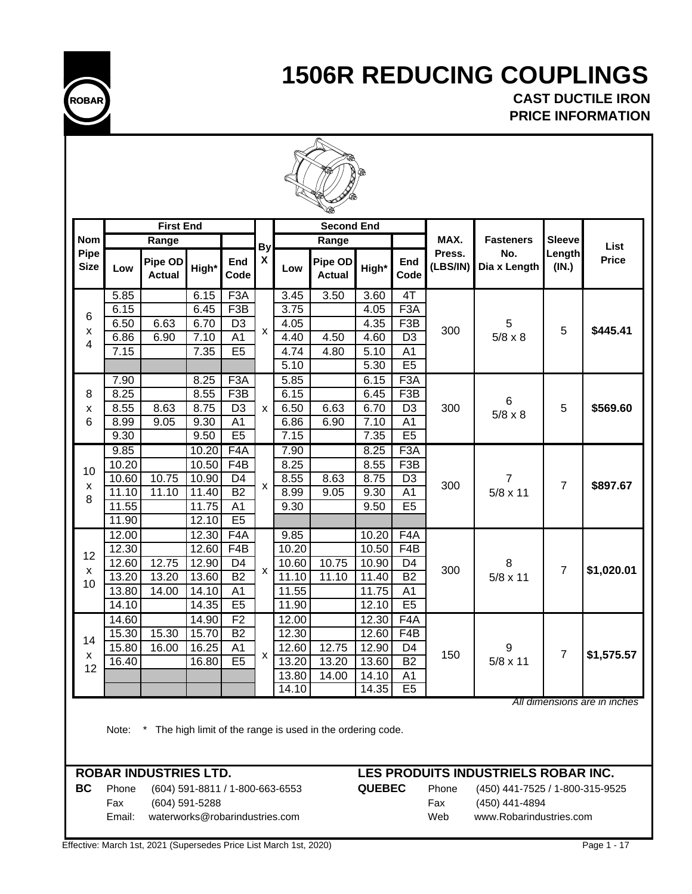

**CAST DUCTILE IRON PRICE INFORMATION**

|                     |                                                                                                    | <b>First End</b>             |                                 |                                   |                    |                | <b>Second End</b>        |                |                                   |                    |                                     |                 |              |
|---------------------|----------------------------------------------------------------------------------------------------|------------------------------|---------------------------------|-----------------------------------|--------------------|----------------|--------------------------|----------------|-----------------------------------|--------------------|-------------------------------------|-----------------|--------------|
| <b>Nom</b>          |                                                                                                    | Range                        |                                 |                                   | <b>By</b>          |                | Range                    |                |                                   | MAX.               | <b>Fasteners</b>                    | <b>Sleeve</b>   | List         |
| Pipe<br><b>Size</b> | Low                                                                                                | Pipe OD<br><b>Actual</b>     | High*                           | End<br>Code                       | X                  | Low            | Pipe OD<br><b>Actual</b> | High*          | End<br>Code                       | Press.<br>(LBS/IN) | No.<br>Dia x Length                 | Length<br>(IN.) | <b>Price</b> |
|                     | 5.85                                                                                               |                              | 6.15                            | F3A                               |                    | 3.45           | 3.50                     | 3.60           | 4T                                |                    |                                     |                 |              |
| 6                   | 6.15                                                                                               |                              | 6.45                            | F3B                               |                    | 3.75           |                          | 4.05           | F3A                               |                    |                                     |                 |              |
| x                   | 6.50                                                                                               | 6.63                         | 6.70                            | $\overline{D3}$                   | X                  | 4.05           |                          | 4.35           | F3B                               | 300                | 5                                   | 5               | \$445.41     |
| 4                   | 6.86                                                                                               | 6.90                         | 7.10                            | $\overline{A1}$                   |                    | 4.40           | 4.50                     | 4.60           | $\overline{D3}$                   |                    | $5/8 \times 8$                      |                 |              |
|                     | 7.15                                                                                               |                              | 7.35                            | E5                                |                    | 4.74<br>5.10   | 4.80                     | 5.10<br>5.30   | $\overline{A1}$<br>E5             |                    |                                     |                 |              |
|                     | 7.90                                                                                               |                              | 8.25                            | F3A                               |                    | 5.85           |                          | 6.15           | F <sub>3</sub> A                  |                    |                                     |                 |              |
| 8                   | 8.25                                                                                               |                              | 8.55                            | F <sub>3</sub> B                  |                    | 6.15           |                          | 6.45           | F3B                               |                    |                                     |                 |              |
| x                   | 8.55                                                                                               | 8.63                         | 8.75                            | D <sub>3</sub>                    | $\pmb{\times}$     | 6.50           | 6.63                     | 6.70           | D <sub>3</sub>                    | 300                | 6                                   | 5               | \$569.60     |
| 6                   | 8.99                                                                                               | 9.05                         | 9.30                            | A <sub>1</sub>                    |                    | 6.86           | 6.90                     | 7.10           | A <sub>1</sub>                    |                    | $5/8 \times 8$                      |                 |              |
|                     | 9.30                                                                                               |                              | 9.50                            | E <sub>5</sub>                    |                    | 7.15           |                          | 7.35           | E5                                |                    |                                     |                 |              |
|                     | 9.85                                                                                               |                              | 10.20                           | F <sub>4</sub> A                  |                    | 7.90           |                          | 8.25           | F3A                               |                    |                                     |                 |              |
|                     | 10.20                                                                                              |                              | 10.50                           | F4B                               |                    | 8.25           |                          | 8.55           | F <sub>3</sub> B                  |                    |                                     |                 |              |
| 10                  | 10.60                                                                                              | 10.75                        | 10.90                           | D <sub>4</sub>                    | X                  | 8.55           | 8.63                     | 8.75           | D <sub>3</sub>                    | 300                | 7                                   | $\overline{7}$  | \$897.67     |
| X<br>8              | 11.10                                                                                              | 11.10                        | 11.40                           | <b>B2</b>                         |                    | 8.99           | 9.05                     | 9.30           | A <sub>1</sub>                    |                    | $5/8 \times 11$                     |                 |              |
|                     | 11.55                                                                                              |                              | 11.75                           | A <sub>1</sub>                    |                    | 9.30           |                          | 9.50           | E <sub>5</sub>                    |                    |                                     |                 |              |
|                     | 11.90                                                                                              |                              | 12.10                           | E5                                |                    |                |                          |                |                                   |                    |                                     |                 |              |
|                     | 12.00                                                                                              |                              | 12.30                           | F4A                               |                    | 9.85           |                          | 10.20          | F4A                               |                    |                                     |                 |              |
| 12                  | 12.30                                                                                              |                              | 12.60                           | F4B                               |                    | 10.20          |                          | 10.50          | F <sub>4</sub> B                  |                    |                                     |                 |              |
| X                   | 12.60<br>13.20                                                                                     | 12.75<br>13.20               | 12.90<br>13.60                  | D <sub>4</sub><br>$\overline{B2}$ | $\pmb{\mathsf{X}}$ | 10.60<br>11.10 | 10.75<br>11.10           | 10.90<br>11.40 | D <sub>4</sub><br>$\overline{B2}$ | 300                | 8<br>$5/8 \times 11$                | $\overline{7}$  | \$1,020.01   |
| 10                  | 13.80                                                                                              | 14.00                        | 14.10                           | A <sub>1</sub>                    |                    | 11.55          |                          | 11.75          | A <sub>1</sub>                    |                    |                                     |                 |              |
|                     | 14.10                                                                                              |                              | 14.35                           | E5                                |                    | 11.90          |                          | 12.10          | E5                                |                    |                                     |                 |              |
|                     | 14.60                                                                                              |                              | 14.90                           | F <sub>2</sub>                    |                    | 12.00          |                          | 12.30          | F4A                               |                    |                                     |                 |              |
|                     | 15.30                                                                                              | 15.30                        | 15.70                           | <b>B2</b>                         |                    | 12.30          |                          | 12.60          | F4B                               |                    |                                     |                 |              |
| 14                  | 15.80                                                                                              | 16.00                        | 16.25                           | A1                                |                    | 12.60          | 12.75                    | 12.90          | D4                                |                    | 9                                   |                 |              |
| x                   | 16.40                                                                                              |                              | 16.80                           | E <sub>5</sub>                    | X                  | 13.20          | 13.20                    | 13.60          | B <sub>2</sub>                    | 150                | $5/8 \times 11$                     | $\overline{7}$  | \$1,575.57   |
| 12                  |                                                                                                    |                              |                                 |                                   |                    | 13.80          | 14.00                    | 14.10          | A <sub>1</sub>                    |                    |                                     |                 |              |
|                     |                                                                                                    |                              |                                 |                                   |                    | 14.10          |                          | 14.35          | E <sub>5</sub>                    |                    |                                     |                 |              |
|                     | All dimensions are in inches<br>The high limit of the range is used in the ordering code.<br>Note: |                              |                                 |                                   |                    |                |                          |                |                                   |                    |                                     |                 |              |
|                     |                                                                                                    | <b>ROBAR INDUSTRIES LTD.</b> |                                 |                                   |                    |                |                          |                |                                   |                    | LES PRODUITS INDUSTRIELS ROBAR INC. |                 |              |
| <b>BC</b>           | Phone                                                                                              |                              | (604) 591-8811 / 1-800-663-6553 |                                   |                    |                |                          | <b>QUEBEC</b>  |                                   | Phone              | (450) 441-7525 / 1-800-315-9525     |                 |              |

Fax (604) 591-5288 Fax (450) 441-4894

Email: waterworks@robarindustries.com Web www.Robarindustries.com

Effective: March 1st, 2021 (Supersedes Price List March 1st, 2020) Page 1 - 17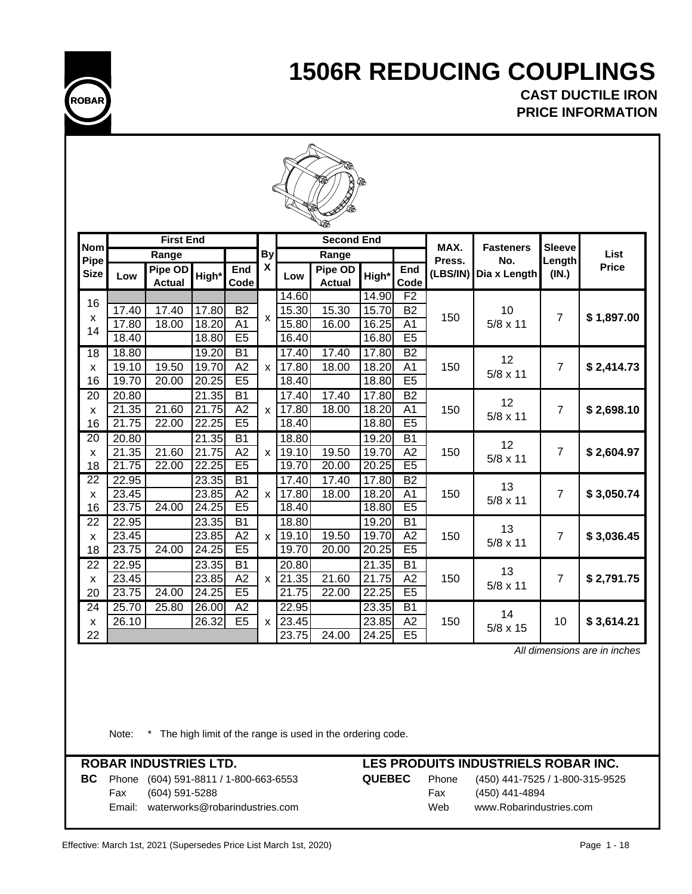

**CAST DUCTILE IRON PRICE INFORMATION**

|                                 | Q              |                          |                |                                       |                    |                |                          |                     |                                    |                 |                  |                |              |  |
|---------------------------------|----------------|--------------------------|----------------|---------------------------------------|--------------------|----------------|--------------------------|---------------------|------------------------------------|-----------------|------------------|----------------|--------------|--|
| <b>Nom</b>                      |                | <b>First End</b>         |                |                                       |                    |                | <b>Second End</b>        |                     |                                    | MAX.            | <b>Fasteners</b> | <b>Sleeve</b>  |              |  |
| Pipe                            |                | Range                    |                |                                       | <b>By</b>          |                | Range                    |                     |                                    | Press.          | No.              | Length         | List         |  |
| <b>Size</b>                     | Low            | Pipe OD<br><b>Actual</b> | High*          | <b>End</b><br>Code                    | $\pmb{\mathsf{X}}$ | Low            | Pipe OD<br><b>Actual</b> | High*               | End<br>Code                        | (LBS/IN)        | Dia x Length     | (IN.)          | <b>Price</b> |  |
| 16                              |                |                          |                |                                       |                    | 14.60          |                          | 14.90               | F <sub>2</sub>                     |                 |                  |                |              |  |
| X                               | 17.40          | 17.40                    | 17.80          | $\overline{B2}$                       | $\mathsf{x}$       | 15.30          | 15.30                    | 15.70               | $\overline{B2}$                    | 150             | 10               | $\overline{7}$ | \$1,897.00   |  |
| 14                              | 17.80          | 18.00                    | 18.20          | $\overline{A1}$                       |                    | 15.80          | 16.00                    | 16.25               | $\overline{A1}$                    |                 | $5/8 \times 11$  |                |              |  |
|                                 | 18.40          |                          | 18.80          | E <sub>5</sub>                        |                    | 16.40          |                          | 16.80               | E5                                 |                 |                  |                |              |  |
| $\overline{18}$                 | 18.80          |                          | 19.20          | $\overline{B1}$                       |                    | 17.40          | 17.40                    | 17.80               | B2                                 |                 | 12               |                |              |  |
| X                               | 19.10          | 19.50                    | 19.70          | $\overline{A2}$<br>$\mathsf{x}$<br>E5 | 17.80              | 18.00          | 18.20                    | A <sub>1</sub>      | 150                                | $5/8 \times 11$ | $\overline{7}$   | \$2,414.73     |              |  |
| 16                              | 19.70          | 20.00                    | 20.25          |                                       |                    | 18.40          |                          | 18.80               | E5                                 |                 |                  |                |              |  |
| 20                              | 20.80          |                          | 21.35          | $\overline{B1}$                       |                    | 17.40          | 17.40                    | 17.80               | B2                                 |                 | 12               |                |              |  |
| X                               | 21.35          | 21.60                    | .75<br>21      | $\overline{A2}$                       | $\mathsf{x}$       | 17.80          | 18.00                    | 18.20               | A <sub>1</sub>                     | 150             | 5/8 x 11         | $\overline{7}$ | \$2,698.10   |  |
| 16                              | 21.75          | 22.00                    | 22.25          | E5                                    |                    | 18.40          |                          | 18.80               | E5                                 |                 |                  |                |              |  |
| 20                              | 20.80          |                          | 21.35          | $\overline{B1}$                       |                    | 18.80          |                          | 19.20               | B1                                 |                 | 12               |                |              |  |
| X                               | 21.35          | 21.60                    | 21.75          | A2<br>E <sub>5</sub>                  | $\pmb{\mathsf{x}}$ | 19.10          | 19.50                    | 19.70               | A2<br>E <sub>5</sub>               | 150             | 5/8 x 11         | $\overline{7}$ | \$2,604.97   |  |
| 18                              | 21.75          | 22.00                    | 22.25          |                                       |                    | 19.70          | 20.00                    | 20.25               |                                    |                 |                  |                |              |  |
| $\overline{22}$                 | 22.95          |                          | 23.35          | $\overline{B1}$<br>A2                 |                    | 17.40          | 17.40                    | 17.80<br>18.20      | $\overline{B2}$<br>$\overline{A1}$ | 150             | 13               | $\overline{7}$ | \$3,050.74   |  |
| $\boldsymbol{\mathsf{x}}$<br>16 | 23.45<br>23.75 | 24.00                    | 23.85<br>24.25 | E5                                    | $\mathsf{x}$       | 17.80<br>18.40 | 18.00                    | 18.80               | E <sub>5</sub>                     |                 | $5/8 \times 11$  |                |              |  |
| $\overline{22}$                 | 22.95          |                          | 23.35          | $\overline{B1}$                       |                    | 18.80          |                          | 19.20               | $\overline{B1}$                    |                 |                  |                |              |  |
| X                               | 23.45          |                          | 23.85          | A2                                    | $\mathsf{x}$       | 19.10          | 19.50                    | 19.70               | A2                                 | 150             | 13               | $\overline{7}$ | \$3,036.45   |  |
| 18                              | 23.75          | 24.00                    | 24.25          | E5                                    |                    | 19.70          | 20.00                    | 20.25               | E5                                 |                 | $5/8 \times 11$  |                |              |  |
| $\overline{22}$                 | 22.95          |                          | 23.35          | B1                                    |                    | 20.80          |                          | 21.35               | $\overline{B1}$                    |                 |                  |                |              |  |
| X                               | 23.45          |                          | 23.85          | $\overline{A2}$                       | X                  | 21.35          | 21.60                    | 21.75               | $\overline{A2}$                    | 150             | 13               | $\overline{7}$ | \$2,791.75   |  |
| 20                              | 23.75          | 24.00                    | 24.25          | E5                                    |                    | 21.75          | 22.00                    | $\overline{2}$ 2.25 | E5                                 |                 | 5/8 x 11         |                |              |  |
| 24                              | 25.70          | 25.80                    | 26.00          | $\overline{A2}$                       |                    | 22.95          |                          | 23.35               | B1                                 |                 |                  |                |              |  |
| X                               | 26.10          |                          | 26.32          | E <sub>5</sub>                        | X                  | 23.45          |                          | 23.85               | A2                                 | 150             | 14               | 10             | \$3,614.21   |  |
| 22                              |                |                          |                |                                       |                    | 23.75          | 24.00                    | $\sqrt{24.25}$      | E5                                 |                 | 5/8 x 15         |                |              |  |

 *All dimensions are in inches*

Note: \* The high limit of the range is used in the ordering code.

**BC** Phone (604) 591-8811 / 1-800-663-6553 **QUEBEC** Phone (450) 441-7525 / 1-800-315-9525 Fax (604) 591-5288 Fax (450) 441-4894 Email: waterworks@robarindustries.com Web www.Robarindustries.com

| EBEC | Pł |
|------|----|
|      | Fε |
|      | w  |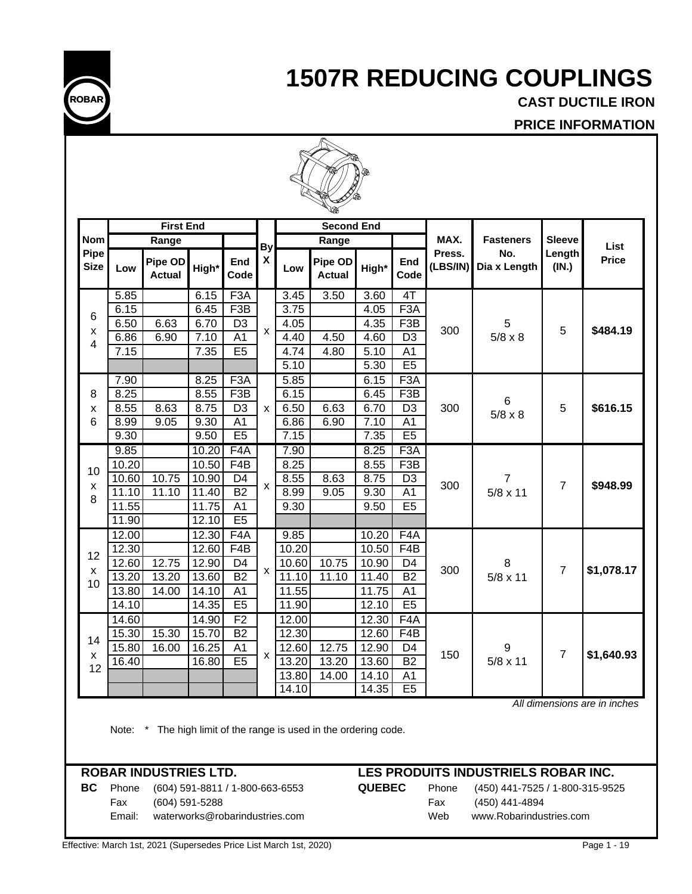

**CAST DUCTILE IRON**

**PRICE INFORMATION**

|                     |                | <b>First End</b>         |                |                         |                    |                | <b>Second End</b>        |                   |                         |                    |                     |                 |              |
|---------------------|----------------|--------------------------|----------------|-------------------------|--------------------|----------------|--------------------------|-------------------|-------------------------|--------------------|---------------------|-----------------|--------------|
| <b>Nom</b>          |                | Range                    |                |                         | <b>By</b>          |                | Range                    |                   |                         | MAX.               | <b>Fasteners</b>    | <b>Sleeve</b>   | List         |
| Pipe<br><b>Size</b> | Low            | Pipe OD<br><b>Actual</b> | High*          | End<br>Code             | X                  | Low            | Pipe OD<br><b>Actual</b> | High*             | End<br>Code             | Press.<br>(LBS/IN) | No.<br>Dia x Length | Length<br>(IN.) | <b>Price</b> |
|                     | 5.85           |                          | 6.15           | F <sub>3</sub> A        |                    | 3.45           | 3.50                     | $\overline{3.60}$ | 4T                      |                    |                     |                 |              |
| 6                   | 6.15           |                          | 6.45           | F3B                     |                    | 3.75           |                          | 4.05              | F <sub>3</sub> A        |                    |                     |                 |              |
| x                   | 6.50           | 6.63                     | 6.70           | $\overline{D3}$         | $\mathsf{x}$       | 4.05           |                          | 4.35              | F3B                     | 300                | 5                   | 5               | \$484.19     |
| 4                   | 6.86           | 6.90                     | 7.10           | $\overline{A1}$         |                    | 4.40           | 4.50                     | 4.60              | $\overline{D3}$         |                    | $5/8 \times 8$      |                 |              |
|                     | 7.15           |                          | 7.35           | E5                      |                    | 4.74           | 4.80                     | 5.10              | $\overline{A1}$         |                    |                     |                 |              |
|                     |                |                          |                |                         |                    | 5.10           |                          | 5.30              | E5                      |                    |                     |                 |              |
|                     | 7.90<br>8.25   |                          | 8.25<br>8.55   | F <sub>3</sub> A<br>F3B |                    | 5.85<br>6.15   |                          | 6.15<br>6.45      | F <sub>3</sub> A<br>F3B |                    |                     |                 |              |
| 8<br>X              | 8.55           | 8.63                     | 8.75           | D <sub>3</sub>          | X                  | 6.50           | 6.63                     | 6.70              | D <sub>3</sub>          | 300                | 6                   | 5               | \$616.15     |
| 6                   | 8.99           | 9.05                     | 9.30           | A <sub>1</sub>          |                    | 6.86           | 6.90                     | 7.10              | A1                      |                    | $5/8 \times 8$      |                 |              |
|                     | 9.30           |                          | 9.50           | E5                      |                    | 7.15           |                          | 7.35              | E <sub>5</sub>          |                    |                     |                 |              |
|                     | 9.85           |                          | 10.20          | F4A                     |                    | 7.90           |                          | 8.25              | F <sub>3</sub> A        |                    |                     |                 |              |
|                     | 10.20          |                          | 10.50          | F4B                     |                    | 8.25           |                          | 8.55              | F3B                     |                    |                     |                 |              |
| 10                  | 10.60          | 10.75                    | 10.90          | D <sub>4</sub>          |                    | 8.55           | 8.63                     | 8.75              | D <sub>3</sub>          |                    | 7                   |                 |              |
| X<br>8              | 11.10          | 11.10                    | 11.40          | <b>B2</b>               | $\mathsf{x}$       | 8.99           | 9.05                     | 9.30              | $\overline{A1}$         | 300                | 5/8 x 11            | $\overline{7}$  | \$948.99     |
|                     | 11.55          |                          | 11.75          | A <sub>1</sub>          |                    | 9.30           |                          | 9.50              | E5                      |                    |                     |                 |              |
|                     | 11.90          |                          | 12.10          | E5                      |                    |                |                          |                   |                         |                    |                     |                 |              |
|                     | 12.00          |                          | 12.30          | F4A                     |                    | 9.85           |                          | 10.20             | F4A                     |                    |                     |                 |              |
| 12                  | 12.30          |                          | 12.60          | F4B                     |                    | 10.20          |                          | 10.50             | F4B                     |                    |                     |                 |              |
| X                   | 12.60          | 12.75                    | 12.90          | D <sub>4</sub>          | $\pmb{\mathsf{x}}$ | 10.60          | 10.75                    | 10.90             | D4                      | 300                | 8                   | $\overline{7}$  | \$1,078.17   |
| 10                  | 13.20          | 13.20                    | 13.60          | B2                      |                    | 11.10          | 11.10                    | 11.40             | B2                      |                    | $5/8 \times 11$     |                 |              |
|                     | 13.80          | 14.00                    | 14.10<br>14.35 | A <sub>1</sub><br>E5    |                    | 11.55<br>11.90 |                          | 11.75<br>12.10    | A <sub>1</sub><br>E5    |                    |                     |                 |              |
|                     | 14.10          |                          |                | F <sub>2</sub>          |                    |                |                          |                   |                         |                    |                     |                 |              |
|                     | 14.60<br>15.30 | 15.30                    | 14.90<br>15.70 | $\overline{B2}$         |                    | 12.00<br>12.30 |                          | 12.30<br>12.60    | F4A<br>F4B              |                    |                     |                 |              |
| 14                  | 15.80          | 16.00                    | 16.25          | A <sub>1</sub>          |                    | 12.60          | 12.75                    | 12.90             | D4                      |                    | 9                   |                 |              |
| X                   | 16.40          |                          | 16.80          | E <sub>5</sub>          | X                  | 13.20          | 13.20                    | 13.60             | <b>B2</b>               | 150                | $5/8 \times 11$     | $\overline{7}$  | \$1,640.93   |
| 12                  |                |                          |                |                         |                    | 13.80          | 14.00                    | 14.10             | A1                      |                    |                     |                 |              |
|                     |                |                          |                |                         |                    | 14.10          |                          | 14.35             | E5                      |                    |                     |                 |              |

Note: \* The high limit of the range is used in the ordering code.

**BC** Phone (604) 591-8811 / 1-800-663-6553 **QUEBEC** Phone (450) 441-7525 / 1-800-315-9525 Fax (604) 591-5288 Fax (450) 441-4894 Email: waterworks@robarindustries.com Web www.Robarindustries.com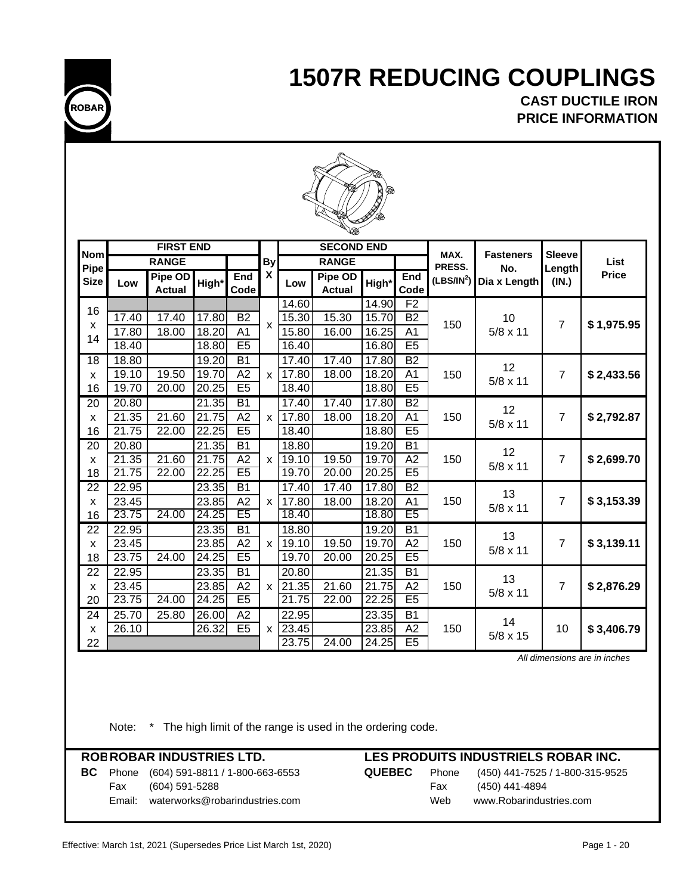

**PRICE INFORMATION CAST DUCTILE IRON**



|                                 |                | <b>FIRST END</b>         |                    |                       |              |                | w<br><b>SECOND END</b>   |                |                 |                        |                     |                 |              |
|---------------------------------|----------------|--------------------------|--------------------|-----------------------|--------------|----------------|--------------------------|----------------|-----------------|------------------------|---------------------|-----------------|--------------|
| <b>Nom</b>                      |                | <b>RANGE</b>             |                    |                       | <b>By</b>    |                | <b>RANGE</b>             |                |                 | MAX.                   | <b>Fasteners</b>    | <b>Sleeve</b>   | List         |
| Pipe<br><b>Size</b>             | Low            | Pipe OD<br><b>Actual</b> | High*              | End<br>Code           | X            | Low            | Pipe OD<br><b>Actual</b> | High*          | End<br>Code     | PRESS.<br>$(LBS/IN^2)$ | No.<br>Dia x Length | Length<br>(IN.) | <b>Price</b> |
|                                 |                |                          |                    |                       |              | 14.60          |                          | 14.90          | F <sub>2</sub>  |                        |                     |                 |              |
| 16                              | 17.40          | 17.40                    | 17.80              | <b>B2</b>             |              | 15.30          | 15.30                    | 15.70          | B <sub>2</sub>  |                        | 10                  |                 |              |
| X                               | 17.80          | 18.00                    | 18.20              | A <sub>1</sub>        | $\mathsf{x}$ | 15.80          | 16.00                    | 16.25          | A <sub>1</sub>  | 150                    | $5/8 \times 11$     | $\overline{7}$  | \$1,975.95   |
| 14                              | 18.40          |                          | 18.80              | E5                    |              | 16.40          |                          | 16.80          | E5              |                        |                     |                 |              |
| $\overline{18}$                 | 18.80          |                          | 19.20              | B1                    |              | 17.40          | 17.40                    | 17.80          | B2              |                        |                     |                 |              |
| X                               | 19.10          | 19.50                    | 19.70              | A2                    | $\mathsf{x}$ | 17.80          | 18.00                    | 18.20          | A1              | 150                    | 12                  | $\overline{7}$  | \$2,433.56   |
| 16                              | 19.70          | 20.00                    | $\overline{2}0.25$ | E5                    |              | 18.40          |                          | 18.80          | E5              |                        | $5/8 \times 11$     |                 |              |
| 20                              | 20.80          |                          | 21.35              | $\overline{B1}$       |              | 17.40          | 17.40                    | 17.80          | $\overline{B2}$ |                        | 12                  |                 |              |
| X                               | 21.35          | 21.60                    | 21.75              | A2                    | $\mathsf{x}$ | 17.80          | 18.00                    | 18.20          | A <sub>1</sub>  | 150                    | $5/8 \times 11$     | $\overline{7}$  | \$2,792.87   |
| 16                              | 21.75          | 22.00                    | 22.25              | E5                    |              | 18.40          |                          | 18.80          | E5              |                        |                     |                 |              |
| 20                              | 20.80          |                          | 21.35              | $\overline{B1}$       |              | 18.80          |                          | 19.20          | $\overline{B1}$ |                        | 12                  |                 |              |
| $\boldsymbol{\mathsf{x}}$       | 21.35          | $\frac{1}{21.60}$        | 21.75              | A2                    | $\mathbf{x}$ | 19.10          | 19.50                    | 19.70          | A2              | 150                    | $5/8 \times 11$     | $\overline{7}$  | \$2,699.70   |
| 18                              | 21.75          | 22.00                    | 22.25              | E <sub>5</sub>        |              | 19.70          | 20.00                    | 20.25          | E <sub>5</sub>  |                        |                     |                 |              |
| 22                              | 22.95          |                          | 23.35              | $\overline{B1}$       |              | 17.40          | 17.40                    | 17.80          | B2              |                        | 13                  |                 |              |
| X                               | 23.45          |                          | 23.85              | A2                    | $\mathsf{x}$ | 17.80          | 18.00                    | 18.20          | A <sub>1</sub>  | 150                    | $5/8 \times 11$     | $\overline{7}$  | \$3,153.39   |
| 16                              | 23.75          | $\sqrt{24.00}$           | 24.25              | E5                    |              | 18.40          |                          | 18.80          | E5              |                        |                     |                 |              |
| 22                              | 22.95          |                          | 23.35              | B <sub>1</sub>        |              | 18.80          |                          | 19.20          | $\overline{B1}$ |                        | 13                  |                 |              |
| X                               | 23.45          |                          | 23.85              | A2<br>E5              | $\mathsf{x}$ | 19.10          | 19.50                    | 19.70          | A2<br>E5        | 150                    | $5/8 \times 11$     | 7               | \$3,139.11   |
| 18                              | 23.75          | 24.00                    | 24.25              |                       |              | 19.70          | 20.00                    | 20.25          |                 |                        |                     |                 |              |
| 22                              | 22.95          |                          | 23.35<br>23.85     | $\overline{B1}$<br>A2 |              | 20.80<br>21.35 | 21.60                    | 21.35<br>21.75 | $\overline{B1}$ |                        | 13                  |                 |              |
| $\boldsymbol{\mathsf{x}}$<br>20 | 23.45<br>23.75 | 24.00                    | 24.25              | E5                    | $\mathsf{x}$ | 21.75          | 22.00                    | 22.25          | A2<br>E5        | 150                    | $5/8 \times 11$     | 7               | \$2,876.29   |
| 24                              | 25.70          | 25.80                    | 26.00              | $\overline{A2}$       |              | 22.95          |                          | 23.35          | $\overline{B1}$ |                        |                     |                 |              |
| X                               | 26.10          |                          | 26.32              | E <sub>5</sub>        | $\mathsf{x}$ | 23.45          |                          | 23.85          | A2              | 150                    | 14                  | 10              | \$3,406.79   |
| 22                              |                |                          |                    |                       |              | 23.75          | $\overline{24.00}$       | 24.25          | E5              |                        | $5/8 \times 15$     |                 |              |
|                                 |                |                          |                    |                       |              |                |                          |                |                 |                        |                     |                 |              |

 *All dimensions are in inches*

Note: \* The high limit of the range is used in the ordering code.

## **ROBROBAR INDUSTRIES LTD. LES PRODUITS INDUSTRIELS ROBAR INC.** Fax (604) 591-5288 Fax (450) 441-4894 Email: waterworks@robarindustries.com Web www.Robarindustries.com

# **BC** Phone (604) 591-8811 / 1-800-663-6553 **QUEBEC** Phone (450) 441-7525 / 1-800-315-9525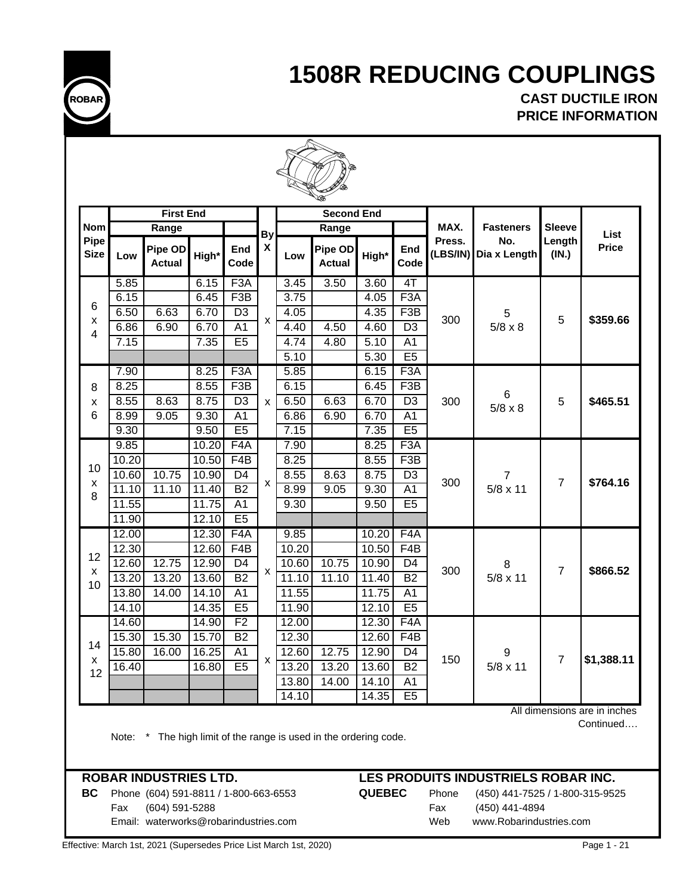

**CAST DUCTILE IRON PRICE INFORMATION**

|              |                 |                     |                    |                  |                                   | <b>Second End</b> |       |                    |                  |       | <b>First End</b>         |       |                     |
|--------------|-----------------|---------------------|--------------------|------------------|-----------------------------------|-------------------|-------|--------------------|------------------|-------|--------------------------|-------|---------------------|
| List         | <b>Sleeve</b>   | <b>Fasteners</b>    | MAX.               |                  |                                   | Range             |       | By                 |                  |       | Range                    |       | <b>Nom</b>          |
| <b>Price</b> | Length<br>(IN.) | No.<br>Dia x Length | Press.<br>(LBS/IN) | End<br>Code      | Pipe OD<br>High*<br><b>Actual</b> |                   | Low   | $\pmb{\mathsf{X}}$ | End<br>Code      | High* | Pipe OD<br><b>Actual</b> | Low   | Pipe<br><b>Size</b> |
|              |                 |                     |                    | 4T               | 3.60                              | 3.50              | 3.45  |                    | F <sub>3</sub> A | 6.15  |                          | 5.85  |                     |
|              |                 |                     |                    | F3A              | 4.05                              |                   | 3.75  |                    | F3B              | 6.45  |                          | 6.15  |                     |
|              |                 | 5                   | 300                | F3B              | 4.35                              |                   | 4.05  |                    | D <sub>3</sub>   | 6.70  | 6.63                     | 6.50  | 6                   |
| \$359.66     | 5               | $5/8 \times 8$      |                    | $\overline{D3}$  | 4.60                              | 4.50              | 4.40  | X                  | $\overline{A1}$  | 6.70  | 6.90                     | 6.86  | X<br>$\overline{4}$ |
|              |                 |                     |                    | $\overline{A1}$  | 5.10                              | 4.80              | 4.74  |                    | E5               | 7.35  |                          | 7.15  |                     |
|              |                 |                     |                    | E5               | 5.30                              |                   | 5.10  |                    |                  |       |                          |       |                     |
|              |                 |                     |                    | F <sub>3</sub> A | 6.15                              |                   | 5.85  |                    | F3A              | 8.25  |                          | 7.90  |                     |
|              |                 |                     |                    | F <sub>3</sub> B | 6.45                              |                   | 6.15  |                    | F <sub>3</sub> B | 8.55  |                          | 8.25  | 8                   |
| \$465.51     | 5               | 6                   | 300                | D <sub>3</sub>   | 6.70                              | 6.63              | 6.50  | X                  | D <sub>3</sub>   | 8.75  | 8.63                     | 8.55  | X                   |
|              |                 | $5/8 \times 8$      |                    | A <sub>1</sub>   | 6.70                              | 6.90              | 6.86  |                    | A <sub>1</sub>   | 9.30  | 9.05                     | 8.99  | 6                   |
|              |                 |                     |                    | E <sub>5</sub>   | 7.35                              |                   | 7.15  |                    | E5               | 9.50  |                          | 9.30  |                     |
|              |                 |                     |                    | F <sub>3</sub> A | 8.25                              |                   | 7.90  |                    | F <sub>4</sub> A | 10.20 |                          | 9.85  |                     |
|              |                 |                     |                    | F3B              | 8.55                              |                   | 8.25  |                    | F4B              | 10.50 |                          | 10.20 |                     |
|              |                 | 7                   |                    | D <sub>3</sub>   | 8.75                              | 8.63              | 8.55  |                    | D <sub>4</sub>   | 10.90 | 10.75                    | 10.60 | 10                  |
| \$764.16     | $\overline{7}$  | $5/8 \times 11$     | 300                | A <sub>1</sub>   | 9.30                              | 9.05              | 8.99  | X                  | B2               | 11.40 | 11.10                    | 11.10 | X<br>8              |
|              |                 |                     |                    | E <sub>5</sub>   | 9.50                              |                   | 9.30  |                    | A <sub>1</sub>   | 11.75 |                          | 11.55 |                     |
|              |                 |                     |                    |                  |                                   |                   |       |                    | $\overline{E5}$  | 12.10 |                          | 11.90 |                     |
|              |                 |                     |                    | F4A              | 10.20                             |                   | 9.85  |                    | F <sub>4</sub> A | 12.30 |                          | 12.00 |                     |
|              |                 |                     |                    | F4B              | 10.50                             |                   | 10.20 |                    | F4B              | 12.60 |                          | 12.30 |                     |
|              |                 | 8                   |                    | D <sub>4</sub>   | 10.90                             | 10.75             | 10.60 |                    | D <sub>4</sub>   | 12.90 | 12.75                    | 12.60 | 12                  |
| \$866.52     | $\overline{7}$  | $5/8 \times 11$     | 300                | $\overline{B2}$  | 11.40                             | 11.10             | 11.10 | X                  | $\overline{B2}$  | 13.60 | 13.20                    | 13.20 | X                   |
|              |                 |                     |                    | A <sub>1</sub>   | 11.75                             |                   | 11.55 |                    | A <sub>1</sub>   | 14.10 | 14.00                    | 13.80 | 10                  |
|              |                 |                     |                    | E5               | 12.10                             |                   | 11.90 |                    | E <sub>5</sub>   | 14.35 |                          | 14.10 |                     |
|              |                 |                     |                    | F <sub>4</sub> A | 12.30                             |                   | 12.00 |                    | F <sub>2</sub>   | 14.90 |                          | 14.60 |                     |
|              |                 |                     |                    | F4B              | 12.60                             |                   | 12.30 |                    | <b>B2</b>        | 15.70 | 15.30                    | 15.30 |                     |
|              |                 | 9                   |                    | D4               | 12.90                             | 12.75             | 12.60 |                    | A <sub>1</sub>   | 16.25 | 16.00                    | 15.80 | 14                  |
| \$1,388.11   | $\overline{7}$  | $5/8 \times 11$     | 150                | <b>B2</b>        | 13.60                             | 13.20             | 13.20 | x                  | E5               | 16.80 |                          | 16.40 | х                   |
|              |                 |                     |                    | A1               | 14.10                             | 14.00             | 13.80 |                    |                  |       |                          |       | 12                  |
|              | E5              |                     |                    |                  |                                   |                   | 14.10 |                    |                  |       |                          |       |                     |

Note: \* The high limit of the range is used in the ordering code.

**BC** Phone (604) 591-8811 / 1-800-663-6553 **QUEBEC** Phone (450) 441-7525 / 1-800-315-9525 Fax (604) 591-5288 Fax (450) 441-4894 Email: waterworks@robarindustries.com Web www.Robarindustries.com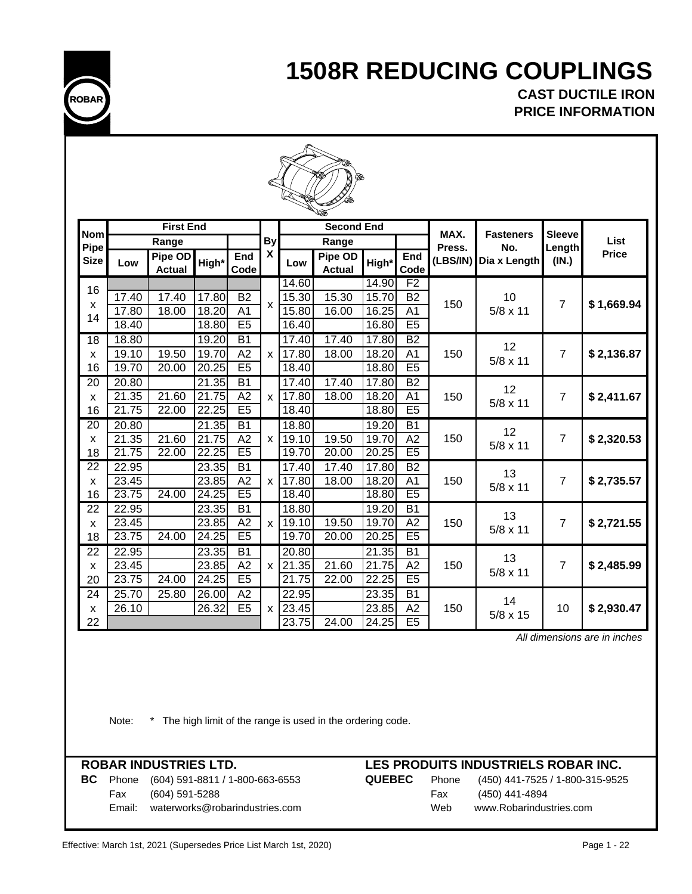

**CAST DUCTILE IRON PRICE INFORMATION**

|                      | ∞              |                          |                |                                   |                           |                |                          |                |                      |          |                  |                |                                |
|----------------------|----------------|--------------------------|----------------|-----------------------------------|---------------------------|----------------|--------------------------|----------------|----------------------|----------|------------------|----------------|--------------------------------|
| <b>Nom</b>           |                | <b>First End</b>         |                |                                   |                           |                | <b>Second End</b>        |                |                      | MAX.     | <b>Fasteners</b> | <b>Sleeve</b>  |                                |
| Pipe                 |                | Range                    |                |                                   | <b>By</b><br>χ            |                | Range                    |                |                      | Press.   | No.              |                | List<br>Length<br><b>Price</b> |
| <b>Size</b>          | Low            | Pipe OD<br><b>Actual</b> | High*          | End<br>Code                       |                           | Low            | Pipe OD<br><b>Actual</b> | High*          | End<br>Code          | (LBS/IN) | Dia x Length     | (IN.)          |                                |
|                      |                |                          |                |                                   |                           | 14.60          |                          | 14.90          | F <sub>2</sub>       |          |                  |                |                                |
| 16                   | 17.40          | 17.40                    | 17.80          | $\overline{B2}$                   | $\boldsymbol{\mathsf{x}}$ | 15.30          | 15.30                    | 15.70          | $\overline{B2}$      | 150      | 10               | $\overline{7}$ | \$1,669.94                     |
| X<br>14              | 17.80          | 18.00                    | 18.20          | A <sub>1</sub>                    |                           | 15.80          | 16.00                    | 16.25          | $\overline{A1}$      |          | $5/8 \times 11$  |                |                                |
|                      | 18.40          |                          | 18.80          | E <sub>5</sub>                    |                           | 16.40          |                          | 16.80          | E <sub>5</sub>       |          |                  |                |                                |
| $\overline{18}$      | 18.80          |                          | 19.20          | $\overline{B1}$                   |                           | 17.40          | 17.40                    | 17.80          | B2                   |          | 12               |                |                                |
| X                    | 19.10          | 19.50                    | 19.70          | A2                                | $\boldsymbol{\mathsf{x}}$ | 17.80          | 18.00                    | 18.20          | A <sub>1</sub>       | 150      | $5/8 \times 11$  | $\overline{7}$ | \$2,136.87                     |
| 16                   | 19.70          | 20.00                    | 20.25          | E5                                |                           | 18.40          |                          | 18.80          | E5                   |          |                  |                |                                |
| $\overline{20}$      | 20.80          |                          | 21.35          | $\overline{B1}$                   |                           | 17.40          | 17.40                    | 17.80          | B2                   |          | 12               |                |                                |
| X<br>16              | 21.35<br>21.75 | 21.60<br>22.00           | 21.75<br>22.25 | A2<br>E5                          | X                         | 17.80<br>18.40 | 18.00                    | 18.20<br>18.80 | A <sub>1</sub><br>E5 | 150      | $5/8 \times 11$  | $\overline{7}$ | \$2,411.67                     |
| $\overline{20}$      | 20.80          |                          | 21.35          | $\overline{B1}$                   |                           | 18.80          |                          | 19.20          | $\overline{B1}$      |          |                  |                |                                |
| X                    | 21.35          | 21.60                    | 21.75          | A2                                | X                         | 19.10          | 19.50                    | 19.70          | A2                   | 150      | 12               | $\overline{7}$ | \$2,320.53                     |
| 18                   | 21.75          | 22.00                    | 22.25          | E <sub>5</sub>                    |                           | 19.70          | 20.00                    | 20.25          | E5                   |          | $5/8 \times 11$  |                |                                |
| $\overline{22}$      | 22.95          |                          | 23.35          | $\overline{B1}$                   |                           | 17.40          | 17.40                    | 17.80          | $\overline{B2}$      |          |                  |                |                                |
| X                    | 23.45          |                          | 23.85          | A2                                | X                         | 17.80          | 18.00                    | 18.20          | A <sub>1</sub>       | 150      | 13               | $\overline{7}$ | \$2,735.57                     |
| 16                   | 23.75          | 24.00                    | 24.25          | E5                                |                           | 18.40          |                          | 18.80          | E <sub>5</sub>       |          | $5/8 \times 11$  |                |                                |
| 22                   | 22.95          |                          | 23.35          | $\overline{B1}$                   |                           | 18.80          |                          | 19.20          | $\overline{B1}$      |          | 13               |                |                                |
| X                    | 23.45          |                          | 23.85          | A2                                | X                         | 19.10          | 19.50                    | 19.70          | $\overline{A2}$      | 150      | $5/8 \times 11$  | $\overline{7}$ | \$2,721.55                     |
| 18                   | 23.75          | 24.00                    | 24.25          | E <sub>5</sub>                    |                           | 19.70          | 20.00                    | 20.25          | E5                   |          |                  |                |                                |
| 22                   | 22.95          |                          | 23.35          | $\overline{B1}$                   |                           | 20.80          |                          | 21.35          | $\overline{B1}$      |          | 13               |                |                                |
| X                    | 23.45          |                          | 23.85          | A2                                | X                         | 21.35          | 21.60                    | 21.75          | A2                   | 150      | $5/8 \times 11$  | $\overline{7}$ | \$2,485.99                     |
| 20                   | 23.75          | 24.00                    | 24.25          | E <sub>5</sub>                    |                           | 21.75          | 22.00                    | 22.25          | E <sub>5</sub>       |          |                  |                |                                |
| $\overline{24}$<br>X | 25.70<br>26.10 | 25.80                    | 26.00<br>26.32 | $\overline{A2}$<br>E <sub>5</sub> | X                         | 22.95<br>23.45 |                          | 23.35<br>23.85 | B1<br>A2             | 150      | 14               | 10             | \$2,930.47                     |
| 22                   |                |                          |                |                                   |                           | 23.75          | 24.00                    | 24.25          | E5                   |          | $5/8 \times 15$  |                |                                |

 *All dimensions are in inches*

Note: \* The high limit of the range is used in the ordering code.

**BC** Phone (604) 591-8811 / 1-800-663-6553 **QUEBEC** Phone (450) 441-7525 / 1-800-315-9525 Fax (604) 591-5288 Email: waterworks@robarindustries.com Web www.Robarindustries.com

| ЕC | Phone | (450) 441-7525 / 1-80 |
|----|-------|-----------------------|
|    | Fax   | (450) 441-4894        |
|    | Web   | www.Robarindustries.o |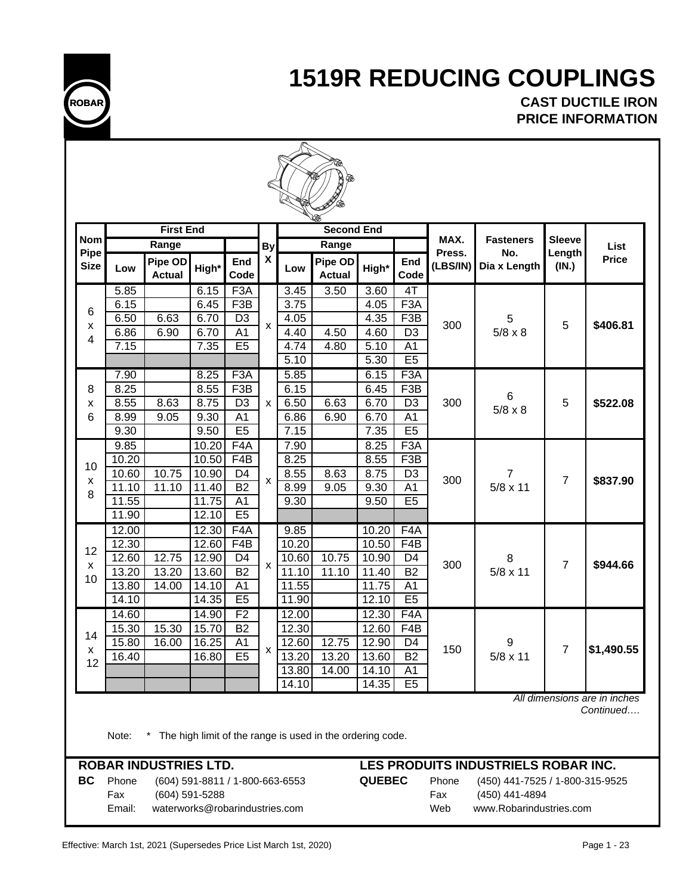

**CAST DUCTILE IRON PRICE INFORMATION**

|                    |              | <b>First End</b>               |                                                                                    |                  |                    |              | <b>Second End</b>                                         |                   |                         |                |                                     |                         |                              |
|--------------------|--------------|--------------------------------|------------------------------------------------------------------------------------|------------------|--------------------|--------------|-----------------------------------------------------------|-------------------|-------------------------|----------------|-------------------------------------|-------------------------|------------------------------|
| <b>Nom</b><br>Pipe |              | Range                          |                                                                                    |                  | <b>By</b>          |              | Range                                                     |                   |                         | MAX.<br>Press. | <b>Fasteners</b><br>No.             | <b>Sleeve</b><br>Length | List                         |
| <b>Size</b>        | Low          | Pipe OD<br><b>Actual</b>       | High*                                                                              | End<br>Code      | X                  | Low          | Pipe OD<br><b>Actual</b>                                  | High*             | End<br>Code             | (LBS/IN)       | Dia x Length                        | (IN.)                   | <b>Price</b>                 |
|                    | 5.85         |                                | 6.15                                                                               | F3A              |                    | 3.45         | 3.50                                                      | $\overline{3.60}$ | 4T                      |                |                                     |                         |                              |
| 6                  | 6.15         |                                | 6.45                                                                               | F <sub>3</sub> B |                    | 3.75         |                                                           | 4.05              | F <sub>3</sub> A        |                |                                     |                         |                              |
| x                  | 6.50         | 6.63                           | 6.70                                                                               | D <sub>3</sub>   | X                  | 4.05         |                                                           | 4.35              | F <sub>3</sub> B        | 300            | 5                                   | 5                       | \$406.81                     |
| 4                  | 6.86         | 6.90                           | 6.70<br>A <sub>1</sub><br>4.60<br>D <sub>3</sub><br>4.40<br>4.50<br>$5/8 \times 8$ |                  |                    |              |                                                           |                   |                         |                |                                     |                         |                              |
|                    | 7.15         |                                | 7.35                                                                               | E <sub>5</sub>   |                    | 4.74         | 4.80                                                      | 5.10              | A <sub>1</sub>          |                |                                     |                         |                              |
|                    |              |                                |                                                                                    |                  |                    | 5.10         |                                                           | 5.30              | E5                      |                |                                     |                         |                              |
|                    | 7.90<br>8.25 |                                | 8.25<br>8.55                                                                       | F3A<br>F3B       |                    | 5.85<br>6.15 |                                                           | 6.15<br>6.45      | F <sub>3</sub> A<br>F3B |                |                                     |                         |                              |
| 8                  | 8.55         | 8.63                           | 8.75                                                                               | D <sub>3</sub>   | X                  | 6.50         | 6.63                                                      | 6.70              | D <sub>3</sub>          | 300            | 6                                   | 5                       | \$522.08                     |
| x<br>6             | 8.99         | 9.05                           | 9.30                                                                               | A <sub>1</sub>   |                    | 6.86         | 6.90                                                      | 6.70              | A <sub>1</sub>          |                | $5/8 \times 8$                      |                         |                              |
|                    | 9.30         |                                | 9.50                                                                               | E <sub>5</sub>   |                    | 7.15         |                                                           | 7.35              | E5                      |                |                                     |                         |                              |
|                    | 9.85         |                                | 10.20                                                                              | F4A              |                    | 7.90         |                                                           | 8.25              | F3A                     |                |                                     |                         |                              |
|                    | 10.20        |                                | 10.50                                                                              | F4B              |                    | 8.25         |                                                           | 8.55              | F <sub>3</sub> B        |                | 7                                   |                         |                              |
| 10                 | 10.60        | 10.75                          | 10.90                                                                              | D <sub>4</sub>   |                    | 8.55         | 8.63                                                      | 8.75              | D <sub>3</sub>          | 300            |                                     |                         |                              |
| X                  | 11.10        | 11.10                          | 11.40                                                                              | $\overline{B2}$  | $\pmb{\mathsf{X}}$ | 8.99         | 9.05                                                      | 9.30              | A <sub>1</sub>          |                | $5/8 \times 11$                     | $\overline{7}$          | \$837.90                     |
| 8                  | 11.55        |                                | 11.75                                                                              | A <sub>1</sub>   |                    | 9.30         |                                                           | 9.50              | E <sub>5</sub>          |                |                                     |                         |                              |
|                    | 11.90        |                                | 12.10                                                                              | E5               |                    |              |                                                           |                   |                         |                |                                     |                         |                              |
|                    | 12.00        |                                | 12.30                                                                              | $\overline{F4}A$ |                    | 9.85         |                                                           | 10.20             | F4A                     |                |                                     |                         |                              |
| 12                 | 12.30        |                                | 12.60                                                                              | F4B              |                    | 10.20        |                                                           | 10.50             | F4B                     |                |                                     |                         |                              |
|                    | 12.60        | 12.75                          | 12.90                                                                              | D <sub>4</sub>   | $\pmb{\mathsf{x}}$ | 10.60        | 10.75                                                     | 10.90             | D4                      | 300            | 8                                   | $\overline{7}$          |                              |
| x<br>10            | 13.20        | 13.20                          | 13.60                                                                              | $\overline{B2}$  |                    | 11.10        | $\overline{1}1.10$                                        | 11.40             | <b>B2</b>               |                | $5/8 \times 11$                     |                         | \$944.66                     |
|                    | 13.80        | 14.00                          | 14.10                                                                              | A <sub>1</sub>   |                    | 11.55        |                                                           | 11.75             | A <sub>1</sub>          |                |                                     |                         |                              |
|                    | 14.10        |                                | 14.35                                                                              | E5               |                    | 11.90        |                                                           | 12.10             | E5                      |                |                                     |                         |                              |
|                    | 14.60        |                                | 14.90                                                                              | F <sub>2</sub>   |                    | 12.00        |                                                           | 12.30             | F <sub>4</sub> A        |                |                                     |                         |                              |
| 14                 | 15.30        | 15.30                          | 15.70                                                                              | B2               |                    | 12.30        |                                                           | 12.60             | F4B                     |                |                                     |                         |                              |
| x                  | 15.80        | 16.00                          | 16.25                                                                              | A <sub>1</sub>   | x                  | 12.60        | 12.75                                                     | 12.90             | D <sub>4</sub>          | 150            | 9                                   | 7                       | \$1,490.55                   |
| 12                 | 16.40        |                                | 16.80                                                                              | E <sub>5</sub>   |                    | 13.20        | 13.20                                                     | 13.60             | <b>B2</b>               |                | $5/8 \times 11$                     |                         |                              |
|                    |              |                                |                                                                                    |                  |                    | 13.80        | 14.00                                                     | 14.10             | A1                      |                |                                     |                         |                              |
|                    |              |                                |                                                                                    |                  |                    | 14.10        |                                                           | 14.35             | E <sub>5</sub>          |                |                                     |                         | All dimensions are in inches |
|                    | Note:        |                                |                                                                                    |                  |                    |              | The high limit of the range is used in the ordering code. |                   |                         |                |                                     |                         | Continued                    |
|                    |              | <b>ROBAR INDUSTRIES LTD.</b>   |                                                                                    |                  |                    |              |                                                           |                   |                         |                | LES PRODUITS INDUSTRIELS ROBAR INC. |                         |                              |
| BC                 | Phone        |                                | (604) 591-8811 / 1-800-663-6553                                                    |                  |                    |              |                                                           | <b>QUEBEC</b>     |                         | Phone          | (450) 441-7525 / 1-800-315-9525     |                         |                              |
|                    | Fax          |                                | (604) 591-5288                                                                     |                  |                    |              |                                                           |                   |                         | Fax            | (450) 441-4894                      |                         |                              |
|                    | Email:       | waterworks@robarindustries.com |                                                                                    |                  |                    |              |                                                           |                   |                         | Web            | www.Robarindustries.com             |                         |                              |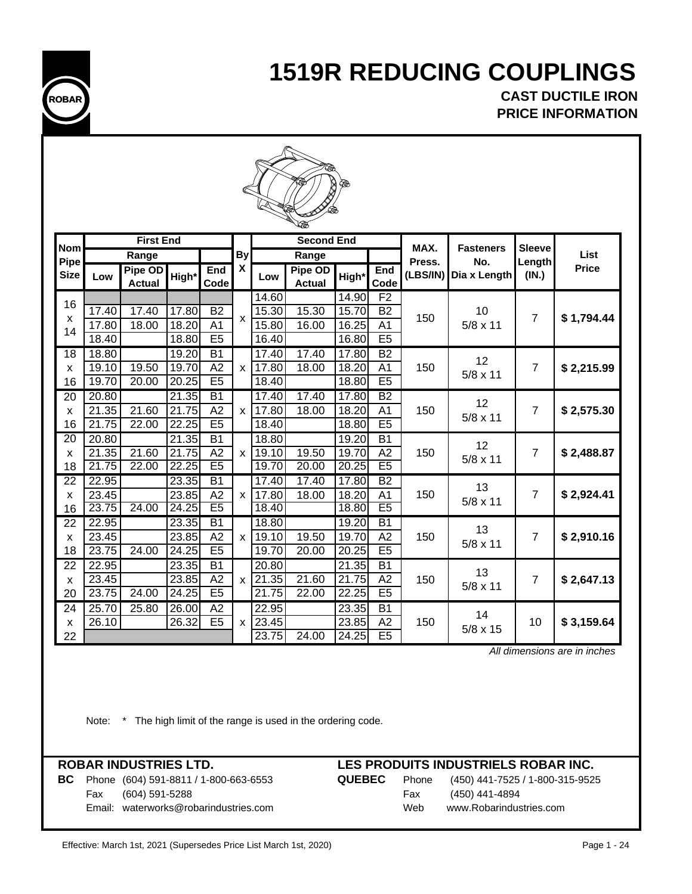

**CAST DUCTILE IRON PRICE INFORMATION**

|--|

|                     |       | <b>First End</b> |       |                 |                           |       | -- 50<br><b>Second End</b> |                    |                 |                    |                     |                  |              |
|---------------------|-------|------------------|-------|-----------------|---------------------------|-------|----------------------------|--------------------|-----------------|--------------------|---------------------|------------------|--------------|
| <b>Nom</b>          |       | Range            |       |                 | <b>By</b>                 |       | Range                      |                    |                 | MAX.               | <b>Fasteners</b>    | <b>Sleeve</b>    | List         |
| Pipe<br><b>Size</b> |       | Pipe OD          |       | End             | X                         |       | Pipe OD                    |                    | End             | Press.<br>(LBS/IN) | No.<br>Dia x Length | Lengthl<br>(IN.) | <b>Price</b> |
|                     | Low   | <b>Actual</b>    | High* | Code            |                           | Low   | <b>Actual</b>              | High*              | Code            |                    |                     |                  |              |
| 16                  |       |                  |       |                 |                           | 14.60 |                            | 14.90              | F2              |                    |                     |                  |              |
| X                   | 17.40 | 17.40            | 17.80 | <b>B2</b>       | $\boldsymbol{\mathsf{x}}$ | 15.30 | 15.30                      | 15.70              | <b>B2</b>       | 150                | 10                  | $\overline{7}$   | \$1,794.44   |
| 14                  | 17.80 | 18.00            | 18.20 | A <sub>1</sub>  |                           | 15.80 | 16.00                      | $\overline{16.25}$ | A <sub>1</sub>  |                    | $5/8 \times 11$     |                  |              |
|                     | 18.40 |                  | 18.80 | E <sub>5</sub>  |                           | 16.40 |                            | 16.80              | E <sub>5</sub>  |                    |                     |                  |              |
| 18                  | 18.80 |                  | 19.20 | $\overline{B1}$ |                           | 17.40 | 17.40                      | 17.80              | B2              |                    | 12                  |                  |              |
| X                   | 19.10 | 19.50            | 19.70 | A2              | x <sub>1</sub>            | 17.80 | 18.00                      | 18.20              | A <sub>1</sub>  | 150                | $5/8 \times 11$     | 7                | \$2,215.99   |
| 16                  | 19.70 | 20.00            | 20.25 | E5              |                           | 18.40 |                            | 18.80              | E5              |                    |                     |                  |              |
| 20                  | 20.80 |                  | 21.35 | $\overline{B1}$ |                           | 17.40 | 17.40                      | 17.80              | $\overline{B2}$ |                    | 12                  |                  |              |
| X                   | 21.35 | 21.60            | 21.75 | A2              | X                         | 17.80 | 18.00                      | 18.20              | A <sub>1</sub>  | 150                | $5/8 \times 11$     | 7                | \$2,575.30   |
| 16                  | 21.75 | 22.00            | 22.25 | E5              |                           | 18.40 |                            | 18.80              | E5              |                    |                     |                  |              |
| 20                  | 20.80 |                  | 21.35 | <b>B1</b>       |                           | 18.80 |                            | 19.20              | <b>B1</b>       |                    | 12                  |                  |              |
| X                   | 21.35 | 21.60            | 21.75 | A2              | $\times$                  | 19.10 | 19.50                      | 19.70              | A2              | 150                | $5/8 \times 11$     | $\overline{7}$   | \$2,488.87   |
| 18                  | 21.75 | 22.00            | 22.25 | E5              |                           | 19.70 | 20.00                      | 20.25              | E <sub>5</sub>  |                    |                     |                  |              |
| $\overline{22}$     | 22.95 |                  | 23.35 | <b>B1</b>       |                           | 17.40 | 17.40                      | 17.80              | <b>B2</b>       |                    | 13                  |                  |              |
| X                   | 23.45 |                  | 23.85 | A2              | $\mathsf{x}$              | 17.80 | 18.00                      | 18.20              | A <sub>1</sub>  | 150                | $5/8 \times 11$     | $\overline{7}$   | \$2,924.41   |
| 16                  | 23.75 | 24.00            | 24.25 | E <sub>5</sub>  |                           | 18.40 |                            | 18.80              | E <sub>5</sub>  |                    |                     |                  |              |
| 22                  | 22.95 |                  | 23.35 | <b>B1</b>       |                           | 18.80 |                            | 19.20              | <b>B1</b>       |                    | 13                  |                  |              |
| X                   | 23.45 |                  | 23.85 | $\overline{A2}$ | $\mathsf{x}$              | 19.10 | 19.50                      | 19.70              | $\overline{A2}$ | 150                | $5/8 \times 11$     | 7                | \$2,910.16   |
| 18                  | 23.75 | 24.00            | 24.25 | E5              |                           | 19.70 | 20.00                      | 20.25              | E5              |                    |                     |                  |              |
| 22                  | 22.95 |                  | 23.35 | $\overline{B1}$ |                           | 20.80 |                            | 21.35              | $\overline{B1}$ |                    | 13                  |                  |              |
| X                   | 23.45 |                  | 23.85 | A2              | $\mathsf{x}$              | 21.35 | 21.60                      | 21.75              | A2              | 150                | $5/8 \times 11$     | 7                | \$2,647.13   |
| 20                  | 23.75 | 24.00            | 24.25 | E <sub>5</sub>  |                           | 21.75 | 22.00                      | 22.25              | E5              |                    |                     |                  |              |
| $\overline{24}$     | 25.70 | 25.80            | 26.00 | $\overline{A2}$ |                           | 22.95 |                            | 23.35              | $\overline{B1}$ |                    | 14                  |                  |              |
| X                   | 26.10 |                  | 26.32 | E <sub>5</sub>  | $\mathsf{x}$              | 23.45 |                            | 23.85              | A <sub>2</sub>  | 150                | $5/8 \times 15$     | 10               | \$3,159.64   |
| 22                  |       |                  |       |                 |                           | 23.75 | $\overline{24.00}$         | 24.25              | E5              |                    |                     |                  |              |

 *All dimensions are in inches*

Note: \* The high limit of the range is used in the ordering code.

**ROBAR INDUSTRIES LTD. LES PRODUITS INDUSTRIELS ROBAR INC.**

**BC** Phone (604) 591-8811 / 1-800-663-6553 **QUEBEC** Phone (450) 441-7525 / 1-800-315-9525 Fax (604) 591-5288 Fax (450) 441-4894 Email: waterworks@robarindustries.com Web www.Robarindustries.com

Effective: March 1st, 2021 (Supersedes Price List March 1st, 2020) **Page 1 - 24** Page 1 - 24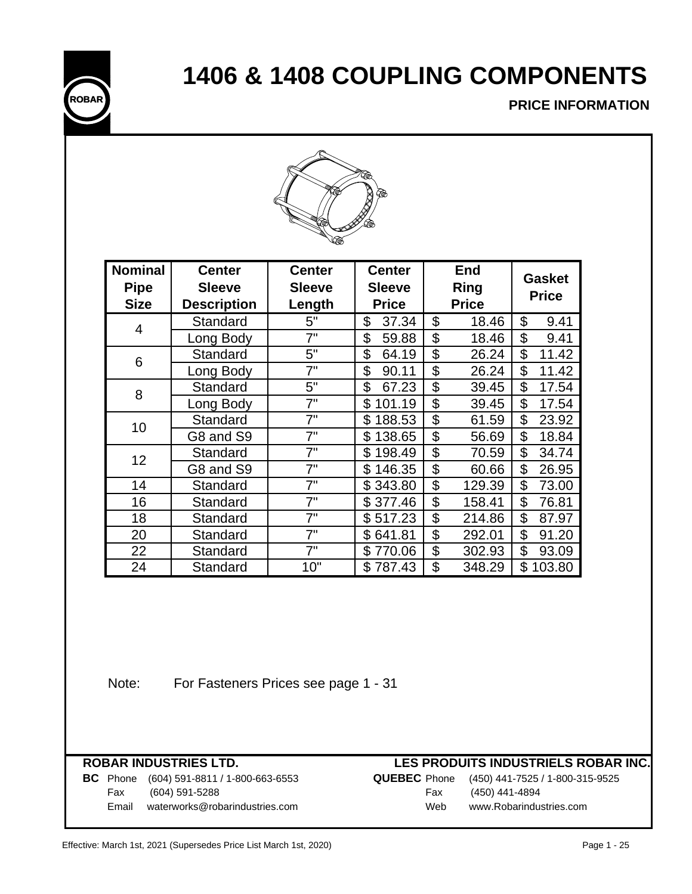# **1406 & 1408 COUPLING COMPONENTS**



### **PRICE INFORMATION**



| <b>Nominal</b><br><b>Pipe</b><br><b>Size</b> | <b>Center</b><br><b>Sleeve</b><br><b>Description</b> | <b>Center</b><br><b>Center</b><br><b>Sleeve</b><br><b>Sleeve</b><br>Length<br><b>Price</b> |              |    |                       | <b>Gasket</b><br><b>Price</b> |  |  |
|----------------------------------------------|------------------------------------------------------|--------------------------------------------------------------------------------------------|--------------|----|-----------------------|-------------------------------|--|--|
|                                              | Standard                                             | 5"                                                                                         | \$<br>37.34  | \$ | <b>Price</b><br>18.46 | \$<br>9.41                    |  |  |
| 4                                            | Long Body                                            | 7"                                                                                         | \$<br>59.88  | \$ | 18.46                 | \$<br>9.41                    |  |  |
|                                              | Standard                                             | 5"                                                                                         | \$<br>64.19  | \$ | 26.24                 | \$<br>11.42                   |  |  |
| 6                                            | Long Body                                            | 7"                                                                                         | \$<br>90.11  | \$ | 26.24                 | \$<br>11.42                   |  |  |
| 8                                            | Standard                                             | 5"                                                                                         | \$<br>67.23  | \$ | 39.45                 | \$<br>17.54                   |  |  |
|                                              | Long Body                                            | 7"                                                                                         | \$<br>101.19 | \$ | 39.45                 | \$<br>17.54                   |  |  |
| 10                                           | Standard                                             | 7"                                                                                         | 188.53<br>\$ | \$ | 61.59                 | \$<br>23.92                   |  |  |
|                                              | G8 and S9                                            | 7"                                                                                         | \$138.65     | \$ | 56.69                 | \$<br>18.84                   |  |  |
| 12                                           | Standard                                             | 7"                                                                                         | \$198.49     | \$ | 70.59                 | \$<br>34.74                   |  |  |
|                                              | G8 and S9                                            | 7"                                                                                         | \$146.35     | \$ | 60.66                 | \$<br>26.95                   |  |  |
| 14                                           | Standard                                             | 7"                                                                                         | \$343.80     | \$ | 129.39                | \$<br>73.00                   |  |  |
| 16                                           | Standard                                             | 7"                                                                                         | \$377.46     | \$ | 158.41                | \$<br>76.81                   |  |  |
| 18                                           | Standard                                             | 7"                                                                                         | \$517.23     | \$ | 214.86                | \$<br>87.97                   |  |  |
| 20                                           | Standard                                             | 7"                                                                                         | \$641.81     | \$ | 292.01                | \$<br>91.20                   |  |  |
| 22                                           | Standard                                             | 7"                                                                                         | \$770.06     | \$ | 302.93                | \$<br>93.09                   |  |  |
| 24                                           | Standard                                             | 10"                                                                                        | \$ 787.43    | \$ | 348.29                | \$<br>103.80                  |  |  |

Note: For Fasteners Prices see page 1 - 31

## **ROBAR INDUSTRIES LTD.**<br>**BC** Phone (604) 591-8811 / 1-800-663-6553

## **LES PRODUITS INDUSTRIELS ROBAR INC.**

|       | <b>BC</b> Phone (604) 591-8811 / 1-800-663-6553 |     | <b>QUEBEC</b> Phone (450) 441-7525 / 1-800-315-9525 |
|-------|-------------------------------------------------|-----|-----------------------------------------------------|
| Fax   | (604) 591-5288                                  | Fax | (450) 441-4894                                      |
| Email | waterworks@robarindustries.com                  | Web | www.Robarindustries.com                             |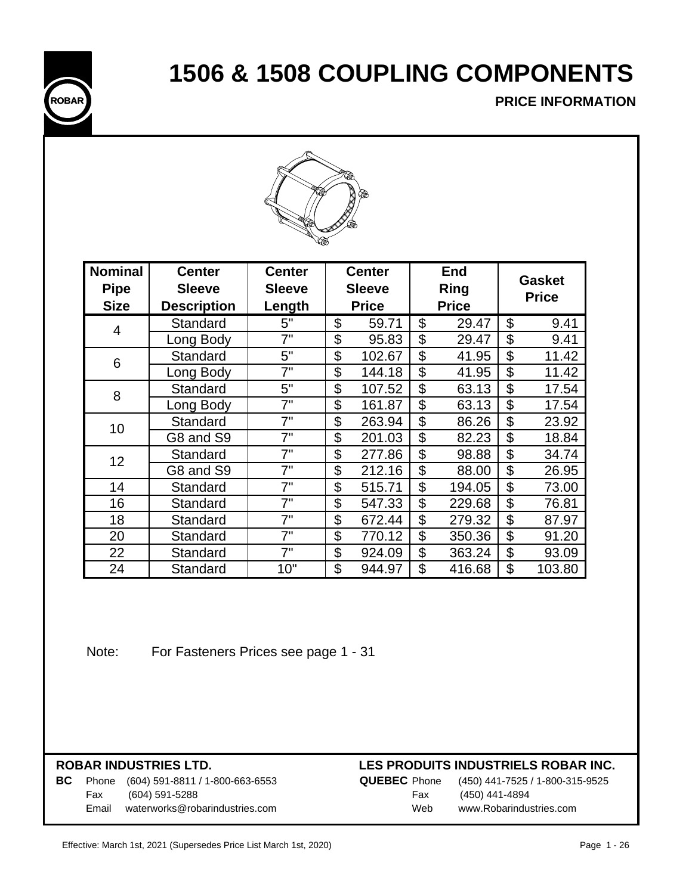# **1506 & 1508 COUPLING COMPONENTS**



## **PRICE INFORMATION**



| <b>Nominal</b><br><b>Pipe</b> | <b>Center</b><br><b>Sleeve</b> | <b>Center</b><br><b>Sleeve</b> | <b>Center</b><br><b>Sleeve</b> | <b>End</b><br><b>Ring</b> | <b>Gasket</b><br><b>Price</b> |
|-------------------------------|--------------------------------|--------------------------------|--------------------------------|---------------------------|-------------------------------|
| <b>Size</b>                   | <b>Description</b>             | Length                         | <b>Price</b>                   | <b>Price</b>              |                               |
| 4                             | Standard                       | 5"                             | \$<br>59.71                    | \$<br>29.47               | \$<br>9.41                    |
|                               | Long Body                      | 7"                             | \$<br>95.83                    | \$<br>29.47               | \$<br>9.41                    |
| 6                             | Standard                       | 5"                             | \$<br>102.67                   | \$<br>41.95               | \$<br>11.42                   |
|                               | Long Body                      | 7"                             | \$<br>144.18                   | \$<br>41.95               | \$<br>11.42                   |
| 8                             | Standard                       | 5"                             | \$<br>107.52                   | \$<br>63.13               | \$<br>17.54                   |
|                               | Long Body                      | 7"                             | \$<br>161.87                   | \$<br>63.13               | \$<br>17.54                   |
| 10                            | Standard                       | 7"                             | \$<br>263.94                   | \$<br>86.26               | \$<br>23.92                   |
|                               | G8 and S9                      | 7"                             | \$<br>201.03                   | \$<br>82.23               | \$<br>18.84                   |
| 12                            | Standard                       | 7"                             | \$<br>277.86                   | \$<br>98.88               | \$<br>34.74                   |
|                               | G8 and S9                      | 7"                             | \$<br>212.16                   | \$<br>88.00               | \$<br>26.95                   |
| 14                            | Standard                       | 7"                             | \$<br>515.71                   | \$<br>194.05              | \$<br>73.00                   |
| 16                            | Standard                       | 7"                             | \$<br>547.33                   | \$<br>229.68              | \$<br>76.81                   |
| 18                            | Standard                       | 7"                             | \$<br>672.44                   | \$<br>279.32              | \$<br>87.97                   |
| 20                            | Standard                       | 7"                             | \$<br>770.12                   | \$<br>350.36              | \$<br>91.20                   |
| 22                            | Standard                       | 7"                             | \$<br>924.09                   | \$<br>363.24              | \$<br>93.09                   |
| 24                            | Standard                       | 10"                            | \$<br>944.97                   | \$<br>416.68              | \$<br>103.80                  |

Note: For Fasteners Prices see page 1 - 31

## **ROBAR INDUSTRIES LTD.**

### **LES PRODUITS INDUSTRIELS ROBAR INC.**

|       | <b>BC</b> Phone $(604)$ 591-8811 / 1-800-663-6553 |
|-------|---------------------------------------------------|
|       | Fax (604) 591-5288                                |
| Email | waterworks@robarindustries.com                    |

**QUEBEC** Phone (450) 441-7525 / 1-800-315-9525 Fax (450) 441-4894 Web www.Robarindustries.com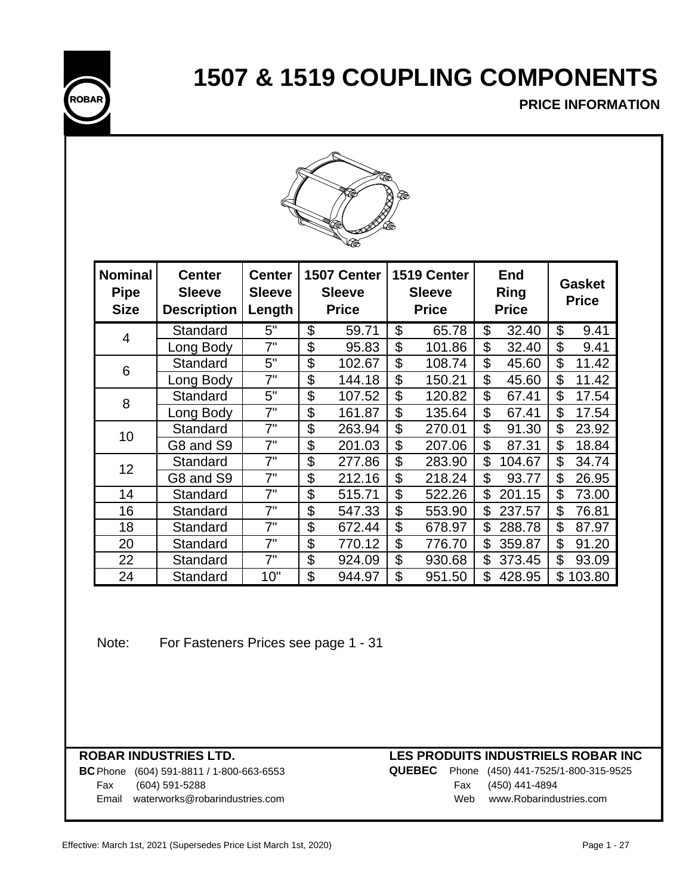**1507 & 1519 COUPLING COMPONENTS**



**PRICE INFORMATION**



| <b>Nominal</b><br><b>Pipe</b><br><b>Size</b> | <b>Center</b><br><b>Sleeve</b><br><b>Description</b> | <b>Center</b><br><b>Sleeve</b><br>Length | 1507 Center<br><b>Sleeve</b><br><b>Price</b> | 1519 Center<br><b>Sleeve</b><br><b>Price</b> | <b>End</b><br><b>Ring</b><br><b>Price</b> | <b>Gasket</b><br><b>Price</b> |
|----------------------------------------------|------------------------------------------------------|------------------------------------------|----------------------------------------------|----------------------------------------------|-------------------------------------------|-------------------------------|
| 4                                            | Standard                                             | 5"                                       | \$<br>59.71                                  | \$<br>65.78                                  | \$<br>32.40                               | \$<br>9.41                    |
|                                              | Long Body                                            | 7"                                       | \$<br>95.83                                  | \$<br>101.86                                 | \$<br>32.40                               | \$<br>9.41                    |
| 6                                            | Standard                                             | 5"                                       | \$<br>102.67                                 | \$<br>108.74                                 | \$<br>45.60                               | \$<br>11.42                   |
|                                              | Long Body                                            | 7"                                       | \$<br>144.18                                 | \$<br>150.21                                 | \$<br>45.60                               | \$<br>11.42                   |
| 8                                            | Standard                                             | 5"                                       | \$<br>107.52                                 | \$<br>120.82                                 | \$<br>67.41                               | \$<br>17.54                   |
|                                              | Long Body                                            | 7"                                       | \$<br>161.87                                 | \$<br>135.64                                 | \$<br>67.41                               | \$<br>17.54                   |
| 10                                           | Standard                                             | 7"                                       | \$<br>263.94                                 | \$<br>270.01                                 | \$<br>91.30                               | \$<br>23.92                   |
|                                              | G8 and S9                                            | 7"                                       | \$<br>201.03                                 | \$<br>207.06                                 | \$<br>87.31                               | \$<br>18.84                   |
| 12                                           | Standard                                             | 7"                                       | \$<br>277.86                                 | \$<br>283.90                                 | \$<br>104.67                              | \$<br>34.74                   |
|                                              | G8 and S9                                            | 7"                                       | \$<br>212.16                                 | \$<br>218.24                                 | \$<br>93.77                               | \$<br>26.95                   |
| 14                                           | Standard                                             | 7"                                       | \$<br>515.71                                 | \$<br>522.26                                 | \$<br>201.15                              | \$<br>73.00                   |
| 16                                           | Standard                                             | 7"                                       | \$<br>547.33                                 | \$<br>553.90                                 | \$<br>237.57                              | \$<br>76.81                   |
| 18                                           | Standard                                             | 7"                                       | \$<br>672.44                                 | \$<br>678.97                                 | \$<br>288.78                              | \$<br>87.97                   |
| 20                                           | Standard                                             | 7"                                       | \$<br>770.12                                 | \$<br>776.70                                 | \$<br>359.87                              | \$<br>91.20                   |
| 22                                           | Standard                                             | 7"                                       | \$<br>924.09                                 | \$<br>930.68                                 | \$<br>373.45                              | \$<br>93.09                   |
| 24                                           | Standard                                             | 10"                                      | \$<br>944.97                                 | \$<br>951.50                                 | \$<br>428.95                              | \$<br>103.80                  |

Note: For Fasteners Prices see page 1 - 31

**BC** Phone (604) 591-8811 / 1-800-663-6553 **QU** Fax (604) 591-5288 Email waterworks@robarindustries.com

|     | JEBEC Phone (450) 441-7525/1-800-315-9525 |
|-----|-------------------------------------------|
|     | Fax (450) 441-4894                        |
| Web | www.Robarindustries.com                   |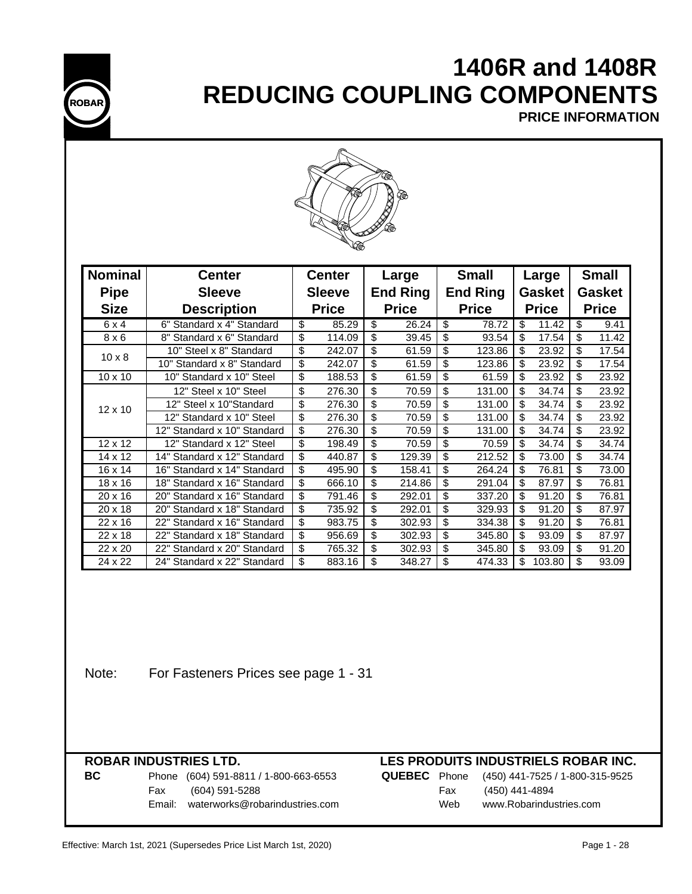

# **1406R and 1408R REDUCING COUPLING COMPONENTS**

**PRICE INFORMATION**



| <b>Nominal</b> | <b>Center</b>               | <b>Center</b> |              | Large           |              | <b>Small</b>    |              | Large         |        | <b>Small</b>  |       |
|----------------|-----------------------------|---------------|--------------|-----------------|--------------|-----------------|--------------|---------------|--------|---------------|-------|
| <b>Pipe</b>    | <b>Sleeve</b>               | <b>Sleeve</b> |              | <b>End Ring</b> |              | <b>End Ring</b> |              | <b>Gasket</b> |        | <b>Gasket</b> |       |
| <b>Size</b>    | <b>Description</b>          |               | <b>Price</b> |                 | <b>Price</b> |                 | <b>Price</b> | <b>Price</b>  |        | <b>Price</b>  |       |
| 6x4            | 6" Standard x 4" Standard   | \$            | 85.29        | \$              | 26.24        | \$              | 78.72        | \$            | 11.42  | \$            | 9.41  |
| $8 \times 6$   | 8" Standard x 6" Standard   | \$            | 114.09       | \$              | 39.45        | \$              | 93.54        | \$            | 17.54  | \$            | 11.42 |
| $10 \times 8$  | 10" Steel x 8" Standard     | \$            | 242.07       | \$              | 61.59        | \$              | 123.86       | \$            | 23.92  | \$            | 17.54 |
|                | 10" Standard x 8" Standard  | \$            | 242.07       | \$              | 61.59        | \$              | 123.86       | \$            | 23.92  | \$            | 17.54 |
| $10 \times 10$ | 10" Standard x 10" Steel    | \$            | 188.53       | \$              | 61.59        | \$              | 61.59        | \$            | 23.92  | \$            | 23.92 |
|                | 12" Steel x 10" Steel       | \$            | 276.30       | \$              | 70.59        | \$              | 131.00       | \$            | 34.74  | \$            | 23.92 |
| $12 \times 10$ | 12" Steel x 10"Standard     | \$            | 276.30       | \$              | 70.59        | \$              | 131.00       | \$            | 34.74  | \$            | 23.92 |
|                | 12" Standard x 10" Steel    | \$            | 276.30       | \$              | 70.59        | \$              | 131.00       | \$            | 34.74  | \$            | 23.92 |
|                | 12" Standard x 10" Standard | \$            | 276.30       | \$              | 70.59        | \$              | 131.00       | \$            | 34.74  | \$            | 23.92 |
| $12 \times 12$ | 12" Standard x 12" Steel    | \$            | 198.49       | \$              | 70.59        | \$              | 70.59        | \$            | 34.74  | \$            | 34.74 |
| 14 x 12        | 14" Standard x 12" Standard | \$            | 440.87       | \$              | 129.39       | \$              | 212.52       | \$            | 73.00  | \$            | 34.74 |
| 16 x 14        | 16" Standard x 14" Standard | \$            | 495.90       | \$              | 158.41       | \$              | 264.24       | \$            | 76.81  | \$            | 73.00 |
| 18 x 16        | 18" Standard x 16" Standard | \$            | 666.10       | \$              | 214.86       | \$              | 291.04       | \$            | 87.97  | \$            | 76.81 |
| $20 \times 16$ | 20" Standard x 16" Standard | \$            | 791.46       | \$              | 292.01       | \$              | 337.20       | \$            | 91.20  | \$            | 76.81 |
| 20 x 18        | 20" Standard x 18" Standard | \$            | 735.92       | \$              | 292.01       | \$              | 329.93       | \$            | 91.20  | \$            | 87.97 |
| 22 x 16        | 22" Standard x 16" Standard | \$            | 983.75       | \$              | 302.93       | \$              | 334.38       | \$            | 91.20  | \$            | 76.81 |
| 22 x 18        | 22" Standard x 18" Standard | \$            | 956.69       | \$              | 302.93       | \$              | 345.80       | \$            | 93.09  | \$            | 87.97 |
| 22 x 20        | 22" Standard x 20" Standard | \$            | 765.32       | \$              | 302.93       | \$              | 345.80       | \$            | 93.09  | \$            | 91.20 |
| 24 x 22        | 24" Standard x 22" Standard | \$            | 883.16       | \$              | 348.27       | \$              | 474.33       | \$            | 103.80 | \$            | 93.09 |

Note: For Fasteners Prices see page 1 - 31

## **ROBAR INDUSTRIES LTD.**

| ВC |     | Phone (604) 591-8811 / 1-800-663-6553 |     | <b>QUEBEC</b> Phone (450) 441-7525 / 1-800-315-9525 |
|----|-----|---------------------------------------|-----|-----------------------------------------------------|
|    | Fax | (604) 591-5288                        | Fax | (450) 441-4894                                      |
|    |     | Email: waterworks@robarindustries.com | Web | www.Robarindustries.com                             |

## **LES PRODUITS INDUSTRIELS ROBAR INC.**

| Phone (604) 591-8811 / 1-800-663-6553 |     | <b>QUEBEC</b> Phone (450) 441-7525 / 1-800-315-952 |
|---------------------------------------|-----|----------------------------------------------------|
| Fax (604) 591-5288                    | Fax | (450) 441-4894                                     |
| Email: waterworks@robarindustries.com | Web | www.Robarindustries.com                            |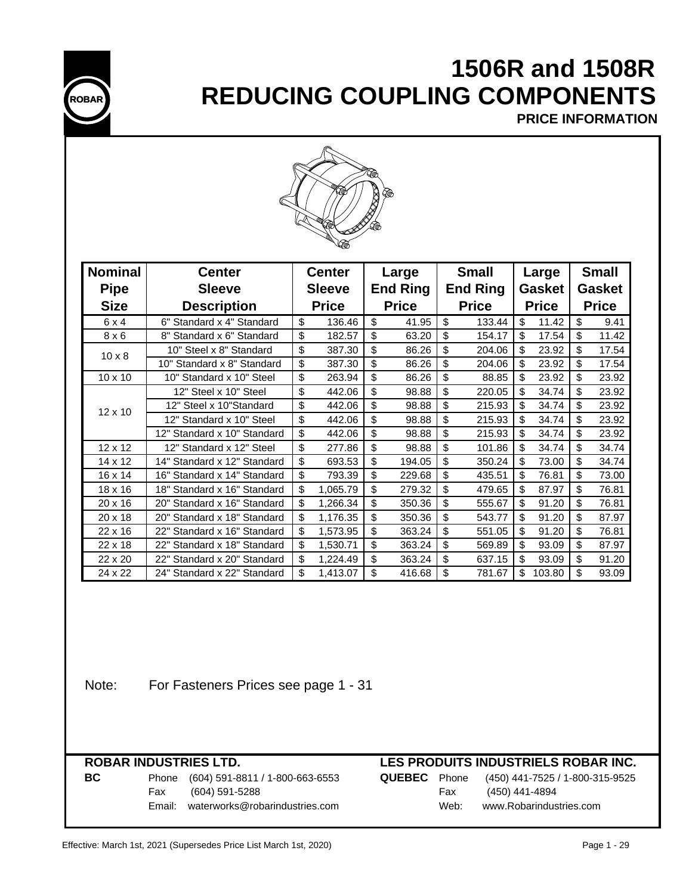

# **1506R and 1508R REDUCING COUPLING COMPONENTS**

**PRICE INFORMATION**



| <b>Nominal</b> | <b>Center</b>               | <b>Center</b> |              |                 | Large        |                 | <b>Small</b> |               | Large  |               | <b>Small</b> |  |
|----------------|-----------------------------|---------------|--------------|-----------------|--------------|-----------------|--------------|---------------|--------|---------------|--------------|--|
| <b>Pipe</b>    | <b>Sleeve</b>               | <b>Sleeve</b> |              | <b>End Ring</b> |              | <b>End Ring</b> |              | <b>Gasket</b> |        | <b>Gasket</b> |              |  |
| <b>Size</b>    | <b>Description</b>          |               | <b>Price</b> |                 | <b>Price</b> |                 | <b>Price</b> | <b>Price</b>  |        | <b>Price</b>  |              |  |
| 6x4            | 6" Standard x 4" Standard   | \$            | 136.46       | \$              | 41.95        | \$              | 133.44       | \$            | 11.42  | \$            | 9.41         |  |
| $8 \times 6$   | 8" Standard x 6" Standard   | \$            | 182.57       | \$              | 63.20        | \$              | 154.17       | \$            | 17.54  | \$            | 11.42        |  |
| $10 \times 8$  | 10" Steel x 8" Standard     | \$            | 387.30       | \$              | 86.26        | \$              | 204.06       | \$            | 23.92  | \$            | 17.54        |  |
|                | 10" Standard x 8" Standard  | \$            | 387.30       | \$              | 86.26        | \$              | 204.06       | \$            | 23.92  | \$            | 17.54        |  |
| $10 \times 10$ | 10" Standard x 10" Steel    | \$            | 263.94       | \$              | 86.26        | \$              | 88.85        | \$            | 23.92  | \$            | 23.92        |  |
|                | 12" Steel x 10" Steel       | \$            | 442.06       | \$              | 98.88        | \$              | 220.05       | \$            | 34.74  | \$            | 23.92        |  |
| $12 \times 10$ | 12" Steel x 10"Standard     | \$            | 442.06       | \$              | 98.88        | \$              | 215.93       | \$            | 34.74  | \$            | 23.92        |  |
|                | 12" Standard x 10" Steel    | \$            | 442.06       | \$              | 98.88        | \$              | 215.93       | \$            | 34.74  | \$            | 23.92        |  |
|                | 12" Standard x 10" Standard | \$            | 442.06       | \$              | 98.88        | \$              | 215.93       | \$            | 34.74  | \$            | 23.92        |  |
| 12 x 12        | 12" Standard x 12" Steel    | \$            | 277.86       | \$              | 98.88        | \$              | 101.86       | \$            | 34.74  | \$            | 34.74        |  |
| $14 \times 12$ | 14" Standard x 12" Standard | \$            | 693.53       | \$              | 194.05       | \$              | 350.24       | \$            | 73.00  | \$            | 34.74        |  |
| $16 \times 14$ | 16" Standard x 14" Standard | \$            | 793.39       | \$              | 229.68       | \$              | 435.51       | \$            | 76.81  | \$            | 73.00        |  |
| $18 \times 16$ | 18" Standard x 16" Standard | \$            | 1,065.79     | \$              | 279.32       | \$              | 479.65       | \$            | 87.97  | \$            | 76.81        |  |
| 20 x 16        | 20" Standard x 16" Standard | \$            | 1,266.34     | \$              | 350.36       | \$              | 555.67       | \$            | 91.20  | \$            | 76.81        |  |
| 20 x 18        | 20" Standard x 18" Standard | \$            | 1,176.35     | \$              | 350.36       | \$              | 543.77       | \$            | 91.20  | \$            | 87.97        |  |
| 22 x 16        | 22" Standard x 16" Standard | \$            | 1,573.95     | \$              | 363.24       | \$              | 551.05       | \$            | 91.20  | \$            | 76.81        |  |
| 22 x 18        | 22" Standard x 18" Standard | \$            | 1,530.71     | \$              | 363.24       | \$              | 569.89       | \$            | 93.09  | \$            | 87.97        |  |
| 22 x 20        | 22" Standard x 20" Standard | \$            | 1,224.49     | \$              | 363.24       | \$              | 637.15       | \$            | 93.09  | \$            | 91.20        |  |
| 24 x 22        | 24" Standard x 22" Standard | \$            | 1,413.07     | \$              | 416.68       | \$              | 781.67       | \$            | 103.80 | \$            | 93.09        |  |

Note: For Fasteners Prices see page 1 - 31

## **ROBAR INDUSTRIES LTD.**

### **BC** Phone (604) 591-8811 / 1-800-663-6553 **QUEBEC** Phone (450) 441-7525 / 1-800-315-9525 Fax (604) 591-5288 Email: waterworks@robarindustries.com

## **LES PRODUITS INDUSTRIELS ROBAR INC.**

| <b>BEC</b> Phone | (450) 441-7525 / 1-800-315-9 |
|------------------|------------------------------|
| Fax              | (450) 441-4894               |
| Web:             | www.Robarindustries.com      |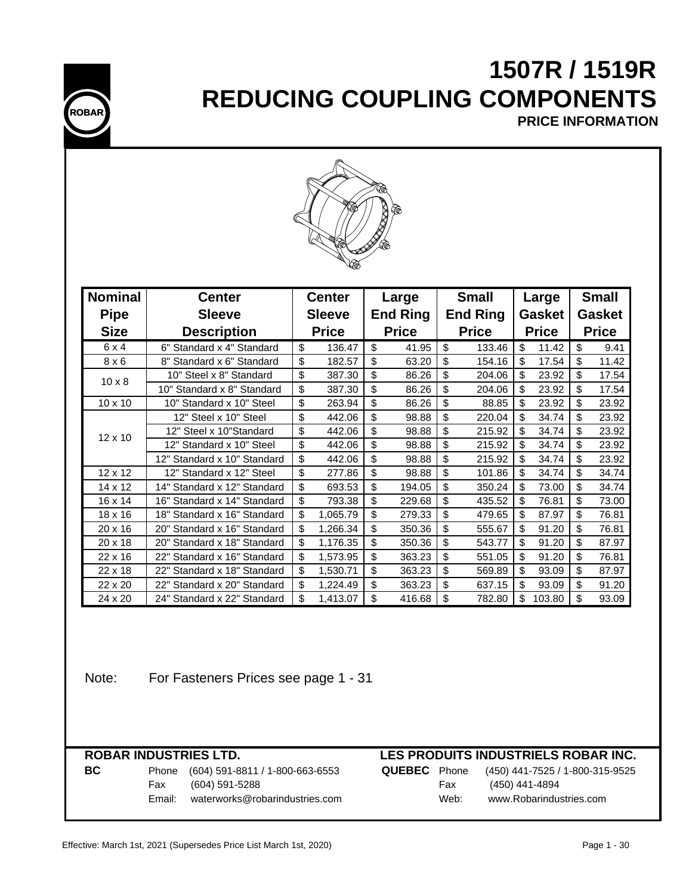# **1507R / 1519R REDUCING COUPLING COMPONENTS**

**ROBAR**

**PRICE INFORMATION**



| <b>Nominal</b> | <b>Center</b>               | <b>Center</b> |              | Large           |              | <b>Small</b>    |        | Large         |        | <b>Small</b>  |       |
|----------------|-----------------------------|---------------|--------------|-----------------|--------------|-----------------|--------|---------------|--------|---------------|-------|
| <b>Pipe</b>    | <b>Sleeve</b>               | <b>Sleeve</b> |              | <b>End Ring</b> |              | <b>End Ring</b> |        | <b>Gasket</b> |        | <b>Gasket</b> |       |
| <b>Size</b>    | <b>Description</b>          |               | <b>Price</b> |                 | <b>Price</b> | <b>Price</b>    |        | <b>Price</b>  |        | <b>Price</b>  |       |
| 6x4            | 6" Standard x 4" Standard   | \$            | 136.47       | \$              | 41.95        | $\mathfrak{L}$  | 133.46 | \$            | 11.42  | \$            | 9.41  |
| $8 \times 6$   | 8" Standard x 6" Standard   | \$            | 182.57       | \$              | 63.20        | \$              | 154.16 | \$            | 17.54  | \$            | 11.42 |
| $10 \times 8$  | 10" Steel x 8" Standard     | \$            | 387.30       | \$              | 86.26        | \$              | 204.06 | \$            | 23.92  | \$            | 17.54 |
|                | 10" Standard x 8" Standard  | \$            | 387.30       | \$              | 86.26        | \$              | 204.06 | \$            | 23.92  | \$            | 17.54 |
| 10 x 10        | 10" Standard x 10" Steel    | \$            | 263.94       | \$              | 86.26        | \$              | 88.85  | \$            | 23.92  | \$            | 23.92 |
|                | 12" Steel x 10" Steel       | \$            | 442.06       | \$              | 98.88        | \$              | 220.04 | \$            | 34.74  | \$            | 23.92 |
| $12 \times 10$ | 12" Steel x 10"Standard     | \$            | 442.06       | \$              | 98.88        | \$              | 215.92 | \$            | 34.74  | \$            | 23.92 |
|                | 12" Standard x 10" Steel    | \$            | 442.06       | \$              | 98.88        | \$              | 215.92 | \$            | 34.74  | \$            | 23.92 |
|                | 12" Standard x 10" Standard | \$            | 442.06       | \$              | 98.88        | \$              | 215.92 | \$            | 34.74  | \$            | 23.92 |
| 12 x 12        | 12" Standard x 12" Steel    | \$            | 277.86       | \$              | 98.88        | \$              | 101.86 | \$            | 34.74  | \$            | 34.74 |
| 14 x 12        | 14" Standard x 12" Standard | \$            | 693.53       | \$              | 194.05       | \$              | 350.24 | \$            | 73.00  | \$            | 34.74 |
| $16 \times 14$ | 16" Standard x 14" Standard | \$            | 793.38       | \$              | 229.68       | \$              | 435.52 | \$            | 76.81  | \$            | 73.00 |
| $18 \times 16$ | 18" Standard x 16" Standard | \$            | 1,065.79     | \$              | 279.33       | \$              | 479.65 | \$            | 87.97  | \$            | 76.81 |
| 20 x 16        | 20" Standard x 16" Standard | \$            | 1,266.34     | \$              | 350.36       | \$              | 555.67 | \$            | 91.20  | \$            | 76.81 |
| 20 x 18        | 20" Standard x 18" Standard | \$            | 1,176.35     | \$              | 350.36       | \$              | 543.77 | \$            | 91.20  | \$            | 87.97 |
| $22 \times 16$ | 22" Standard x 16" Standard | \$            | 1,573.95     | \$              | 363.23       | \$              | 551.05 | \$            | 91.20  | \$            | 76.81 |
| $22 \times 18$ | 22" Standard x 18" Standard | \$            | 1,530.71     | \$              | 363.23       | \$              | 569.89 | \$            | 93.09  | \$            | 87.97 |
| 22 x 20        | 22" Standard x 20" Standard | \$            | 1,224.49     | \$              | 363.23       | \$              | 637.15 | \$            | 93.09  | \$            | 91.20 |
| 24 x 20        | 24" Standard x 22" Standard | \$            | 1,413.07     | \$              | 416.68       | \$              | 782.80 | \$            | 103.80 | \$            | 93.09 |

Note: For Fasteners Prices see page 1 - 31

|    |        | <b>ROBAR INDUSTRIES LTD.</b>    |                     |      | LES PRODUITS INDUSTRIELS ROBAR INC. |
|----|--------|---------------------------------|---------------------|------|-------------------------------------|
| BC | Phone  | (604) 591-8811 / 1-800-663-6553 | <b>QUEBEC</b> Phone |      | (450) 441-7525 / 1-800-315-9525     |
|    | Fax    | (604) 591-5288                  |                     | Fax  | (450) 441-4894                      |
|    | Email: | waterworks@robarindustries.com  |                     | Web: | www.Robarindustries.com             |
|    |        |                                 |                     |      |                                     |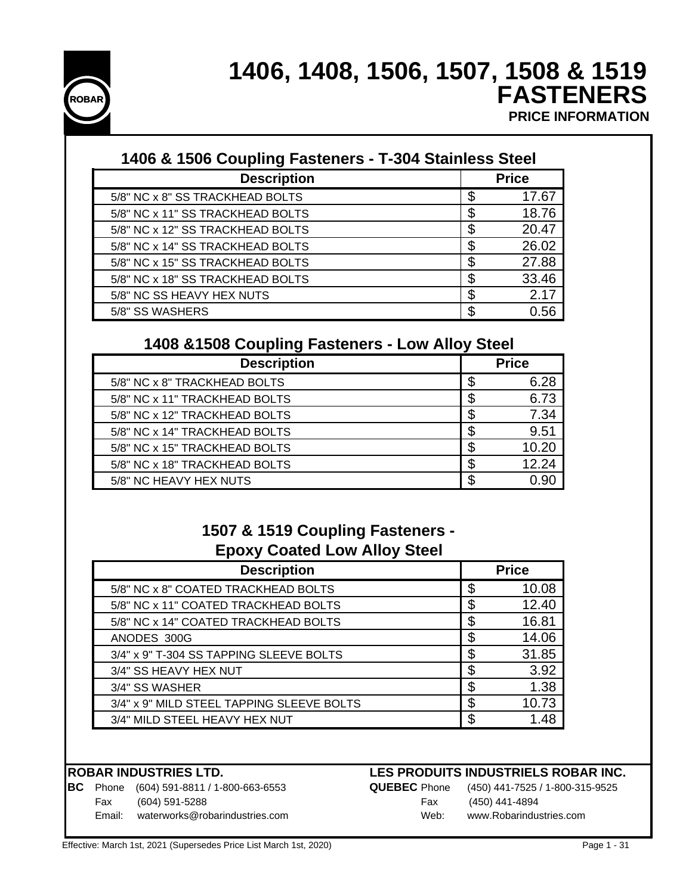

## **1406, 1408, 1506, 1507, 1508 & 1519 FASTENERS PRICE INFORMATION**

| 1406 & 1506 Coupling Fasteners - T-304 Stainless Steel |    |              |  |  |  |  |  |
|--------------------------------------------------------|----|--------------|--|--|--|--|--|
| <b>Description</b>                                     |    | <b>Price</b> |  |  |  |  |  |
| 5/8" NC x 8" SS TRACKHEAD BOLTS                        | ß. | 17.67        |  |  |  |  |  |
| 5/8" NC x 11" SS TRACKHEAD BOLTS                       |    | 18.76        |  |  |  |  |  |
| 5/8" NC x 12" SS TRACKHEAD BOLTS                       | S  | 20.47        |  |  |  |  |  |
| 5/8" NC x 14" SS TRACKHEAD BOLTS                       | S  | 26.02        |  |  |  |  |  |
| 5/8" NC x 15" SS TRACKHEAD BOLTS                       | S  | 27.88        |  |  |  |  |  |
| 5/8" NC x 18" SS TRACKHEAD BOLTS                       | S  | 33.46        |  |  |  |  |  |
| 5/8" NC SS HEAVY HEX NUTS                              | S  | 2.17         |  |  |  |  |  |
| 5/8" SS WASHERS                                        | S  | 0.56         |  |  |  |  |  |

## **1408 &1508 Coupling Fasteners - Low Alloy Steel**

| <b>Description</b>            |    | <b>Price</b> |
|-------------------------------|----|--------------|
| 5/8" NC x 8" TRACKHEAD BOLTS  | \$ | 6.28         |
| 5/8" NC x 11" TRACKHEAD BOLTS |    | 6.73         |
| 5/8" NC x 12" TRACKHEAD BOLTS | \$ | 7.34         |
| 5/8" NC x 14" TRACKHEAD BOLTS |    | 9.51         |
| 5/8" NC x 15" TRACKHEAD BOLTS | S  | 10.20        |
| 5/8" NC x 18" TRACKHEAD BOLTS | S  | 12.24        |
| 5/8" NC HEAVY HEX NUTS        |    | N 90         |

## **1507 & 1519 Coupling Fasteners - Epoxy Coated Low Alloy Steel**

| <b>Description</b>                        | <b>Price</b> |
|-------------------------------------------|--------------|
| 5/8" NC x 8" COATED TRACKHEAD BOLTS       | 10.08        |
| 5/8" NC x 11" COATED TRACKHEAD BOLTS      | 12.40        |
| 5/8" NC x 14" COATED TRACKHEAD BOLTS      | 16.81        |
| ANODES 300G                               | 14.06        |
| 3/4" x 9" T-304 SS TAPPING SLEEVE BOLTS   | 31.85        |
| 3/4" SS HEAVY HEX NUT                     | \$<br>3.92   |
| 3/4" SS WASHER                            | 1.38         |
| 3/4" x 9" MILD STEEL TAPPING SLEEVE BOLTS | 10.73        |
| 3/4" MILD STEEL HEAVY HEX NUT             | 1.48         |

**BC** Phone (604) 591-8811 / 1-800-663-6553 **QUEBEC** Phone (450) 441-7525 / 1-800-315-9525 Fax (604) 591-5288 Fax (450) 441-4894

### **ROBAR INDUSTRIES LTD. LES PRODUITS INDUSTRIELS ROBAR INC.**

Email: waterworks@robarindustries.com Web: www.Robarindustries.com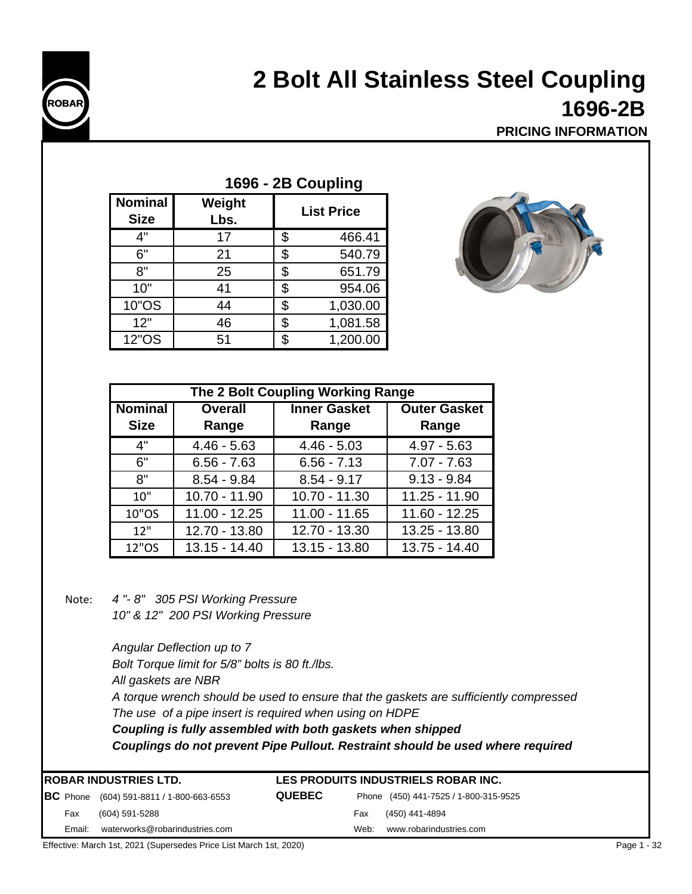

# **2 Bolt All Stainless Steel Coupling 1696-2B**

**PRICING INFORMATION**

| . vvv<br>00pmg                |                |     |                   |  |  |  |  |
|-------------------------------|----------------|-----|-------------------|--|--|--|--|
| <b>Nominal</b><br><b>Size</b> | Weight<br>Lbs. |     | <b>List Price</b> |  |  |  |  |
| 4"                            | 17             | \$  | 466.41            |  |  |  |  |
| 6"                            | 21             | \$  | 540.79            |  |  |  |  |
| 8"                            | 25             | \$. | 651.79            |  |  |  |  |
| 10"                           | 41             | \$. | 954.06            |  |  |  |  |
| 10"OS                         | 44             | \$  | 1,030.00          |  |  |  |  |
| 12"                           | 46             | \$  | 1,081.58          |  |  |  |  |
| <b>12"OS</b>                  | 51             |     | 1,200.00          |  |  |  |  |

**1696 - 2B Coupling**



| The 2 Bolt Coupling Working Range |                 |                     |                     |  |  |  |  |  |
|-----------------------------------|-----------------|---------------------|---------------------|--|--|--|--|--|
| <b>Nominal</b>                    | <b>Overall</b>  | <b>Inner Gasket</b> | <b>Outer Gasket</b> |  |  |  |  |  |
| <b>Size</b>                       | Range           | Range               | Range               |  |  |  |  |  |
| 4"                                | $4.46 - 5.63$   | $4.46 - 5.03$       | $4.97 - 5.63$       |  |  |  |  |  |
| 6"                                | $6.56 - 7.63$   | $6.56 - 7.13$       | $7.07 - 7.63$       |  |  |  |  |  |
| 8"                                | $8.54 - 9.84$   | $8.54 - 9.17$       | $9.13 - 9.84$       |  |  |  |  |  |
| 10"                               | $10.70 - 11.90$ | 10.70 - 11.30       | $11.25 - 11.90$     |  |  |  |  |  |
| 10"OS                             | $11.00 - 12.25$ | $11.00 - 11.65$     | 11.60 - 12.25       |  |  |  |  |  |
| 12"                               | 12.70 - 13.80   | 12.70 - 13.30       | 13.25 - 13.80       |  |  |  |  |  |
| 12"OS                             | $13.15 - 14.40$ | 13.15 - 13.80       | $13.75 - 14.40$     |  |  |  |  |  |

Note: *4 "- 8" 305 PSI Working Pressure*

*10" & 12" 200 PSI Working Pressure*

*A torque wrench should be used to ensure that the gaskets are sufficiently compressed The use of a pipe insert is required when using on HDPE All gaskets are NBR Coupling is fully assembled with both gaskets when shipped Couplings do not prevent Pipe Pullout. Restraint should be used where required Angular Deflection up to 7 Bolt Torque limit for 5/8" bolts is 80 ft./lbs.*

| <b>IROBAR INDUSTRIES LTD.</b> |        |                                                   | LES PRODUITS INDUSTRIELS ROBAR INC. |      |                                       |  |
|-------------------------------|--------|---------------------------------------------------|-------------------------------------|------|---------------------------------------|--|
|                               |        | <b>BC</b> Phone $(604)$ 591-8811 / 1-800-663-6553 | <b>QUEBEC</b>                       |      | Phone (450) 441-7525 / 1-800-315-9525 |  |
|                               | Fax    | (604) 591-5288                                    |                                     | Fax  | (450) 441-4894                        |  |
|                               | Email: | waterworks@robarindustries.com                    |                                     | Web: | www.robarindustries.com               |  |

Effective: March 1st, 2021 (Supersedes Price List March 1st, 2020) **Page 1 - 32** Page 1 - 32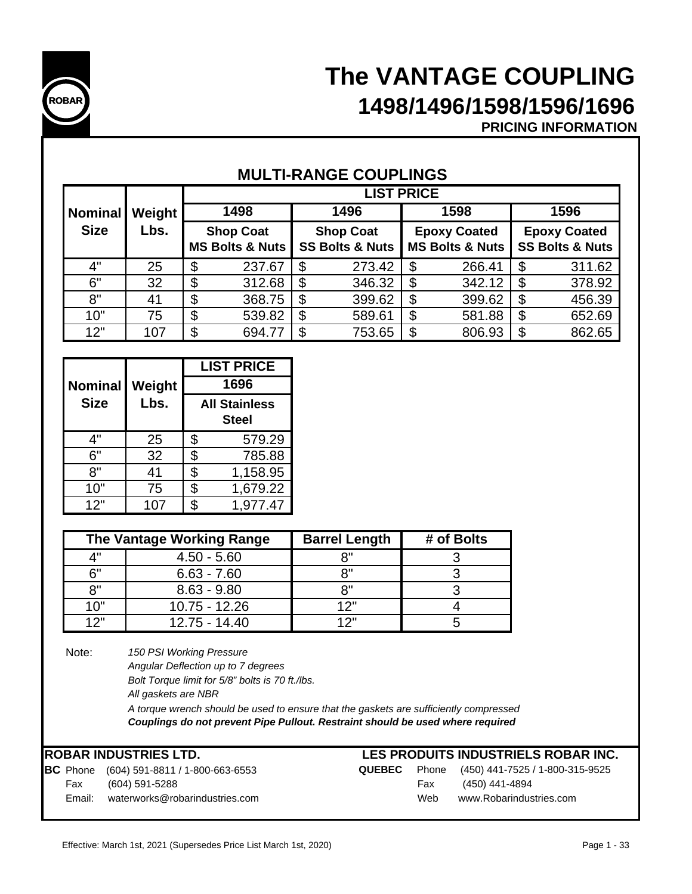

# **The VANTAGE COUPLING 1498/1496/1598/1596/1696**

**PRICING INFORMATION**

| <b>MULTI-RANGE COUPLINGS</b> |
|------------------------------|
|------------------------------|

|             |               | <b>LIST PRICE</b>          |    |                            |    |                            |    |                            |  |
|-------------|---------------|----------------------------|----|----------------------------|----|----------------------------|----|----------------------------|--|
| Nominal     | <b>Weight</b> | 1498                       |    | 1496                       |    | 1598                       |    | 1596                       |  |
| <b>Size</b> | Lbs.          | <b>Shop Coat</b>           |    | <b>Shop Coat</b>           |    | <b>Epoxy Coated</b>        |    | <b>Epoxy Coated</b>        |  |
|             |               | <b>MS Bolts &amp; Nuts</b> |    | <b>SS Bolts &amp; Nuts</b> |    | <b>MS Bolts &amp; Nuts</b> |    | <b>SS Bolts &amp; Nuts</b> |  |
| 4"          | 25            | \$<br>237.67               | \$ | 273.42                     | \$ | 266.41                     | \$ | 311.62                     |  |
| 6"          | 32            | \$<br>312.68               | \$ | 346.32                     | \$ | 342.12                     | S  | 378.92                     |  |
| 8"          | 41            | \$<br>368.75               | \$ | 399.62                     | \$ | 399.62                     | \$ | 456.39                     |  |
| 10"         | 75            | \$<br>539.82               | \$ | 589.61                     | \$ | 581.88                     | \$ | 652.69                     |  |
| 12"         | 107           | \$<br>694.77               | \$ | 753.65                     | \$ | 806.93                     | \$ | 862.65                     |  |

|                |        |                                              | <b>LIST PRICE</b> |  |
|----------------|--------|----------------------------------------------|-------------------|--|
| <b>Nominal</b> | Weight | 1696<br><b>All Stainless</b><br><b>Steel</b> |                   |  |
| <b>Size</b>    | Lbs.   |                                              |                   |  |
| 4"             | 25     | \$                                           | 579.29            |  |
| 6"             | 32     | \$                                           | 785.88            |  |
| 8"             | 41     | \$                                           | 1,158.95          |  |
| 10"            | 75     | \$                                           | 1,679.22          |  |
| 12"            | 107    | \$                                           | 1,977.47          |  |

|              | The Vantage Working Range | <b>Barrel Length</b> | # of Bolts |
|--------------|---------------------------|----------------------|------------|
| $\mathbf{A}$ | $4.50 - 5.60$             | o"                   |            |
| 6"           | $6.63 - 7.60$             | ייס                  |            |
| R''          | $8.63 - 9.80$             | יים                  |            |
| 10"          | $10.75 - 12.26$           | 1つ"                  |            |
| 1つ"          | $12.75 - 14.40$           | イウ=                  |            |

Note:

*150 PSI Working Pressure*

- *Angular Deflection up to 7 degrees*
	- *Bolt Torque limit for 5/8" bolts is 70 ft./lbs.*

*All gaskets are NBR*

*A torque wrench should be used to ensure that the gaskets are sufficiently compressed Couplings do not prevent Pipe Pullout. Restraint should be used where required*

## **ROBAR INDUSTRIES LTD.**

|        | <b>BC</b> Phone (604) 591-8811 / 1-800-663-6553 |     | <b>QUEBEC</b> Phone (450) 441-7525 |
|--------|-------------------------------------------------|-----|------------------------------------|
|        | Fax (604) 591-5288                              |     | Fax (450) 441-4894                 |
| Email: | waterworks@robarindustries.com                  | Web | www.Robarindus                     |

## **LES PRODUITS INDUSTRIELS ROBAR INC.**

|        | <b>BC</b> Phone (604) 591-8811 / 1-800-663-6553 | QUEBEC |     | Phone (450) 441-7525 / 1-800-315-9525 |
|--------|-------------------------------------------------|--------|-----|---------------------------------------|
| Fax    | (604) 591-5288                                  |        | Fax | (450) 441-4894                        |
| Email: | waterworks@robarindustries.com                  |        | Web | www.Robarindustries.com               |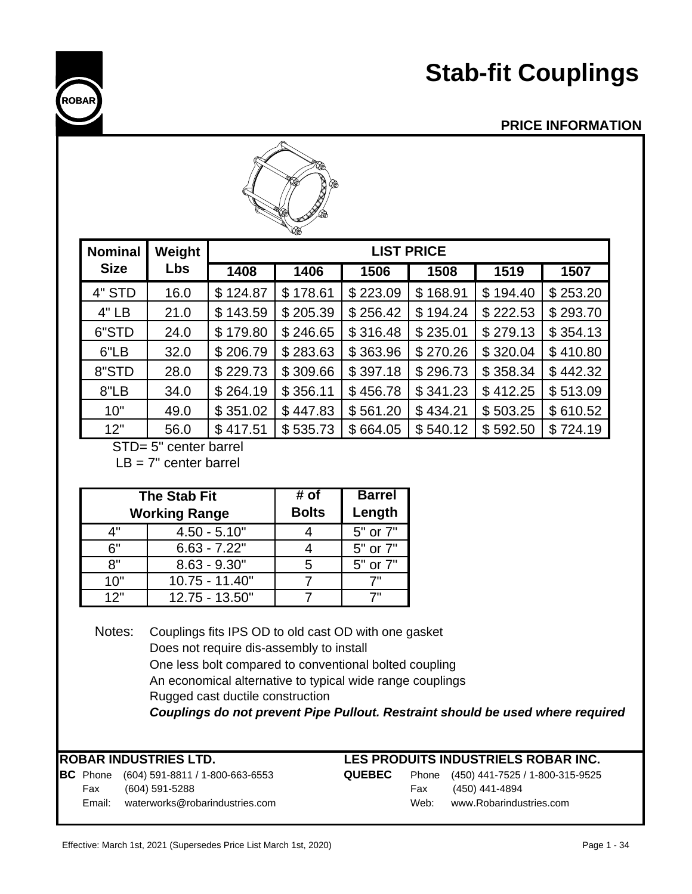# **Stab-fit Couplings**

## **PRICE INFORMATION**

|  | <b>PRICE INFORMATIO</b> |  |  |  |
|--|-------------------------|--|--|--|
|  |                         |  |  |  |
|  |                         |  |  |  |

|                       |            |          | 'S ®<br><b>SOF</b><br>16 |          |                   |          |          |
|-----------------------|------------|----------|--------------------------|----------|-------------------|----------|----------|
| <b>Nominal</b>        | Weight     |          |                          |          | <b>LIST PRICE</b> |          |          |
| <b>Size</b>           | <b>Lbs</b> | 1408     | 1406                     | 1506     | 1508              | 1519     | 1507     |
| 4" STD                | 16.0       | \$124.87 | \$178.61                 | \$223.09 | \$168.91          | \$194.40 | \$253.20 |
| 4" LB                 | 21.0       | \$143.59 | \$205.39                 | \$256.42 | \$194.24          | \$222.53 | \$293.70 |
| 6"STD                 | 24.0       | \$179.80 | \$246.65                 | \$316.48 | \$235.01          | \$279.13 | \$354.13 |
| 6"LB                  | 32.0       | \$206.79 | \$283.63                 | \$363.96 | \$270.26          | \$320.04 | \$410.80 |
| 8"STD                 | 28.0       | \$229.73 | \$309.66                 | \$397.18 | \$296.73          | \$358.34 | \$442.32 |
| 8"LB                  | 34.0       | \$264.19 | \$356.11                 | \$456.78 | \$341.23          | \$412.25 | \$513.09 |
| 10"                   | 49.0       | \$351.02 | \$447.83                 | \$561.20 | \$434.21          | \$503.25 | \$610.52 |
| 12"                   | 56.0       | \$417.51 | \$535.73                 | \$664.05 | \$540.12          | \$592.50 | \$724.19 |
| STD= 5" center barrel |            |          |                          |          |                   |          |          |

 $IB = 7"$  center barrel

|     | <b>The Stab Fit</b><br><b>Working Range</b> | # of<br><b>Bolts</b> | <b>Barrel</b><br>Length |
|-----|---------------------------------------------|----------------------|-------------------------|
| 4"  | $4.50 - 5.10"$                              |                      | 5" or 7"                |
| 6"  | $6.63 - 7.22"$                              |                      | 5" or 7"                |
| יא  | $8.63 - 9.30"$                              | 5                    | 5" or 7"                |
| 10" | 10.75 - 11.40"                              |                      | 7"                      |
| 12" | 12.75 - 13.50"                              |                      |                         |

Notes: Couplings fits IPS OD to old cast OD with one gasket Does not require dis-assembly to install One less bolt compared to conventional bolted coupling An economical alternative to typical wide range couplings Rugged cast ductile construction *Couplings do not prevent Pipe Pullout. Restraint should be used where required*

**BC** Phone (604) 591-8811 / 1-800-663-6553 **QUEBEC** Phone (450) 441-7525 / 1-800-315-9525 Fax (604) 591-5288 Email: waterworks@robarindustries.com

## **LES PRODUITS INDUSTRIELS ROBAR INC.**

| :BEC |      | Phone (450) 441-7525 / 1-800-315-952 |
|------|------|--------------------------------------|
|      | Fax  | (450) 441-4894                       |
|      | Web: | www.Robarindustries.com              |



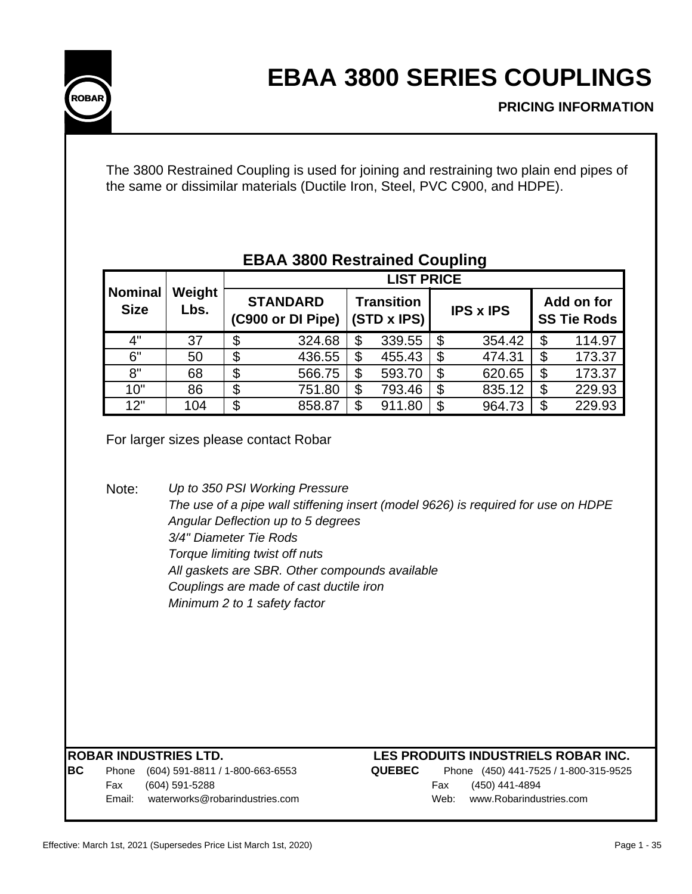

The 3800 Restrained Coupling is used for joining and restraining two plain end pipes of the same or dissimilar materials (Ductile Iron, Steel, PVC C900, and HDPE).

|                               |                                                  | <b>LIST PRICE</b>        |                                                                                                                                                                                                                                                                                          |                                  |               |                          |                                           |                                  |        |  |
|-------------------------------|--------------------------------------------------|--------------------------|------------------------------------------------------------------------------------------------------------------------------------------------------------------------------------------------------------------------------------------------------------------------------------------|----------------------------------|---------------|--------------------------|-------------------------------------------|----------------------------------|--------|--|
| <b>Nominal</b><br><b>Size</b> | Weight<br>Lbs.                                   |                          | <b>STANDARD</b><br>(C900 or DI Pipe)                                                                                                                                                                                                                                                     | <b>Transition</b><br>(STD x IPS) |               | <b>IPS x IPS</b>         |                                           | Add on for<br><b>SS Tie Rods</b> |        |  |
| 4"                            | 37                                               | \$                       | 324.68                                                                                                                                                                                                                                                                                   | \$                               | 339.55        | \$                       | 354.42                                    | \$                               | 114.97 |  |
| 6"                            | 50                                               | $\overline{\$}$          | 436.55                                                                                                                                                                                                                                                                                   | $\overline{\$}$                  | 455.43        | $\overline{\mathcal{S}}$ | 474.31                                    | $\overline{\$}$                  | 173.37 |  |
| 8"                            | 68                                               | $\overline{\mathcal{G}}$ | 566.75                                                                                                                                                                                                                                                                                   | \$                               | 593.70        | \$                       | 620.65                                    | \$                               | 173.37 |  |
| 10"                           | 86                                               | \$                       | 751.80                                                                                                                                                                                                                                                                                   | \$                               | 793.46        | $\boldsymbol{\theta}$    | 835.12                                    | \$                               | 229.93 |  |
| 12"                           | 104                                              | $\overline{\mathcal{S}}$ | 858.87                                                                                                                                                                                                                                                                                   | \$                               | 911.80        | \$                       | 964.73                                    | $\overline{\mathcal{S}}$         | 229.93 |  |
| Note:                         | 3/4" Diameter Tie Rods                           |                          | Up to 350 PSI Working Pressure<br>The use of a pipe wall stiffening insert (model 9626) is required for use on HDPE<br>Angular Deflection up to 5 degrees<br>Torque limiting twist off nuts<br>All gaskets are SBR. Other compounds available<br>Couplings are made of cast ductile iron |                                  |               |                          |                                           |                                  |        |  |
|                               | <b>ROBAR INDUSTRIES LTD.</b>                     |                          | Minimum 2 to 1 safety factor                                                                                                                                                                                                                                                             |                                  |               |                          | LES PRODUITS INDUSTRIELS ROBAR INC.       |                                  |        |  |
|                               | (604) 591-8811 / 1-800-663-6553                  |                          |                                                                                                                                                                                                                                                                                          |                                  | <b>QUEBEC</b> |                          | Phone (450) 441-7525 / 1-800-315-9525     |                                  |        |  |
| Phone<br>Fax<br>Email:        | (604) 591-5288<br>waterworks@robarindustries.com |                          |                                                                                                                                                                                                                                                                                          |                                  |               | Fax<br>Web:              | (450) 441-4894<br>www.Robarindustries.com |                                  |        |  |

## **EBAA 3800 Restrained Coupling**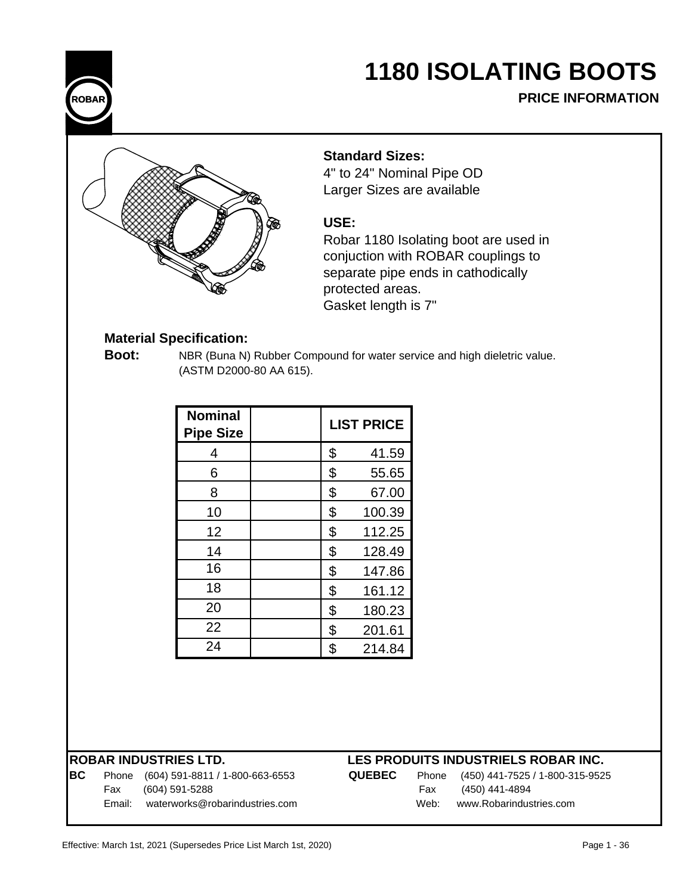

# **1180 ISOLATING BOOTS**

**PRICE INFORMATION**



## **Standard Sizes:**

4" to 24" Nominal Pipe OD Larger Sizes are available

## **USE:**

Robar 1180 Isolating boot are used in conjuction with ROBAR couplings to separate pipe ends in cathodically protected areas. Gasket length is 7"

## **Material Specification:**

**Boot:** NBR (Buna N) Rubber Compound for water service and high dieletric value. (ASTM D2000-80 AA 615).

| <b>Nominal</b><br><b>Pipe Size</b> |    | <b>LIST PRICE</b> |
|------------------------------------|----|-------------------|
| 4                                  | \$ | 41.59             |
| 6                                  | \$ | 55.65             |
| 8                                  | \$ | 67.00             |
| 10                                 | \$ | 100.39            |
| 12                                 | \$ | 112.25            |
| 14                                 | \$ | 128.49            |
| 16                                 | \$ | 147.86            |
| 18                                 | \$ | 161.12            |
| 20                                 | \$ | 180.23            |
| 22                                 | \$ | 201.61            |
| 24                                 | \$ | 214.84            |

### **ROBAR INDUSTRIES LTD.**

| BC | Phone (604) 591-8811 / 1-800-663-6553 | <b>QUEBEC</b> |      | Phone (450) 441-7525 / 1-800-315-9525 |
|----|---------------------------------------|---------------|------|---------------------------------------|
|    | Fax (604) 591-5288                    |               |      | Fax (450) 441-4894                    |
|    | Email: waterworks@robarindustries.com |               | Web: | www.Robarindustries.com               |

## **LES PRODUITS INDUSTRIELS ROBAR INC.**

| Phone | (450) 441-7525 / 1-800-315-95 |
|-------|-------------------------------|
| Fax   | (450) 441-4894                |
| Web:  | www.Robarindustries.com       |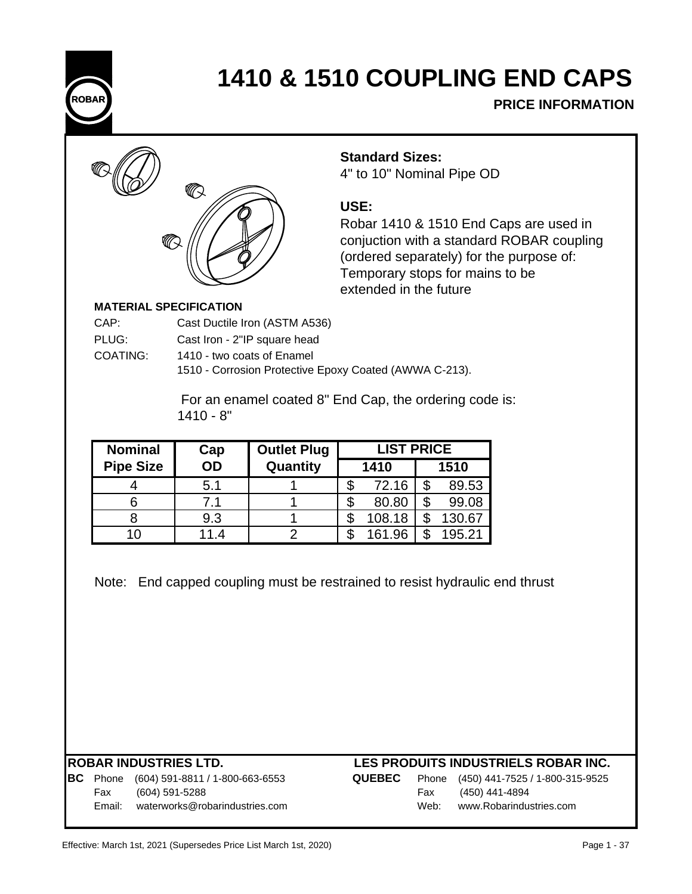

# **1410 & 1510 COUPLING END CAPS**

**PRICE INFORMATION**



**Standard Sizes:**

4" to 10" Nominal Pipe OD

## **USE:**

Robar 1410 & 1510 End Caps are used in conjuction with a standard ROBAR coupling (ordered separately) for the purpose of: Temporary stops for mains to be extended in the future

### **MATERIAL SPECIFICATION**

| CAP:     | Cast Ductile Iron (ASTM A536)              |
|----------|--------------------------------------------|
| PLUG:    | Cast Iron - 2"IP square head               |
| COATING: | 1410 - two coats of Enamel                 |
|          | 1510 - Corrosion Protective Epoxy Coated ( |

1510 - Corrosion Protective Epoxy Coated (AWWA C-213).

 For an enamel coated 8" End Cap, the ordering code is: 1410 - 8"

| <b>Nominal</b>   | Cap  | <b>LIST PRICE</b><br><b>Outlet Plug</b> |  |        |  |        |
|------------------|------|-----------------------------------------|--|--------|--|--------|
| <b>Pipe Size</b> | OD   | Quantity                                |  | 1410   |  | 1510   |
|                  | 5.1  |                                         |  | 72.16  |  | 89.53  |
|                  | 7.1  |                                         |  | 80.80  |  | 99.08  |
|                  | 9.3  |                                         |  | 108.18 |  | 130.67 |
| 10               | 11.4 |                                         |  | 161.96 |  | 195.21 |

Note: End capped coupling must be restrained to resist hydraulic end thrust

## **BC** Phone (604) 591-8811 / 1-800-663-6553 **Q** Fax (604) 591-5288 Email: waterworks@robarindustries.com

| <b>UEBEC</b> |      | Phone (450) 441-7525 / 1-800-315-9525 |
|--------------|------|---------------------------------------|
|              | Fax  | (450) 441-4894                        |
|              | Web: | www.Robarindustries.com               |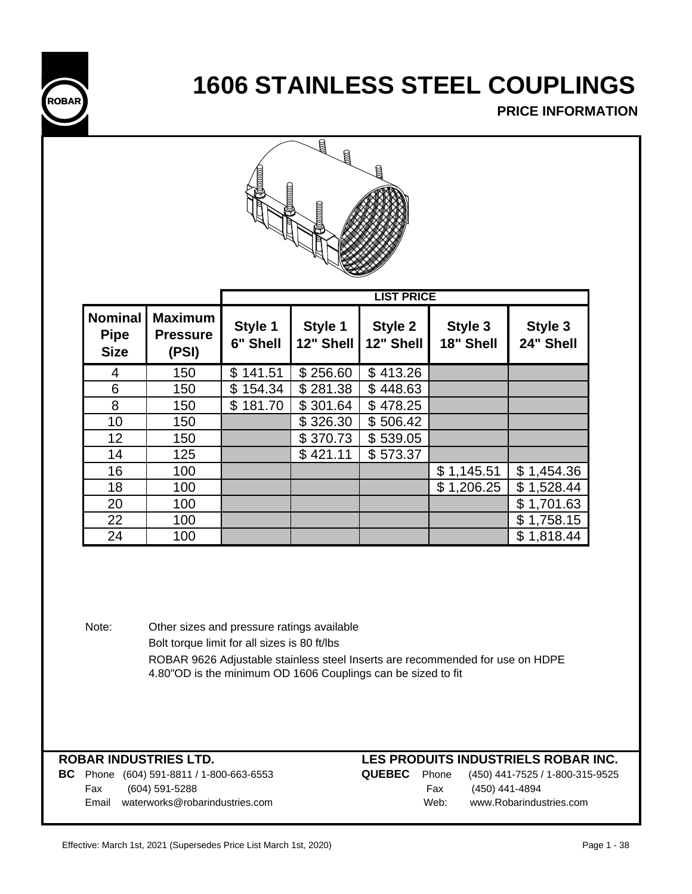

# **1606 STAINLESS STEEL COUPLINGS**

**PRICE INFORMATION**



|                                              |                                            |                     |                      | <b>LIST PRICE</b>    |                      |                      |
|----------------------------------------------|--------------------------------------------|---------------------|----------------------|----------------------|----------------------|----------------------|
| <b>Nominal</b><br><b>Pipe</b><br><b>Size</b> | <b>Maximum</b><br><b>Pressure</b><br>(PSI) | Style 1<br>6" Shell | Style 1<br>12" Shell | Style 2<br>12" Shell | Style 3<br>18" Shell | Style 3<br>24" Shell |
| 4                                            | 150                                        | 141.51<br>\$        | \$256.60             | \$413.26             |                      |                      |
| 6                                            | 150                                        | \$154.34            | \$281.38             | \$448.63             |                      |                      |
| 8                                            | 150                                        | \$181.70            | \$301.64             | \$478.25             |                      |                      |
| 10                                           | 150                                        |                     | \$326.30             | \$506.42             |                      |                      |
| 12                                           | 150                                        |                     | \$370.73             | \$539.05             |                      |                      |
| 14                                           | 125                                        |                     | \$421.11             | \$573.37             |                      |                      |
| 16                                           | 100                                        |                     |                      |                      | \$1,145.51           | \$1,454.36           |
| 18                                           | 100                                        |                     |                      |                      | \$1,206.25           | \$1,528.44           |
| 20                                           | 100                                        |                     |                      |                      |                      | \$1,701.63           |
| 22                                           | 100                                        |                     |                      |                      |                      | \$1,758.15           |
| 24                                           | 100                                        |                     |                      |                      |                      | \$1,818.44           |

Note: Other sizes and pressure ratings available Bolt torque limit for all sizes is 80 ft/lbs ROBAR 9626 Adjustable stainless steel Inserts are recommended for use on HDPE 4.80"OD is the minimum OD 1606 Couplings can be sized to fit

**BC** Phone (604) 591-8811 / 1-800-663-6553 **QUEBEC** Phone (450) 441-7525 / 1-800-315-9525 Fax (604) 591-5288 Fax (450) 441-4894 Email waterworks@robarindustries.com Web: www.Robarindustries.com